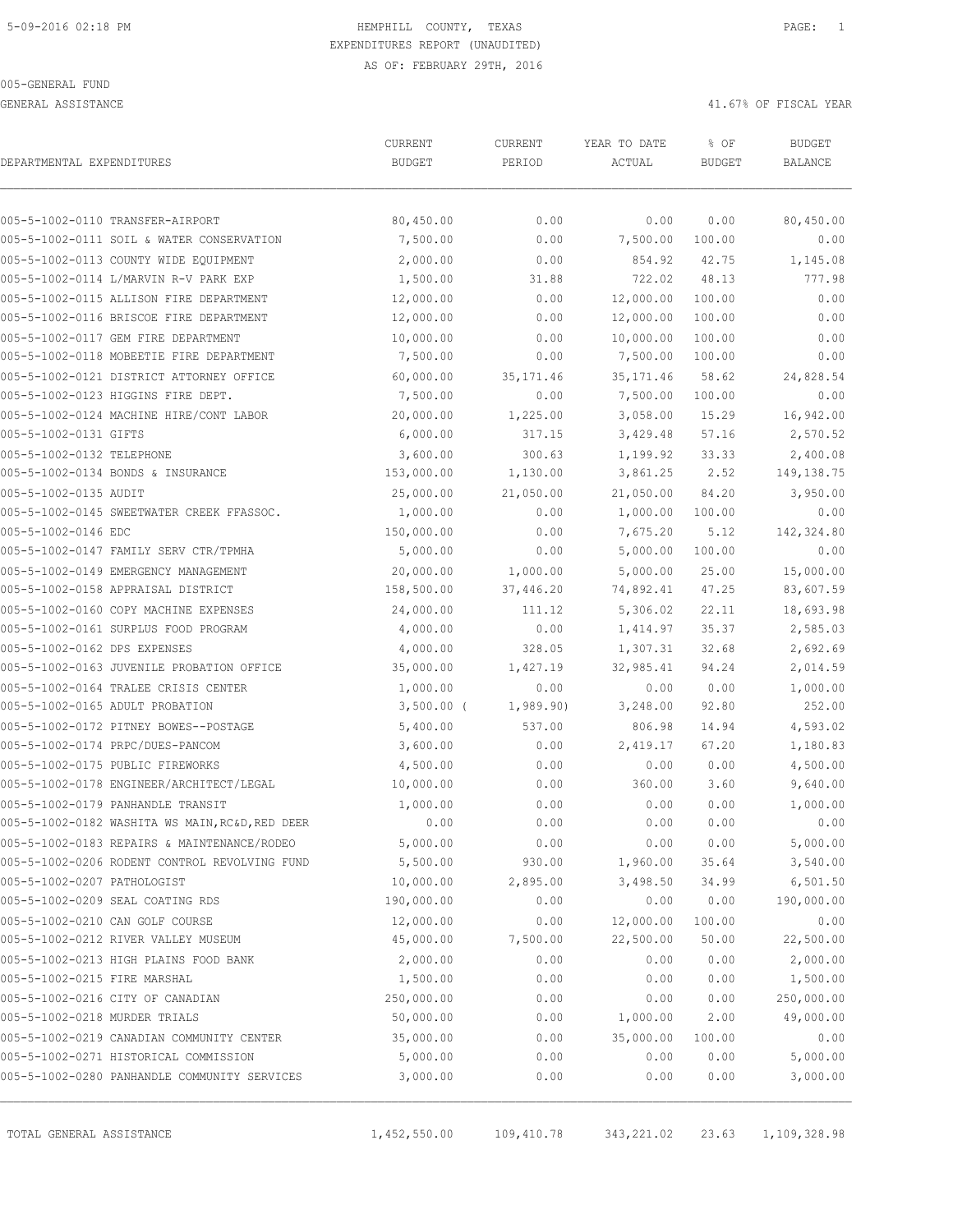GENERAL ASSISTANCE **A** A SOLUTION OF FISCAL YEAR

| DEPARTMENTAL EXPENDITURES     |                                                 | CURRENT<br><b>BUDGET</b> | CURRENT<br>PERIOD | YEAR TO DATE<br>ACTUAL | % OF<br><b>BUDGET</b> | <b>BUDGET</b><br><b>BALANCE</b> |
|-------------------------------|-------------------------------------------------|--------------------------|-------------------|------------------------|-----------------------|---------------------------------|
|                               |                                                 |                          |                   |                        |                       |                                 |
|                               | 005-5-1002-0110 TRANSFER-AIRPORT                | 80,450.00                | 0.00              | 0.00                   | 0.00                  | 80,450.00                       |
|                               | 005-5-1002-0111 SOIL & WATER CONSERVATION       | 7,500.00                 | 0.00              | 7,500.00               | 100.00                | 0.00                            |
|                               | 005-5-1002-0113 COUNTY WIDE EQUIPMENT           | 2,000.00                 | 0.00              | 854.92                 | 42.75                 | 1,145.08                        |
|                               | 005-5-1002-0114 L/MARVIN R-V PARK EXP           | 1,500.00                 | 31.88             | 722.02                 | 48.13                 | 777.98                          |
|                               | 005-5-1002-0115 ALLISON FIRE DEPARTMENT         | 12,000.00                | 0.00              | 12,000.00              | 100.00                | 0.00                            |
|                               | 005-5-1002-0116 BRISCOE FIRE DEPARTMENT         | 12,000.00                | 0.00              | 12,000.00              | 100.00                | 0.00                            |
|                               | 005-5-1002-0117 GEM FIRE DEPARTMENT             | 10,000.00                | 0.00              | 10,000.00              | 100.00                | 0.00                            |
|                               | 005-5-1002-0118 MOBEETIE FIRE DEPARTMENT        | 7,500.00                 | 0.00              | 7,500.00               | 100.00                | 0.00                            |
|                               | 005-5-1002-0121 DISTRICT ATTORNEY OFFICE        | 60,000.00                | 35, 171.46        | 35, 171.46             | 58.62                 | 24,828.54                       |
|                               | 005-5-1002-0123 HIGGINS FIRE DEPT.              | 7,500.00                 | 0.00              | 7,500.00               | 100.00                | 0.00                            |
|                               | 005-5-1002-0124 MACHINE HIRE/CONT LABOR         | 20,000.00                | 1,225.00          | 3,058.00               | 15.29                 | 16,942.00                       |
| 005-5-1002-0131 GIFTS         |                                                 | 6,000.00                 | 317.15            | 3,429.48               | 57.16                 | 2,570.52                        |
| 005-5-1002-0132 TELEPHONE     |                                                 | 3,600.00                 | 300.63            | 1,199.92               | 33.33                 | 2,400.08                        |
|                               | 005-5-1002-0134 BONDS & INSURANCE               | 153,000.00               | 1,130.00          | 3,861.25               | 2.52                  | 149, 138.75                     |
| 005-5-1002-0135 AUDIT         |                                                 | 25,000.00                | 21,050.00         | 21,050.00              | 84.20                 | 3,950.00                        |
|                               | 005-5-1002-0145 SWEETWATER CREEK FFASSOC.       | 1,000.00                 | 0.00              | 1,000.00               | 100.00                | 0.00                            |
| 005-5-1002-0146 EDC           |                                                 | 150,000.00               | 0.00              | 7,675.20               | 5.12                  | 142,324.80                      |
|                               | 005-5-1002-0147 FAMILY SERV CTR/TPMHA           | 5,000.00                 | 0.00              | 5,000.00               | 100.00                | 0.00                            |
|                               | 005-5-1002-0149 EMERGENCY MANAGEMENT            | 20,000.00                | 1,000.00          | 5,000.00               | 25.00                 | 15,000.00                       |
|                               | 005-5-1002-0158 APPRAISAL DISTRICT              | 158,500.00               | 37,446.20         | 74,892.41              | 47.25                 | 83,607.59                       |
|                               | 005-5-1002-0160 COPY MACHINE EXPENSES           | 24,000.00                | 111.12            | 5,306.02               | 22.11                 | 18,693.98                       |
|                               | 005-5-1002-0161 SURPLUS FOOD PROGRAM            | 4,000.00                 | 0.00              | 1,414.97               | 35.37                 | 2,585.03                        |
| 005-5-1002-0162 DPS EXPENSES  |                                                 | 4,000.00                 | 328.05            | 1,307.31               | 32.68                 | 2,692.69                        |
|                               | 005-5-1002-0163 JUVENILE PROBATION OFFICE       | 35,000.00                | 1,427.19          | 32,985.41              | 94.24                 | 2,014.59                        |
|                               | 005-5-1002-0164 TRALEE CRISIS CENTER            | 1,000.00                 | 0.00              | 0.00                   | 0.00                  | 1,000.00                        |
|                               | 005-5-1002-0165 ADULT PROBATION                 | $3,500.00$ (             | 1,989.90)         | 3,248.00               | 92.80                 | 252.00                          |
|                               | 005-5-1002-0172 PITNEY BOWES--POSTAGE           | 5,400.00                 | 537.00            | 806.98                 | 14.94                 | 4,593.02                        |
|                               | 005-5-1002-0174 PRPC/DUES-PANCOM                | 3,600.00                 | 0.00              | 2,419.17               | 67.20                 | 1,180.83                        |
|                               | 005-5-1002-0175 PUBLIC FIREWORKS                | 4,500.00                 | 0.00              | 0.00                   | 0.00                  | 4,500.00                        |
|                               | 005-5-1002-0178 ENGINEER/ARCHITECT/LEGAL        | 10,000.00                | 0.00              | 360.00                 | 3.60                  | 9,640.00                        |
|                               | 005-5-1002-0179 PANHANDLE TRANSIT               | 1,000.00                 | 0.00              | 0.00                   | 0.00                  | 1,000.00                        |
|                               | 005-5-1002-0182 WASHITA WS MAIN, RC&D, RED DEER | 0.00                     | 0.00              | 0.00                   | 0.00                  | 0.00                            |
|                               | 005-5-1002-0183 REPAIRS & MAINTENANCE/RODEO     | 5,000.00                 | 0.00              | 0.00                   | 0.00                  | 5,000.00                        |
|                               | 005-5-1002-0206 RODENT CONTROL REVOLVING FUND   | 5,500.00                 | 930.00            | 1,960.00               | 35.64                 | 3,540.00                        |
| 005-5-1002-0207 PATHOLOGIST   |                                                 | 10,000.00                | 2,895.00          | 3,498.50               | 34.99                 | 6,501.50                        |
|                               | 005-5-1002-0209 SEAL COATING RDS                | 190,000.00               | 0.00              | 0.00                   | 0.00                  | 190,000.00                      |
|                               | 005-5-1002-0210 CAN GOLF COURSE                 | 12,000.00                | 0.00              | 12,000.00              | 100.00                | 0.00                            |
|                               | 005-5-1002-0212 RIVER VALLEY MUSEUM             | 45,000.00                | 7,500.00          | 22,500.00              | 50.00                 | 22,500.00                       |
|                               | 005-5-1002-0213 HIGH PLAINS FOOD BANK           | 2,000.00                 | 0.00              | 0.00                   | 0.00                  | 2,000.00                        |
| 005-5-1002-0215 FIRE MARSHAL  |                                                 | 1,500.00                 | 0.00              | 0.00                   | 0.00                  | 1,500.00                        |
|                               | 005-5-1002-0216 CITY OF CANADIAN                | 250,000.00               | 0.00              | 0.00                   | 0.00                  | 250,000.00                      |
| 005-5-1002-0218 MURDER TRIALS |                                                 | 50,000.00                | 0.00              | 1,000.00               | 2.00                  | 49,000.00                       |
|                               | 005-5-1002-0219 CANADIAN COMMUNITY CENTER       | 35,000.00                | 0.00              | 35,000.00              | 100.00                | 0.00                            |
|                               | 005-5-1002-0271 HISTORICAL COMMISSION           | 5,000.00                 | 0.00              | 0.00                   | 0.00                  | 5,000.00                        |
|                               | 005-5-1002-0280 PANHANDLE COMMUNITY SERVICES    | 3,000.00                 | 0.00              | 0.00                   | 0.00                  | 3,000.00                        |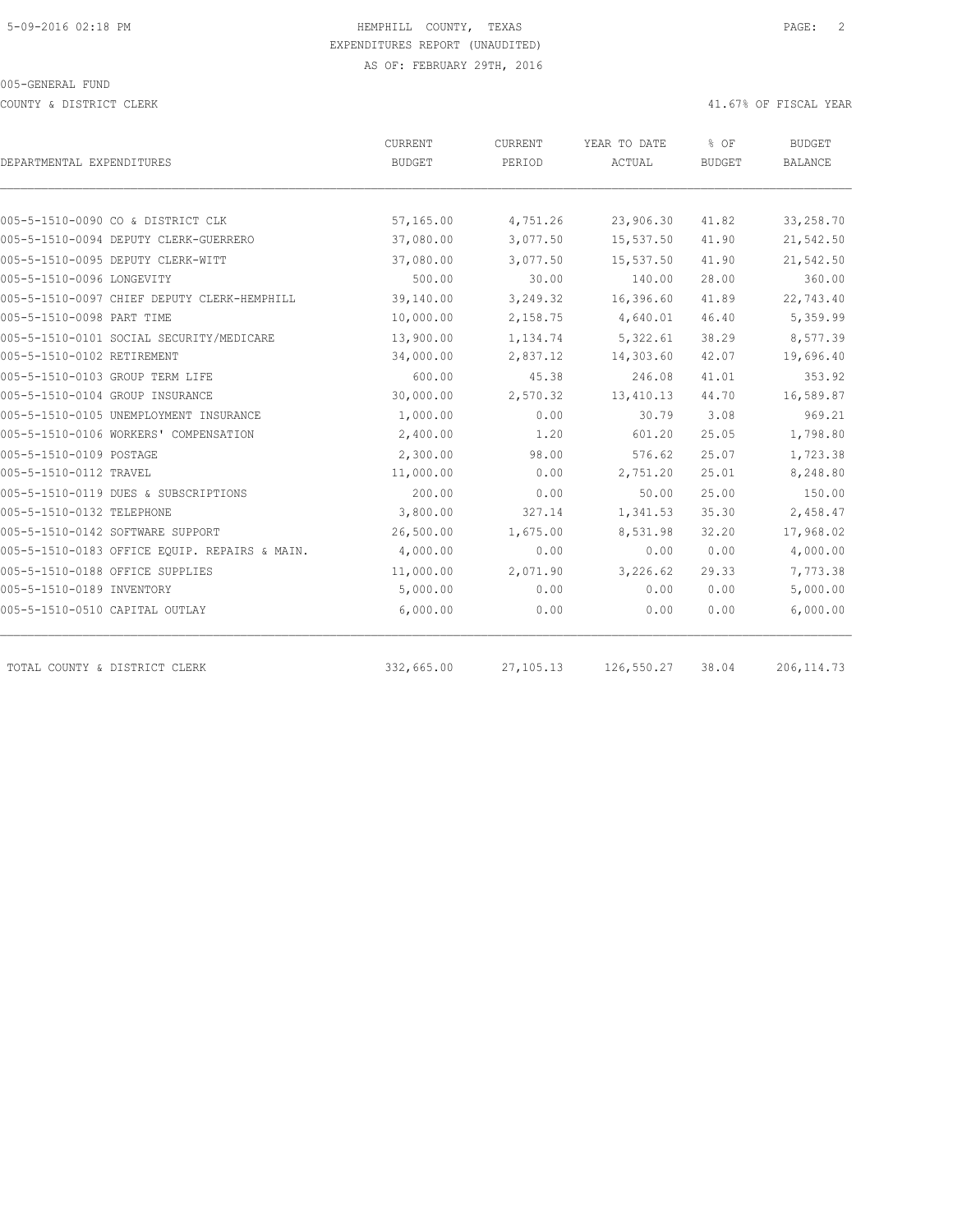COUNTY & DISTRICT CLERK 41.67% OF FISCAL YEAR

| DEPARTMENTAL EXPENDITURES                     | CURRENT<br><b>BUDGET</b> | CURRENT<br>PERIOD | YEAR TO DATE<br>ACTUAL | % OF<br><b>BUDGET</b> | <b>BUDGET</b><br><b>BALANCE</b> |
|-----------------------------------------------|--------------------------|-------------------|------------------------|-----------------------|---------------------------------|
|                                               |                          |                   |                        |                       |                                 |
| 005-5-1510-0090 CO & DISTRICT CLK             | 57,165.00                | 4,751.26          | 23,906.30              | 41.82                 | 33,258.70                       |
| 005-5-1510-0094 DEPUTY CLERK-GUERRERO         | 37,080.00                | 3,077.50          | 15,537.50              | 41.90                 | 21,542.50                       |
| 005-5-1510-0095 DEPUTY CLERK-WITT             | 37,080.00                | 3,077.50          | 15,537.50              | 41.90                 | 21,542.50                       |
| 005-5-1510-0096 LONGEVITY                     | 500.00                   | 30.00             | 140.00                 | 28.00                 | 360.00                          |
| 005-5-1510-0097 CHIEF DEPUTY CLERK-HEMPHILL   | 39,140.00                | 3,249.32          | 16,396.60              | 41.89                 | 22,743.40                       |
| 005-5-1510-0098 PART TIME                     | 10,000.00                | 2,158.75          | 4,640.01               | 46.40                 | 5,359.99                        |
| 005-5-1510-0101 SOCIAL SECURITY/MEDICARE      | 13,900.00                | 1,134.74          | 5,322.61               | 38.29                 | 8,577.39                        |
| 005-5-1510-0102 RETIREMENT                    | 34,000.00                | 2,837.12          | 14,303.60              | 42.07                 | 19,696.40                       |
| 005-5-1510-0103 GROUP TERM LIFE               | 600.00                   | 45.38             | 246.08                 | 41.01                 | 353.92                          |
| 005-5-1510-0104 GROUP INSURANCE               | 30,000.00                | 2,570.32          | 13, 410.13             | 44.70                 | 16,589.87                       |
| 005-5-1510-0105 UNEMPLOYMENT INSURANCE        | 1,000.00                 | 0.00              | 30.79                  | 3.08                  | 969.21                          |
| 005-5-1510-0106 WORKERS' COMPENSATION         | 2,400.00                 | 1.20              | 601.20                 | 25.05                 | 1,798.80                        |
| 005-5-1510-0109 POSTAGE                       | 2,300.00                 | 98.00             | 576.62                 | 25.07                 | 1,723.38                        |
| 005-5-1510-0112 TRAVEL                        | 11,000.00                | 0.00              | 2,751.20               | 25.01                 | 8,248.80                        |
| 005-5-1510-0119 DUES & SUBSCRIPTIONS          | 200.00                   | 0.00              | 50.00                  | 25.00                 | 150.00                          |
| 005-5-1510-0132 TELEPHONE                     | 3,800.00                 | 327.14            | 1,341.53               | 35.30                 | 2,458.47                        |
| 005-5-1510-0142 SOFTWARE SUPPORT              | 26,500.00                | 1,675.00          | 8,531.98               | 32.20                 | 17,968.02                       |
| 005-5-1510-0183 OFFICE EQUIP. REPAIRS & MAIN. | 4,000.00                 | 0.00              | 0.00                   | 0.00                  | 4,000.00                        |
| 005-5-1510-0188 OFFICE SUPPLIES               | 11,000.00                | 2,071.90          | 3,226.62               | 29.33                 | 7,773.38                        |
| 005-5-1510-0189 INVENTORY                     | 5,000.00                 | 0.00              | 0.00                   | 0.00                  | 5,000.00                        |
| 005-5-1510-0510 CAPITAL OUTLAY                | 6,000.00                 | 0.00              | 0.00                   | 0.00                  | 6,000.00                        |
| TOTAL COUNTY & DISTRICT CLERK                 | 332,665.00               | 27, 105. 13       | 126,550.27             | 38.04                 | 206, 114.73                     |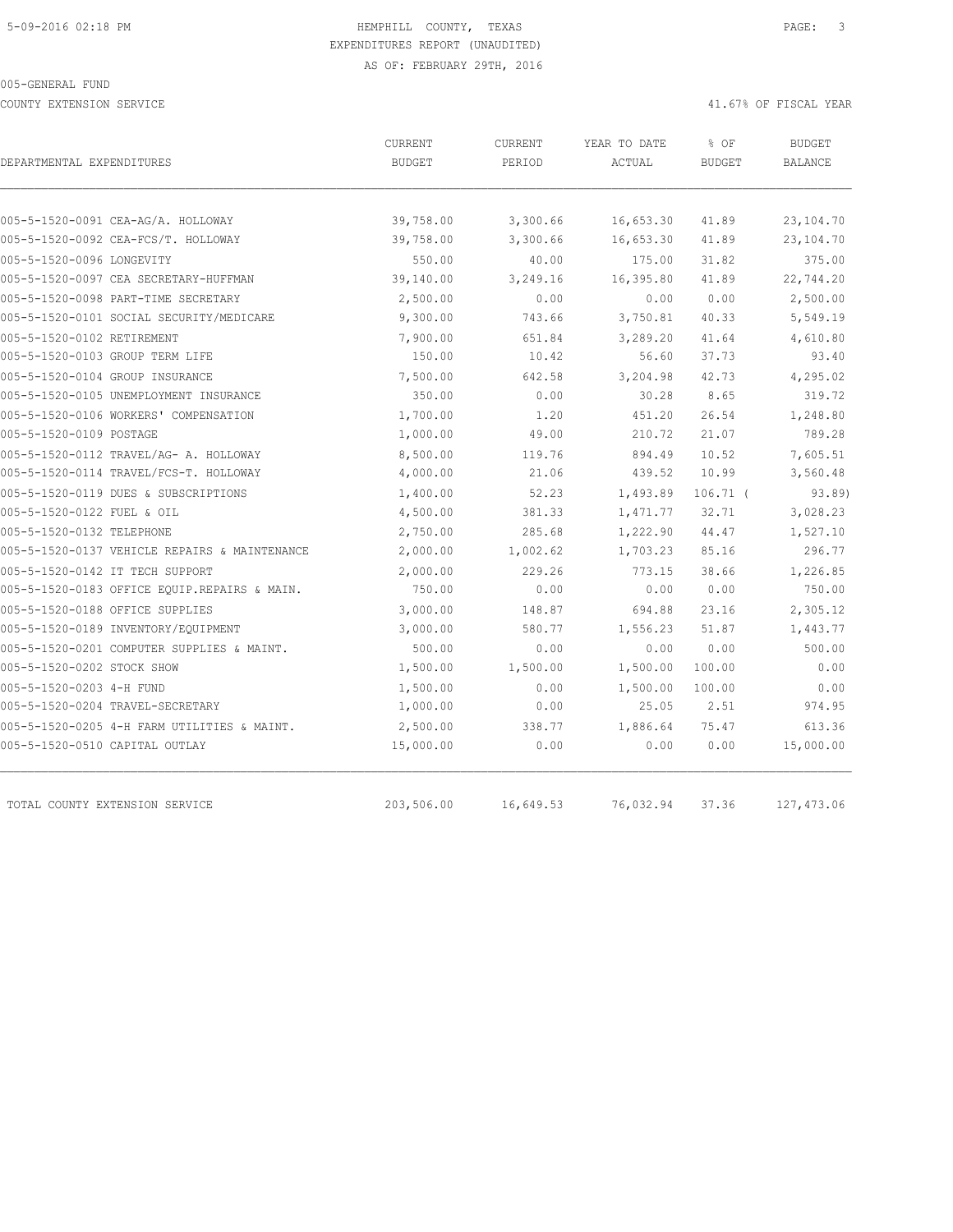COUNTY EXTENSION SERVICE 41.67% OF FISCAL YEAR

| DEPARTMENTAL EXPENDITURES                     | <b>CURRENT</b><br><b>BUDGET</b> | <b>CURRENT</b><br>PERIOD | YEAR TO DATE<br>ACTUAL | % OF<br><b>BUDGET</b> | <b>BUDGET</b><br><b>BALANCE</b> |
|-----------------------------------------------|---------------------------------|--------------------------|------------------------|-----------------------|---------------------------------|
|                                               |                                 |                          |                        |                       |                                 |
| 005-5-1520-0091 CEA-AG/A. HOLLOWAY            | 39,758.00                       | 3,300.66                 | 16,653.30              | 41.89                 | 23,104.70                       |
| 005-5-1520-0092 CEA-FCS/T. HOLLOWAY           | 39,758.00                       | 3,300.66                 | 16,653.30              | 41.89                 | 23,104.70                       |
| 005-5-1520-0096 LONGEVITY                     | 550.00                          | 40.00                    | 175.00                 | 31.82                 | 375.00                          |
| 005-5-1520-0097 CEA SECRETARY-HUFFMAN         | 39,140.00                       | 3,249.16                 | 16,395.80              | 41.89                 | 22,744.20                       |
| 005-5-1520-0098 PART-TIME SECRETARY           | 2,500.00                        | 0.00                     | 0.00                   | 0.00                  | 2,500.00                        |
| 005-5-1520-0101 SOCIAL SECURITY/MEDICARE      | 9,300.00                        | 743.66                   | 3,750.81               | 40.33                 | 5,549.19                        |
| 005-5-1520-0102 RETIREMENT                    | 7,900.00                        | 651.84                   | 3,289.20               | 41.64                 | 4,610.80                        |
| 005-5-1520-0103 GROUP TERM LIFE               | 150.00                          | 10.42                    | 56.60                  | 37.73                 | 93.40                           |
| 005-5-1520-0104 GROUP INSURANCE               | 7,500.00                        | 642.58                   | 3,204.98               | 42.73                 | 4,295.02                        |
| 005-5-1520-0105 UNEMPLOYMENT INSURANCE        | 350.00                          | 0.00                     | 30.28                  | 8.65                  | 319.72                          |
| 005-5-1520-0106 WORKERS' COMPENSATION         | 1,700.00                        | 1.20                     | 451.20                 | 26.54                 | 1,248.80                        |
| 005-5-1520-0109 POSTAGE                       | 1,000.00                        | 49.00                    | 210.72                 | 21.07                 | 789.28                          |
| 005-5-1520-0112 TRAVEL/AG- A. HOLLOWAY        | 8,500.00                        | 119.76                   | 894.49                 | 10.52                 | 7,605.51                        |
| 005-5-1520-0114 TRAVEL/FCS-T. HOLLOWAY        | 4,000.00                        | 21.06                    | 439.52                 | 10.99                 | 3,560.48                        |
| 005-5-1520-0119 DUES & SUBSCRIPTIONS          | 1,400.00                        | 52.23                    | 1,493.89               | $106.71$ (            | 93.89)                          |
| 005-5-1520-0122 FUEL & OIL                    | 4,500.00                        | 381.33                   | 1,471.77               | 32.71                 | 3,028.23                        |
| 005-5-1520-0132 TELEPHONE                     | 2,750.00                        | 285.68                   | 1,222.90               | 44.47                 | 1,527.10                        |
| 005-5-1520-0137 VEHICLE REPAIRS & MAINTENANCE | 2,000.00                        | 1,002.62                 | 1,703.23               | 85.16                 | 296.77                          |
| 005-5-1520-0142 IT TECH SUPPORT               | 2,000.00                        | 229.26                   | 773.15                 | 38.66                 | 1,226.85                        |
| 005-5-1520-0183 OFFICE EQUIP.REPAIRS & MAIN.  | 750.00                          | 0.00                     | 0.00                   | 0.00                  | 750.00                          |
| 005-5-1520-0188 OFFICE SUPPLIES               | 3,000.00                        | 148.87                   | 694.88                 | 23.16                 | 2,305.12                        |
| 005-5-1520-0189 INVENTORY/EQUIPMENT           | 3,000.00                        | 580.77                   | 1,556.23               | 51.87                 | 1,443.77                        |
| 005-5-1520-0201 COMPUTER SUPPLIES & MAINT.    | 500.00                          | 0.00                     | 0.00                   | 0.00                  | 500.00                          |
| 005-5-1520-0202 STOCK SHOW                    | 1,500.00                        | 1,500.00                 | 1,500.00               | 100.00                | 0.00                            |
| 005-5-1520-0203 4-H FUND                      | 1,500.00                        | 0.00                     | 1,500.00               | 100.00                | 0.00                            |
| 005-5-1520-0204 TRAVEL-SECRETARY              | 1,000.00                        | 0.00                     | 25.05                  | 2.51                  | 974.95                          |
| 005-5-1520-0205 4-H FARM UTILITIES & MAINT.   | 2,500.00                        | 338.77                   | 1,886.64               | 75.47                 | 613.36                          |
| 005-5-1520-0510 CAPITAL OUTLAY                | 15,000.00                       | 0.00                     | 0.00                   | 0.00                  | 15,000.00                       |
| TOTAL COUNTY EXTENSION SERVICE                | 203,506.00                      | 16,649.53                | 76,032.94              | 37.36                 | 127,473.06                      |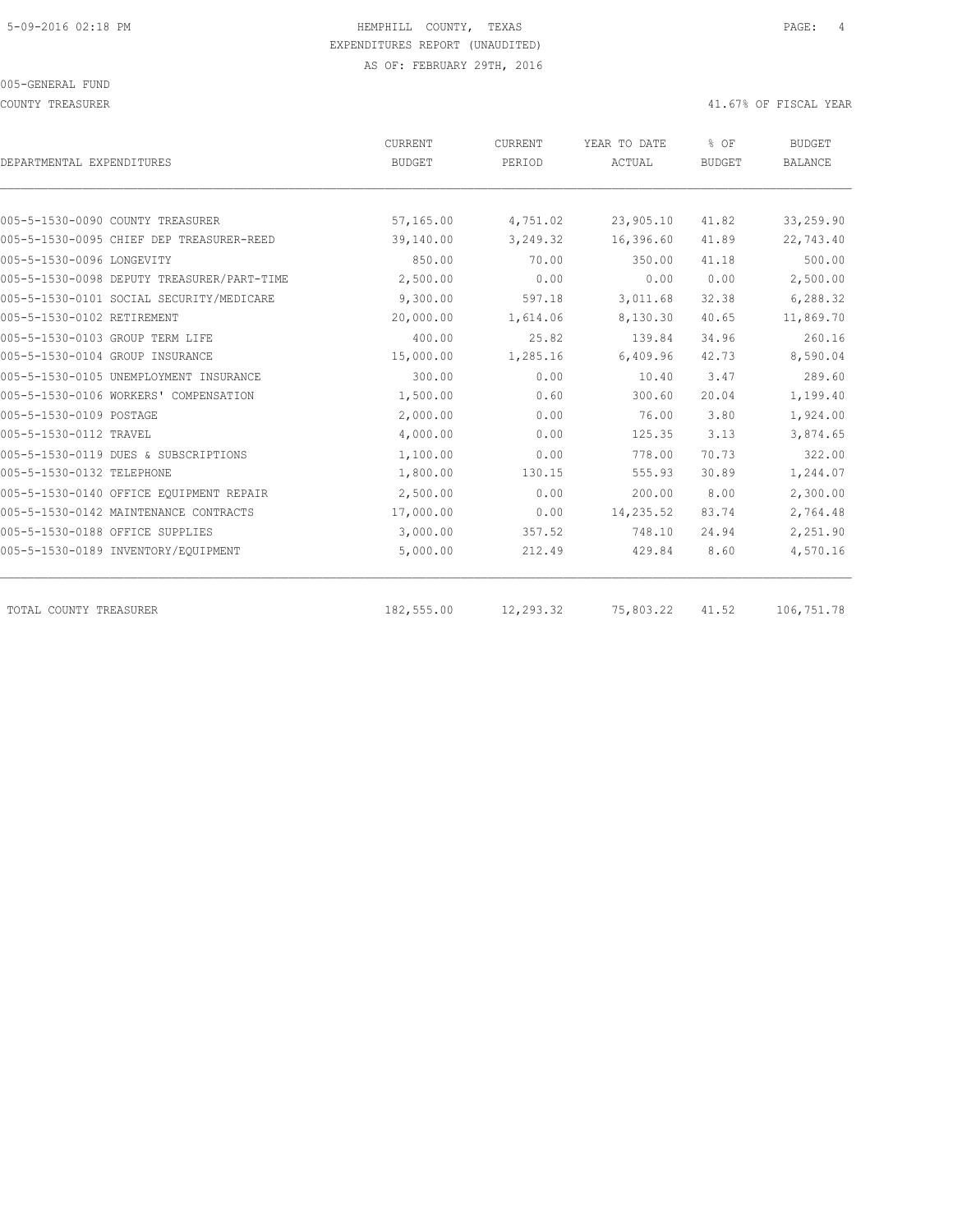COUNTY TREASURER **ALL ASSESSES ASSESSED A** 41.67% OF FISCAL YEAR

| DEPARTMENTAL EXPENDITURES                  | <b>CURRENT</b><br>BUDGET | <b>CURRENT</b><br>PERIOD | YEAR TO DATE<br>ACTUAL | % OF<br>BUDGET | <b>BUDGET</b><br>BALANCE |
|--------------------------------------------|--------------------------|--------------------------|------------------------|----------------|--------------------------|
|                                            |                          |                          |                        |                |                          |
| 005-5-1530-0090 COUNTY TREASURER           | 57,165.00                | 4,751.02                 | 23,905.10              | 41.82          | 33,259.90                |
| 005-5-1530-0095 CHIEF DEP TREASURER-REED   | 39,140.00                | 3,249.32                 | 16,396.60              | 41.89          | 22,743.40                |
| 005-5-1530-0096 LONGEVITY                  | 850.00                   | 70.00                    | 350.00                 | 41.18          | 500.00                   |
| 005-5-1530-0098 DEPUTY TREASURER/PART-TIME | 2,500.00                 | 0.00                     | 0.00                   | 0.00           | 2,500.00                 |
| 005-5-1530-0101 SOCIAL SECURITY/MEDICARE   | 9,300.00                 | 597.18                   | 3,011.68               | 32.38          | 6,288.32                 |
| 005-5-1530-0102 RETIREMENT                 | 20,000.00                | 1,614.06                 | 8,130.30               | 40.65          | 11,869.70                |
| 005-5-1530-0103 GROUP TERM LIFE            | 400.00                   | 25.82                    | 139.84                 | 34.96          | 260.16                   |
| 005-5-1530-0104 GROUP INSURANCE            | 15,000.00                | 1,285.16                 | 6,409.96               | 42.73          | 8,590.04                 |
| 005-5-1530-0105 UNEMPLOYMENT INSURANCE     | 300.00                   | 0.00                     | 10.40                  | 3.47           | 289.60                   |
| 005-5-1530-0106 WORKERS' COMPENSATION      | 1,500.00                 | 0.60                     | 300.60                 | 20.04          | 1,199.40                 |
| 005-5-1530-0109 POSTAGE                    | 2,000.00                 | 0.00                     | 76.00                  | 3.80           | 1,924.00                 |
| 005-5-1530-0112 TRAVEL                     | 4,000.00                 | 0.00                     | 125.35                 | 3.13           | 3,874.65                 |
| 005-5-1530-0119 DUES & SUBSCRIPTIONS       | 1,100.00                 | 0.00                     | 778.00                 | 70.73          | 322.00                   |
| 005-5-1530-0132 TELEPHONE                  | 1,800.00                 | 130.15                   | 555.93                 | 30.89          | 1,244.07                 |
| 005-5-1530-0140 OFFICE EQUIPMENT REPAIR    | 2,500.00                 | 0.00                     | 200.00                 | 8.00           | 2,300.00                 |
| 005-5-1530-0142 MAINTENANCE CONTRACTS      | 17,000.00                | 0.00                     | 14,235.52              | 83.74          | 2,764.48                 |
| 005-5-1530-0188 OFFICE SUPPLIES            | 3,000.00                 | 357.52                   | 748.10                 | 24.94          | 2,251.90                 |
| 005-5-1530-0189 INVENTORY/EQUIPMENT        | 5,000.00                 | 212.49                   | 429.84                 | 8.60           | 4,570.16                 |
| TOTAL COUNTY TREASURER                     | 182,555.00               | 12,293.32                | 75,803.22              | 41.52          | 106,751.78               |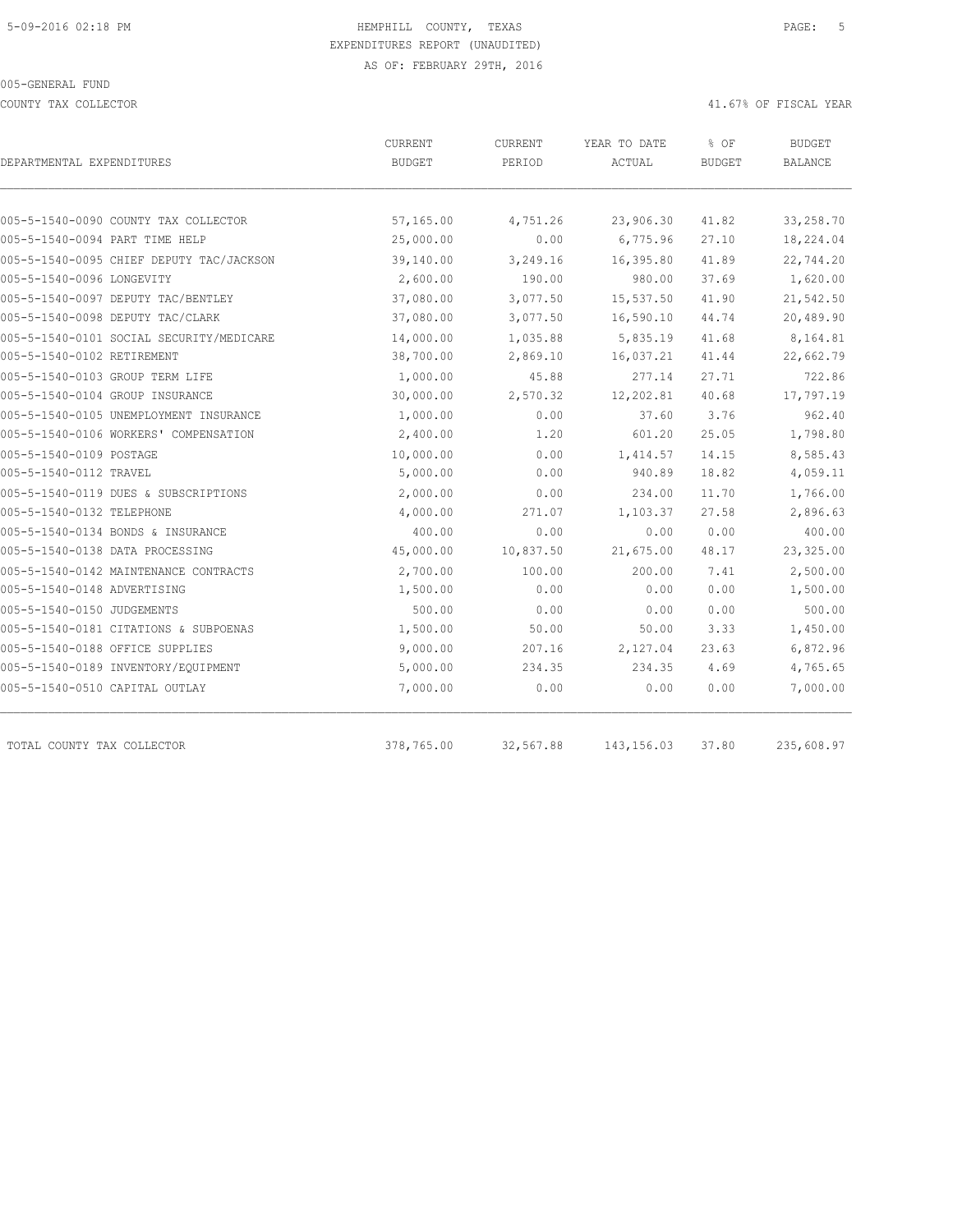COUNTY TAX COLLECTOR 41.67% OF FISCAL YEAR

| DEPARTMENTAL EXPENDITURES                | <b>CURRENT</b><br><b>BUDGET</b> | <b>CURRENT</b><br>PERIOD | YEAR TO DATE<br>ACTUAL | % OF<br><b>BUDGET</b> | <b>BUDGET</b><br>BALANCE |
|------------------------------------------|---------------------------------|--------------------------|------------------------|-----------------------|--------------------------|
|                                          |                                 |                          |                        |                       |                          |
| 005-5-1540-0090 COUNTY TAX COLLECTOR     | 57,165.00                       | 4,751.26                 | 23,906.30              | 41.82                 | 33,258.70                |
| 005-5-1540-0094 PART TIME HELP           | 25,000.00                       | 0.00                     | 6,775.96               | 27.10                 | 18,224.04                |
| 005-5-1540-0095 CHIEF DEPUTY TAC/JACKSON | 39,140.00                       | 3,249.16                 | 16,395.80              | 41.89                 | 22,744.20                |
| 005-5-1540-0096 LONGEVITY                | 2,600.00                        | 190.00                   | 980.00                 | 37.69                 | 1,620.00                 |
| 005-5-1540-0097 DEPUTY TAC/BENTLEY       | 37,080.00                       | 3,077.50                 | 15,537.50              | 41.90                 | 21,542.50                |
| 005-5-1540-0098 DEPUTY TAC/CLARK         | 37,080.00                       | 3,077.50                 | 16,590.10              | 44.74                 | 20,489.90                |
| 005-5-1540-0101 SOCIAL SECURITY/MEDICARE | 14,000.00                       | 1,035.88                 | 5,835.19               | 41.68                 | 8,164.81                 |
| 005-5-1540-0102 RETIREMENT               | 38,700.00                       | 2,869.10                 | 16,037.21              | 41.44                 | 22,662.79                |
| 005-5-1540-0103 GROUP TERM LIFE          | 1,000.00                        | 45.88                    | 277.14                 | 27.71                 | 722.86                   |
| 005-5-1540-0104 GROUP INSURANCE          | 30,000.00                       | 2,570.32                 | 12,202.81              | 40.68                 | 17,797.19                |
| 005-5-1540-0105 UNEMPLOYMENT INSURANCE   | 1,000.00                        | 0.00                     | 37.60                  | 3.76                  | 962.40                   |
| 005-5-1540-0106 WORKERS' COMPENSATION    | 2,400.00                        | 1.20                     | 601.20                 | 25.05                 | 1,798.80                 |
| 005-5-1540-0109 POSTAGE                  | 10,000.00                       | 0.00                     | 1,414.57               | 14.15                 | 8,585.43                 |
| 005-5-1540-0112 TRAVEL                   | 5,000.00                        | 0.00                     | 940.89                 | 18.82                 | 4,059.11                 |
| 005-5-1540-0119 DUES & SUBSCRIPTIONS     | 2,000.00                        | 0.00                     | 234.00                 | 11.70                 | 1,766.00                 |
| 005-5-1540-0132 TELEPHONE                | 4,000.00                        | 271.07                   | 1,103.37               | 27.58                 | 2,896.63                 |
| 005-5-1540-0134 BONDS & INSURANCE        | 400.00                          | 0.00                     | 0.00                   | 0.00                  | 400.00                   |
| 005-5-1540-0138 DATA PROCESSING          | 45,000.00                       | 10,837.50                | 21,675.00              | 48.17                 | 23,325.00                |
| 005-5-1540-0142 MAINTENANCE CONTRACTS    | 2,700.00                        | 100.00                   | 200.00                 | 7.41                  | 2,500.00                 |
| 005-5-1540-0148 ADVERTISING              | 1,500.00                        | 0.00                     | 0.00                   | 0.00                  | 1,500.00                 |
| 005-5-1540-0150 JUDGEMENTS               | 500.00                          | 0.00                     | 0.00                   | 0.00                  | 500.00                   |
| 005-5-1540-0181 CITATIONS & SUBPOENAS    | 1,500.00                        | 50.00                    | 50.00                  | 3.33                  | 1,450.00                 |
| 005-5-1540-0188 OFFICE SUPPLIES          | 9,000.00                        | 207.16                   | 2,127.04               | 23.63                 | 6,872.96                 |
| 005-5-1540-0189 INVENTORY/EQUIPMENT      | 5,000.00                        | 234.35                   | 234.35                 | 4.69                  | 4,765.65                 |
| 005-5-1540-0510 CAPITAL OUTLAY           | 7,000.00                        | 0.00                     | 0.00                   | 0.00                  | 7,000.00                 |
| TOTAL COUNTY TAX COLLECTOR               | 378,765.00                      | 32,567.88                | 143, 156.03            | 37.80                 | 235,608.97               |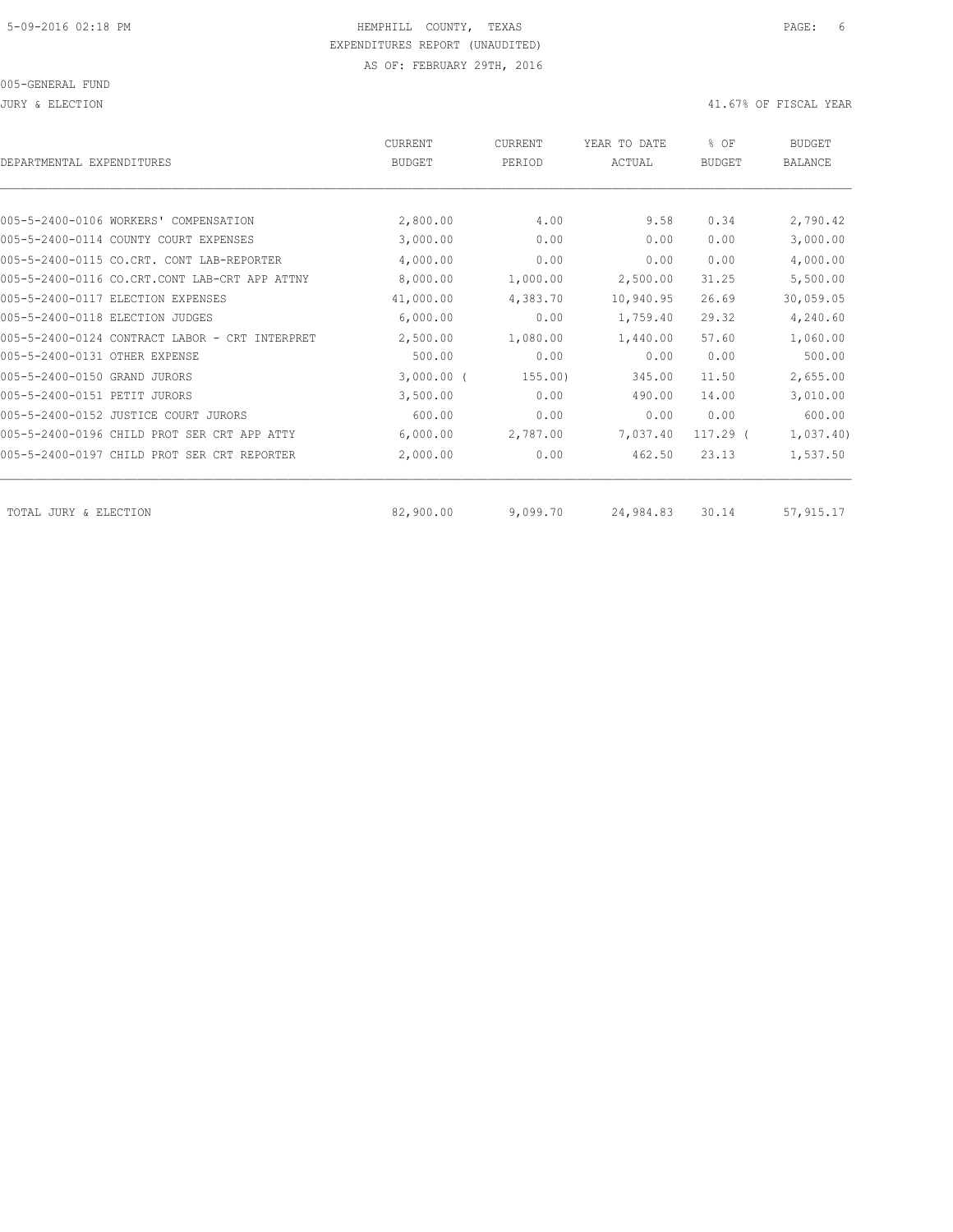JURY & ELECTION 41.67% OF FISCAL YEAR

| DEPARTMENTAL EXPENDITURES                      | <b>CURRENT</b><br><b>BUDGET</b> | CURRENT<br>PERIOD | YEAR TO DATE<br><b>ACTUAL</b> | % OF<br><b>BUDGET</b> | <b>BUDGET</b><br><b>BALANCE</b> |
|------------------------------------------------|---------------------------------|-------------------|-------------------------------|-----------------------|---------------------------------|
|                                                |                                 |                   |                               |                       |                                 |
| 005-5-2400-0106 WORKERS' COMPENSATION          | 2,800.00                        | 4.00              | 9.58                          | 0.34                  | 2,790.42                        |
| 005-5-2400-0114 COUNTY COURT EXPENSES          | 3,000.00                        | 0.00              | 0.00                          | 0.00                  | 3,000.00                        |
| 005-5-2400-0115 CO.CRT. CONT<br>LAB-REPORTER   | 4,000.00                        | 0.00              | 0.00                          | 0.00                  | 4,000.00                        |
| 005-5-2400-0116 CO.CRT.CONT LAB-CRT APP ATTNY  | 8,000.00                        | 1,000.00          | 2,500.00                      | 31.25                 | 5,500.00                        |
| 005-5-2400-0117 ELECTION EXPENSES              | 41,000.00                       | 4,383.70          | 10,940.95                     | 26.69                 | 30,059.05                       |
| 005-5-2400-0118 ELECTION JUDGES                | 6,000.00                        | 0.00              | 1,759.40                      | 29.32                 | 4,240.60                        |
| 005-5-2400-0124 CONTRACT LABOR - CRT INTERPRET | 2,500.00                        | 1,080.00          | 1,440.00                      | 57.60                 | 1,060.00                        |
| 005-5-2400-0131 OTHER EXPENSE                  | 500.00                          | 0.00              | 0.00                          | 0.00                  | 500.00                          |
| 005-5-2400-0150 GRAND JURORS                   | $3,000.00$ (                    | 155.00)           | 345.00                        | 11.50                 | 2,655.00                        |
| 005-5-2400-0151 PETIT JURORS                   | 3,500.00                        | 0.00              | 490.00                        | 14.00                 | 3,010.00                        |
| 005-5-2400-0152 JUSTICE COURT JURORS           | 600.00                          | 0.00              | 0.00                          | 0.00                  | 600.00                          |
| 005-5-2400-0196 CHILD PROT SER CRT APP ATTY    | 6,000.00                        | 2,787.00          | 7,037.40                      | $117.29$ (            | 1,037.40                        |
| 005-5-2400-0197 CHILD PROT SER CRT REPORTER    | 2,000.00                        | 0.00              | 462.50                        | 23.13                 | 1,537.50                        |
| TOTAL JURY & ELECTION                          | 82,900.00                       | 9,099.70          | 24,984.83                     | 30.14                 | 57, 915.17                      |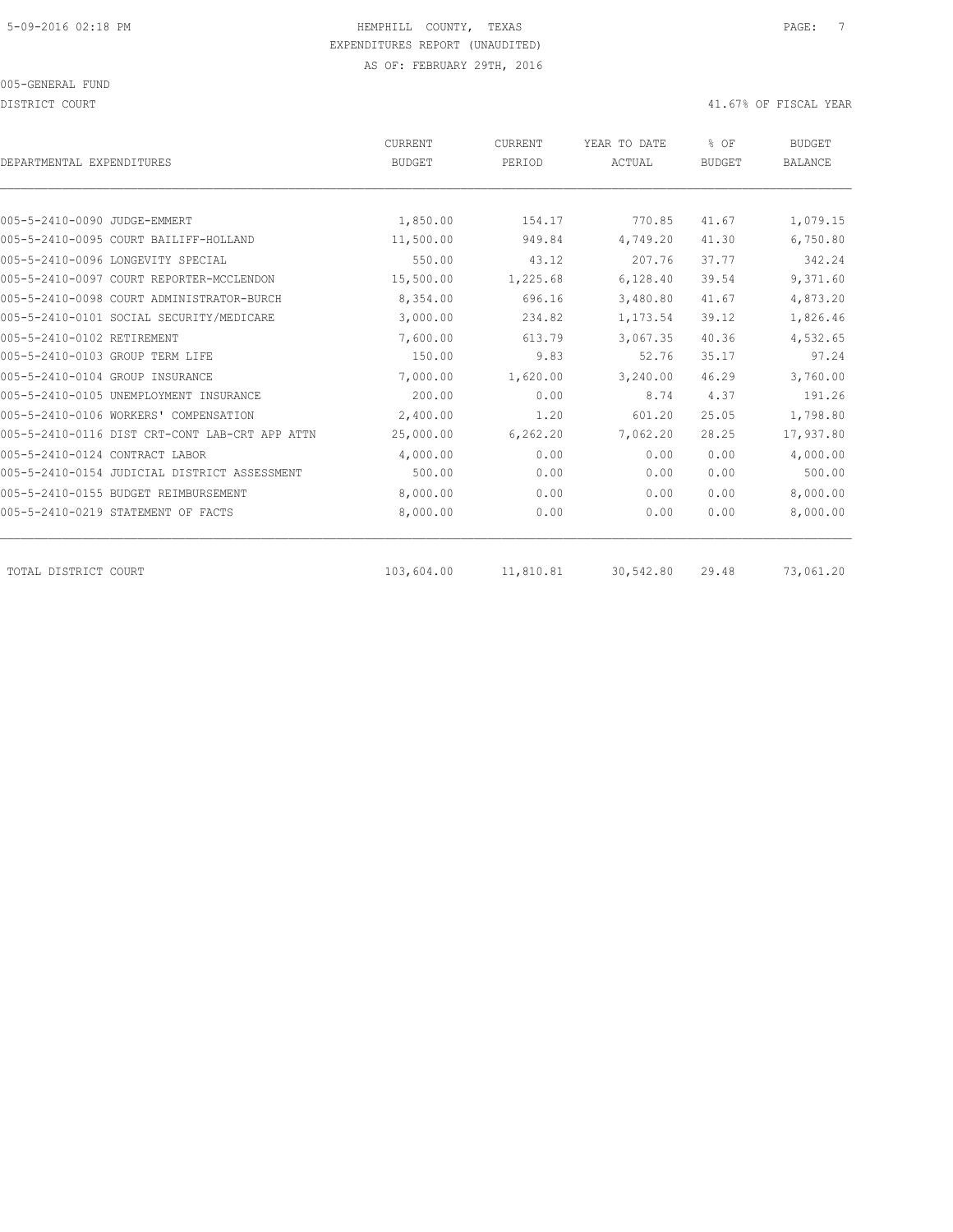DISTRICT COURT COURT COURT COURT COURT COURT COURT COURT COURT COURT COURT COURT COURT COURT COURT COURT COURT

| DEPARTMENTAL EXPENDITURES                      | <b>CURRENT</b><br><b>BUDGET</b> | CURRENT<br>PERIOD | YEAR TO DATE<br>ACTUAL | % OF<br><b>BUDGET</b> | <b>BUDGET</b><br><b>BALANCE</b> |
|------------------------------------------------|---------------------------------|-------------------|------------------------|-----------------------|---------------------------------|
|                                                |                                 |                   |                        |                       |                                 |
| 005-5-2410-0090 JUDGE-EMMERT                   | 1,850.00                        | 154.17            | 770.85                 | 41.67                 | 1,079.15                        |
| 005-5-2410-0095 COURT BAILIFF-HOLLAND          | 11,500.00                       | 949.84            | 4,749.20               | 41.30                 | 6,750.80                        |
| 005-5-2410-0096 LONGEVITY SPECIAL              | 550.00                          | 43.12             | 207.76                 | 37.77                 | 342.24                          |
| 005-5-2410-0097 COURT REPORTER-MCCLENDON       | 15,500.00                       | 1,225.68          | 6,128.40               | 39.54                 | 9,371.60                        |
| 005-5-2410-0098 COURT ADMINISTRATOR-BURCH      | 8,354.00                        | 696.16            | 3,480.80               | 41.67                 | 4,873.20                        |
| 005-5-2410-0101 SOCIAL SECURITY/MEDICARE       | 3,000.00                        | 234.82            | 1,173.54               | 39.12                 | 1,826.46                        |
| 005-5-2410-0102 RETIREMENT                     | 7,600.00                        | 613.79            | 3,067.35               | 40.36                 | 4,532.65                        |
| 005-5-2410-0103 GROUP TERM LIFE                | 150.00                          | 9.83              | 52.76                  | 35.17                 | 97.24                           |
| 005-5-2410-0104 GROUP INSURANCE                | 7,000.00                        | 1,620.00          | 3,240.00               | 46.29                 | 3,760.00                        |
| 005-5-2410-0105 UNEMPLOYMENT INSURANCE         | 200.00                          | 0.00              | 8.74                   | 4.37                  | 191.26                          |
| 005-5-2410-0106 WORKERS' COMPENSATION          | 2,400.00                        | 1.20              | 601.20                 | 25.05                 | 1,798.80                        |
| 005-5-2410-0116 DIST CRT-CONT LAB-CRT APP ATTN | 25,000.00                       | 6, 262.20         | 7,062.20               | 28.25                 | 17,937.80                       |
| 005-5-2410-0124 CONTRACT LABOR                 | 4,000.00                        | 0.00              | 0.00                   | 0.00                  | 4,000.00                        |
| 005-5-2410-0154 JUDICIAL DISTRICT ASSESSMENT   | 500.00                          | 0.00              | 0.00                   | 0.00                  | 500.00                          |
| 005-5-2410-0155 BUDGET REIMBURSEMENT           | 8,000.00                        | 0.00              | 0.00                   | 0.00                  | 8,000.00                        |
| 005-5-2410-0219 STATEMENT OF FACTS             | 8,000.00                        | 0.00              | 0.00                   | 0.00                  | 8,000.00                        |
| TOTAL DISTRICT COURT                           | 103,604.00                      | 11,810.81         | 30,542.80              | 29.48                 | 73,061.20                       |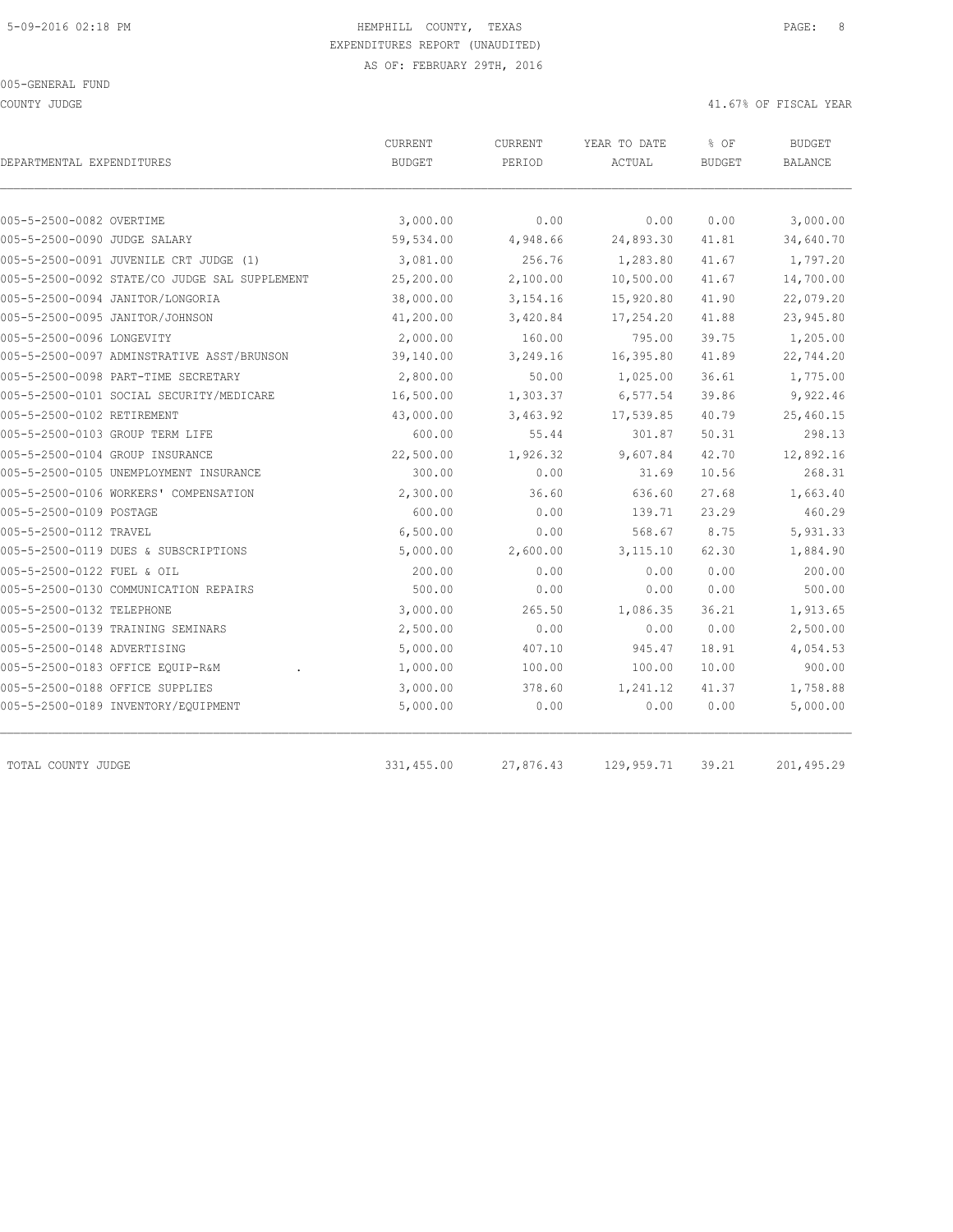COUNTY JUDGE 41.67% OF FISCAL YEAR

| DEPARTMENTAL EXPENDITURES                     | CURRENT<br><b>BUDGET</b> | CURRENT<br>PERIOD | YEAR TO DATE<br>ACTUAL | % OF<br><b>BUDGET</b> | <b>BUDGET</b><br><b>BALANCE</b> |
|-----------------------------------------------|--------------------------|-------------------|------------------------|-----------------------|---------------------------------|
|                                               |                          |                   |                        |                       |                                 |
| 005-5-2500-0082 OVERTIME                      | 3,000.00                 | 0.00              | 0.00                   | 0.00                  | 3,000.00                        |
| 005-5-2500-0090 JUDGE SALARY                  | 59,534.00                | 4,948.66          | 24,893.30              | 41.81                 | 34,640.70                       |
| 005-5-2500-0091 JUVENILE CRT JUDGE (1)        | 3,081.00                 | 256.76            | 1,283.80               | 41.67                 | 1,797.20                        |
| 005-5-2500-0092 STATE/CO JUDGE SAL SUPPLEMENT | 25,200.00                | 2,100.00          | 10,500.00              | 41.67                 | 14,700.00                       |
| 005-5-2500-0094 JANITOR/LONGORIA              | 38,000.00                | 3, 154. 16        | 15,920.80              | 41.90                 | 22,079.20                       |
| 005-5-2500-0095 JANITOR/JOHNSON               | 41,200.00                | 3,420.84          | 17,254.20              | 41.88                 | 23,945.80                       |
| 005-5-2500-0096 LONGEVITY                     | 2,000.00                 | 160.00            | 795.00                 | 39.75                 | 1,205.00                        |
| 005-5-2500-0097 ADMINSTRATIVE ASST/BRUNSON    | 39,140.00                | 3,249.16          | 16,395.80              | 41.89                 | 22,744.20                       |
| 005-5-2500-0098 PART-TIME SECRETARY           | 2,800.00                 | 50.00             | 1,025.00               | 36.61                 | 1,775.00                        |
| 005-5-2500-0101 SOCIAL SECURITY/MEDICARE      | 16,500.00                | 1,303.37          | 6,577.54               | 39.86                 | 9,922.46                        |
| 005-5-2500-0102 RETIREMENT                    | 43,000.00                | 3,463.92          | 17,539.85              | 40.79                 | 25,460.15                       |
| 005-5-2500-0103 GROUP TERM LIFE               | 600.00                   | 55.44             | 301.87                 | 50.31                 | 298.13                          |
| 005-5-2500-0104 GROUP INSURANCE               | 22,500.00                | 1,926.32          | 9,607.84               | 42.70                 | 12,892.16                       |
| 005-5-2500-0105 UNEMPLOYMENT INSURANCE        | 300.00                   | 0.00              | 31.69                  | 10.56                 | 268.31                          |
| 005-5-2500-0106 WORKERS' COMPENSATION         | 2,300.00                 | 36.60             | 636.60                 | 27.68                 | 1,663.40                        |
| 005-5-2500-0109 POSTAGE                       | 600.00                   | 0.00              | 139.71                 | 23.29                 | 460.29                          |
| 005-5-2500-0112 TRAVEL                        | 6,500.00                 | 0.00              | 568.67                 | 8.75                  | 5,931.33                        |
| 005-5-2500-0119 DUES & SUBSCRIPTIONS          | 5,000.00                 | 2,600.00          | 3, 115.10              | 62.30                 | 1,884.90                        |
| 005-5-2500-0122 FUEL & OIL                    | 200.00                   | 0.00              | 0.00                   | 0.00                  | 200.00                          |
| 005-5-2500-0130 COMMUNICATION REPAIRS         | 500.00                   | 0.00              | 0.00                   | 0.00                  | 500.00                          |
| 005-5-2500-0132 TELEPHONE                     | 3,000.00                 | 265.50            | 1,086.35               | 36.21                 | 1,913.65                        |
| 005-5-2500-0139 TRAINING SEMINARS             | 2,500.00                 | 0.00              | 0.00                   | 0.00                  | 2,500.00                        |
| 005-5-2500-0148 ADVERTISING                   | 5,000.00                 | 407.10            | 945.47                 | 18.91                 | 4,054.53                        |
| 005-5-2500-0183 OFFICE EQUIP-R&M              | 1,000.00                 | 100.00            | 100.00                 | 10.00                 | 900.00                          |
| 005-5-2500-0188 OFFICE SUPPLIES               | 3,000.00                 | 378.60            | 1,241.12               | 41.37                 | 1,758.88                        |
| 005-5-2500-0189 INVENTORY/EQUIPMENT           | 5,000.00                 | 0.00              | 0.00                   | 0.00                  | 5,000.00                        |
| TOTAL COUNTY JUDGE                            | 331,455.00               | 27,876.43         | 129,959.71             | 39.21                 | 201,495.29                      |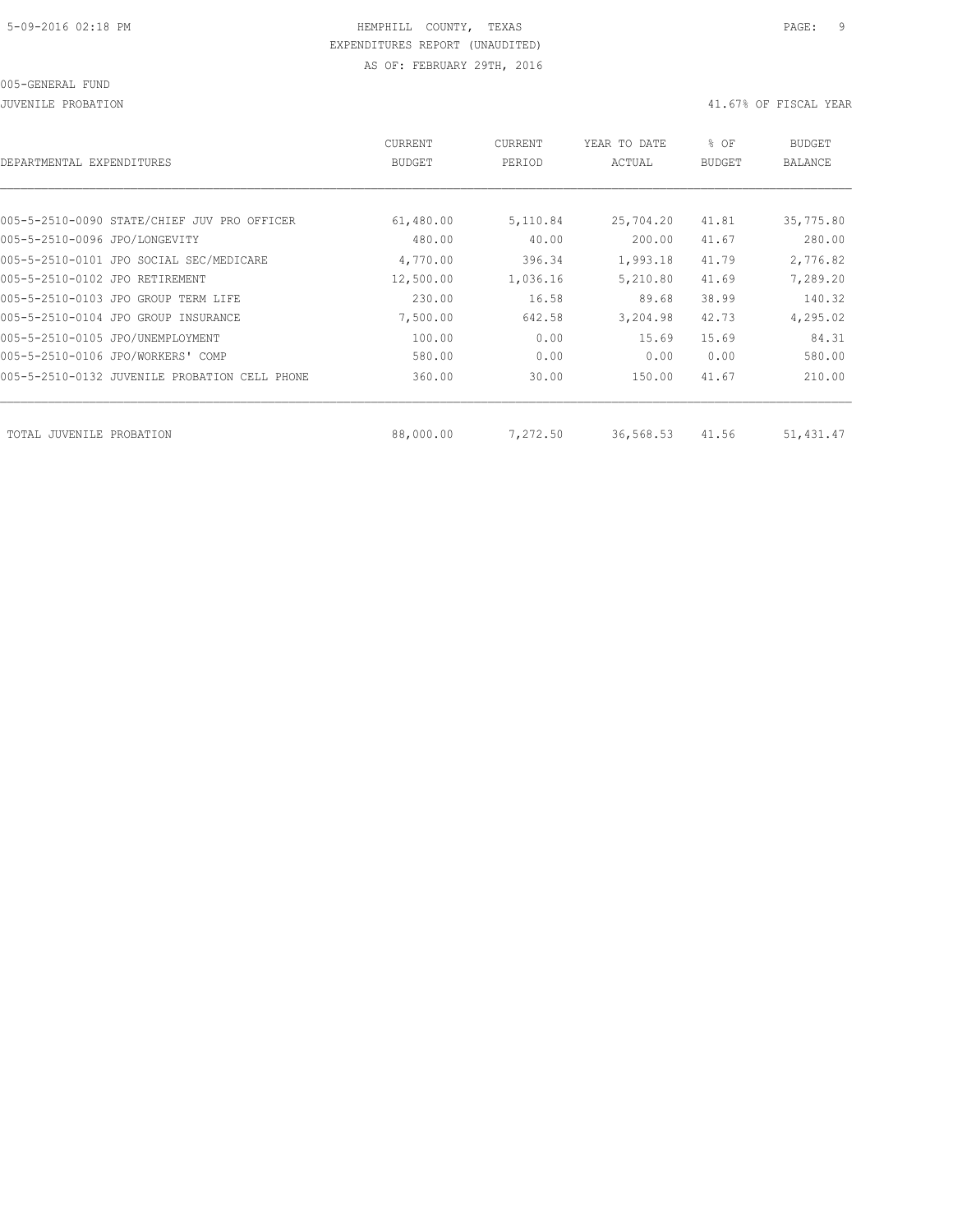JUVENILE PROBATION 41.67% OF FISCAL YEAR

| DEPARTMENTAL EXPENDITURES                     | CURRENT<br><b>BUDGET</b> | CURRENT<br>PERIOD | YEAR TO DATE<br>ACTUAL | % OF<br><b>BUDGET</b> | BUDGET<br><b>BALANCE</b> |
|-----------------------------------------------|--------------------------|-------------------|------------------------|-----------------------|--------------------------|
|                                               |                          |                   |                        |                       |                          |
| 005-5-2510-0090 STATE/CHIEF JUV PRO OFFICER   | 61,480.00                | 5,110.84          | 25,704.20              | 41.81                 | 35,775.80                |
| 005-5-2510-0096 JPO/LONGEVITY                 | 480.00                   | 40.00             | 200.00                 | 41.67                 | 280.00                   |
| 005-5-2510-0101 JPO SOCIAL SEC/MEDICARE       | 4,770.00                 | 396.34            | 1,993.18               | 41.79                 | 2,776.82                 |
| 005-5-2510-0102 JPO RETIREMENT                | 12,500.00                | 1,036.16          | 5,210.80               | 41.69                 | 7,289.20                 |
| 005-5-2510-0103 JPO GROUP TERM LIFE           | 230.00                   | 16.58             | 89.68                  | 38.99                 | 140.32                   |
| 005-5-2510-0104 JPO GROUP INSURANCE           | 7,500.00                 | 642.58            | 3,204.98               | 42.73                 | 4,295.02                 |
| 005-5-2510-0105 JPO/UNEMPLOYMENT              | 100.00                   | 0.00              | 15.69                  | 15.69                 | 84.31                    |
| 005-5-2510-0106 JPO/WORKERS' COMP             | 580.00                   | 0.00              | 0.00                   | 0.00                  | 580.00                   |
| 005-5-2510-0132 JUVENILE PROBATION CELL PHONE | 360.00                   | 30.00             | 150.00                 | 41.67                 | 210.00                   |
|                                               |                          |                   |                        |                       |                          |
| TOTAL JUVENILE PROBATION                      | 88,000.00                | 7,272.50          | 36,568.53              | 41.56                 | 51,431.47                |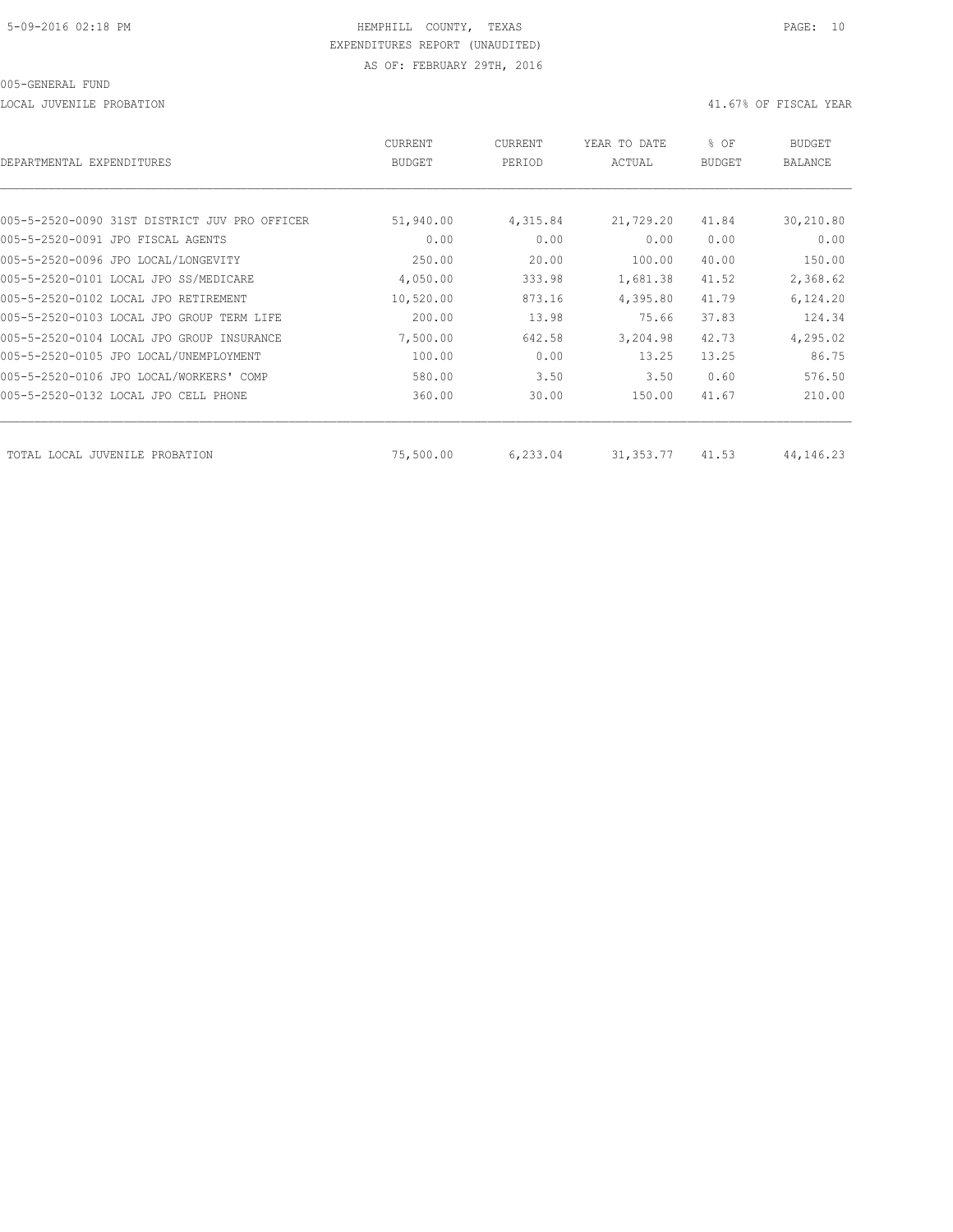LOCAL JUVENILE PROBATION 41.67% OF FISCAL YEAR

| DEPARTMENTAL EXPENDITURES                     | <b>CURRENT</b><br><b>BUDGET</b> | CURRENT<br>PERIOD | YEAR TO DATE<br>ACTUAL | % OF<br><b>BUDGET</b> | <b>BUDGET</b><br><b>BALANCE</b> |
|-----------------------------------------------|---------------------------------|-------------------|------------------------|-----------------------|---------------------------------|
|                                               |                                 |                   |                        |                       |                                 |
| 005-5-2520-0090 31ST DISTRICT JUV PRO OFFICER | 51,940.00                       | 4,315.84          | 21,729.20              | 41.84                 | 30,210.80                       |
| 005-5-2520-0091 JPO FISCAL AGENTS             | 0.00                            | 0.00              | 0.00                   | 0.00                  | 0.00                            |
| 005-5-2520-0096 JPO LOCAL/LONGEVITY           | 250.00                          | 20.00             | 100.00                 | 40.00                 | 150.00                          |
| 005-5-2520-0101 LOCAL JPO SS/MEDICARE         | 4,050.00                        | 333.98            | 1,681.38               | 41.52                 | 2,368.62                        |
| 005-5-2520-0102 LOCAL JPO RETIREMENT          | 10,520.00                       | 873.16            | 4,395.80               | 41.79                 | 6,124.20                        |
| 005-5-2520-0103 LOCAL JPO GROUP TERM LIFE     | 200.00                          | 13.98             | 75.66                  | 37.83                 | 124.34                          |
| 005-5-2520-0104 LOCAL JPO GROUP INSURANCE     | 7,500.00                        | 642.58            | 3,204.98               | 42.73                 | 4,295.02                        |
| 005-5-2520-0105 JPO LOCAL/UNEMPLOYMENT        | 100.00                          | 0.00              | 13.25                  | 13.25                 | 86.75                           |
| 005-5-2520-0106 JPO LOCAL/WORKERS' COMP       | 580.00                          | 3.50              | 3.50                   | 0.60                  | 576.50                          |
| 005-5-2520-0132 LOCAL JPO CELL PHONE          | 360.00                          | 30.00             | 150.00                 | 41.67                 | 210.00                          |
| TOTAL LOCAL JUVENILE<br>PROBATION             | 75,500.00                       | 6,233.04          | 31, 353.77             | 41.53                 | 44, 146. 23                     |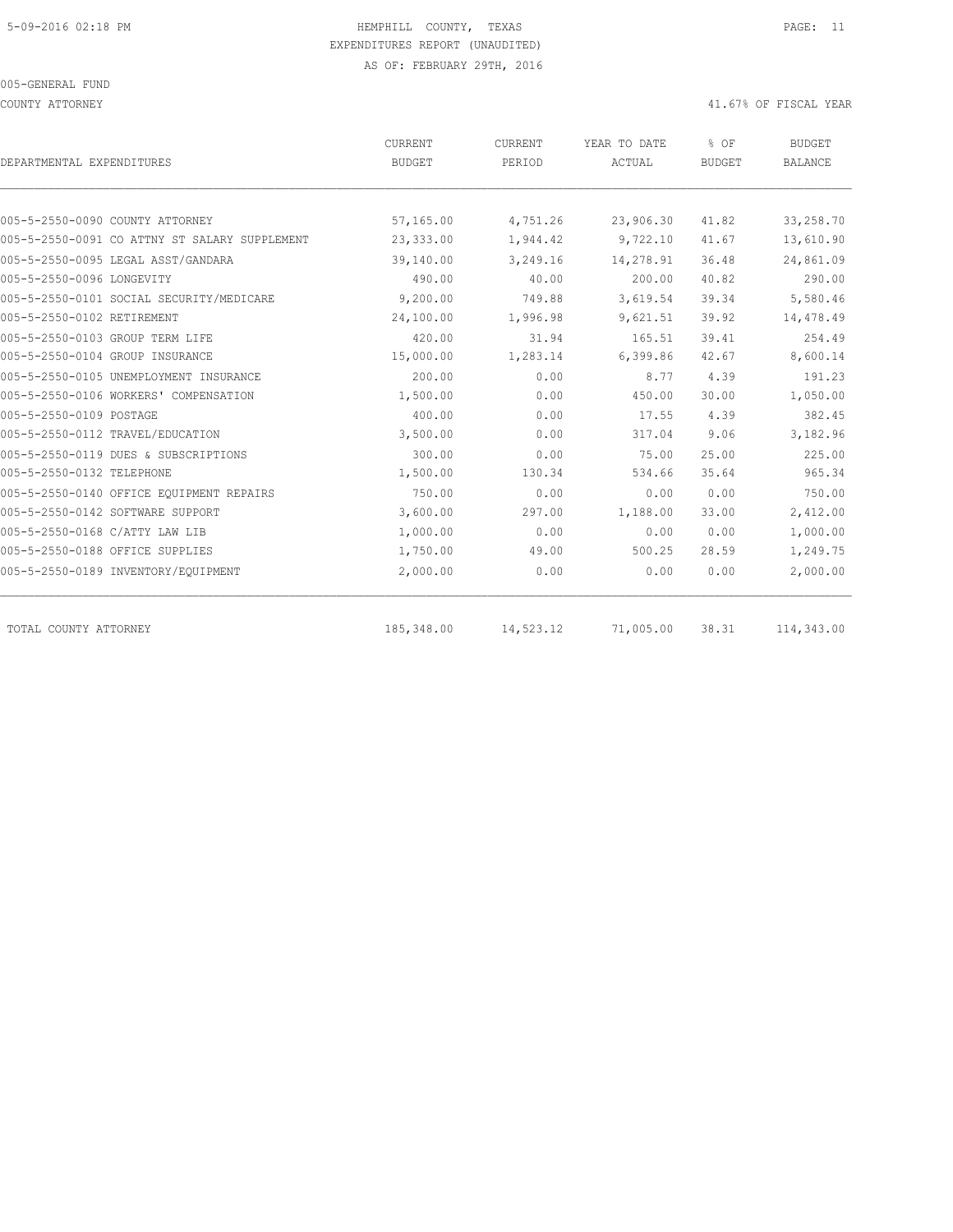COUNTY ATTORNEY 41.67% OF FISCAL YEAR

| DEPARTMENTAL EXPENDITURES                     | CURRENT<br><b>BUDGET</b> | CURRENT<br>PERIOD | YEAR TO DATE<br>ACTUAL | % OF<br><b>BUDGET</b> | <b>BUDGET</b><br><b>BALANCE</b> |
|-----------------------------------------------|--------------------------|-------------------|------------------------|-----------------------|---------------------------------|
|                                               |                          |                   |                        |                       |                                 |
| 005-5-2550-0090 COUNTY ATTORNEY               | 57,165.00                | 4,751.26          | 23,906.30              | 41.82                 | 33,258.70                       |
| 005-5-2550-0091 CO ATTNY ST SALARY SUPPLEMENT | 23,333.00                | 1,944.42          | 9,722.10               | 41.67                 | 13,610.90                       |
| 005-5-2550-0095 LEGAL ASST/GANDARA            | 39,140.00                | 3,249.16          | 14,278.91              | 36.48                 | 24,861.09                       |
| 005-5-2550-0096 LONGEVITY                     | 490.00                   | 40.00             | 200.00                 | 40.82                 | 290.00                          |
| 005-5-2550-0101 SOCIAL SECURITY/MEDICARE      | 9,200.00                 | 749.88            | 3,619.54               | 39.34                 | 5,580.46                        |
| 005-5-2550-0102 RETIREMENT                    | 24,100.00                | 1,996.98          | 9,621.51               | 39.92                 | 14,478.49                       |
| 005-5-2550-0103 GROUP TERM LIFE               | 420.00                   | 31.94             | 165.51                 | 39.41                 | 254.49                          |
| 005-5-2550-0104 GROUP INSURANCE               | 15,000.00                | 1,283.14          | 6,399.86               | 42.67                 | 8,600.14                        |
| 005-5-2550-0105 UNEMPLOYMENT INSURANCE        | 200.00                   | 0.00              | 8.77                   | 4.39                  | 191.23                          |
| 005-5-2550-0106 WORKERS' COMPENSATION         | 1,500.00                 | 0.00              | 450.00                 | 30.00                 | 1,050.00                        |
| 005-5-2550-0109 POSTAGE                       | 400.00                   | 0.00              | 17.55                  | 4.39                  | 382.45                          |
| 005-5-2550-0112 TRAVEL/EDUCATION              | 3,500.00                 | 0.00              | 317.04                 | 9.06                  | 3,182.96                        |
| 005-5-2550-0119 DUES & SUBSCRIPTIONS          | 300.00                   | 0.00              | 75.00                  | 25.00                 | 225.00                          |
| 005-5-2550-0132 TELEPHONE                     | 1,500.00                 | 130.34            | 534.66                 | 35.64                 | 965.34                          |
| 005-5-2550-0140 OFFICE EOUIPMENT REPAIRS      | 750.00                   | 0.00              | 0.00                   | 0.00                  | 750.00                          |
| 005-5-2550-0142 SOFTWARE SUPPORT              | 3,600.00                 | 297.00            | 1,188.00               | 33.00                 | 2,412.00                        |
| 005-5-2550-0168 C/ATTY LAW LIB                | 1,000.00                 | 0.00              | 0.00                   | 0.00                  | 1,000.00                        |
| 005-5-2550-0188 OFFICE SUPPLIES               | 1,750.00                 | 49.00             | 500.25                 | 28.59                 | 1,249.75                        |
| 005-5-2550-0189 INVENTORY/EQUIPMENT           | 2,000.00                 | 0.00              | 0.00                   | 0.00                  | 2,000.00                        |
| TOTAL COUNTY ATTORNEY                         | 185,348.00               | 14,523.12         | 71,005.00              | 38.31                 | 114,343.00                      |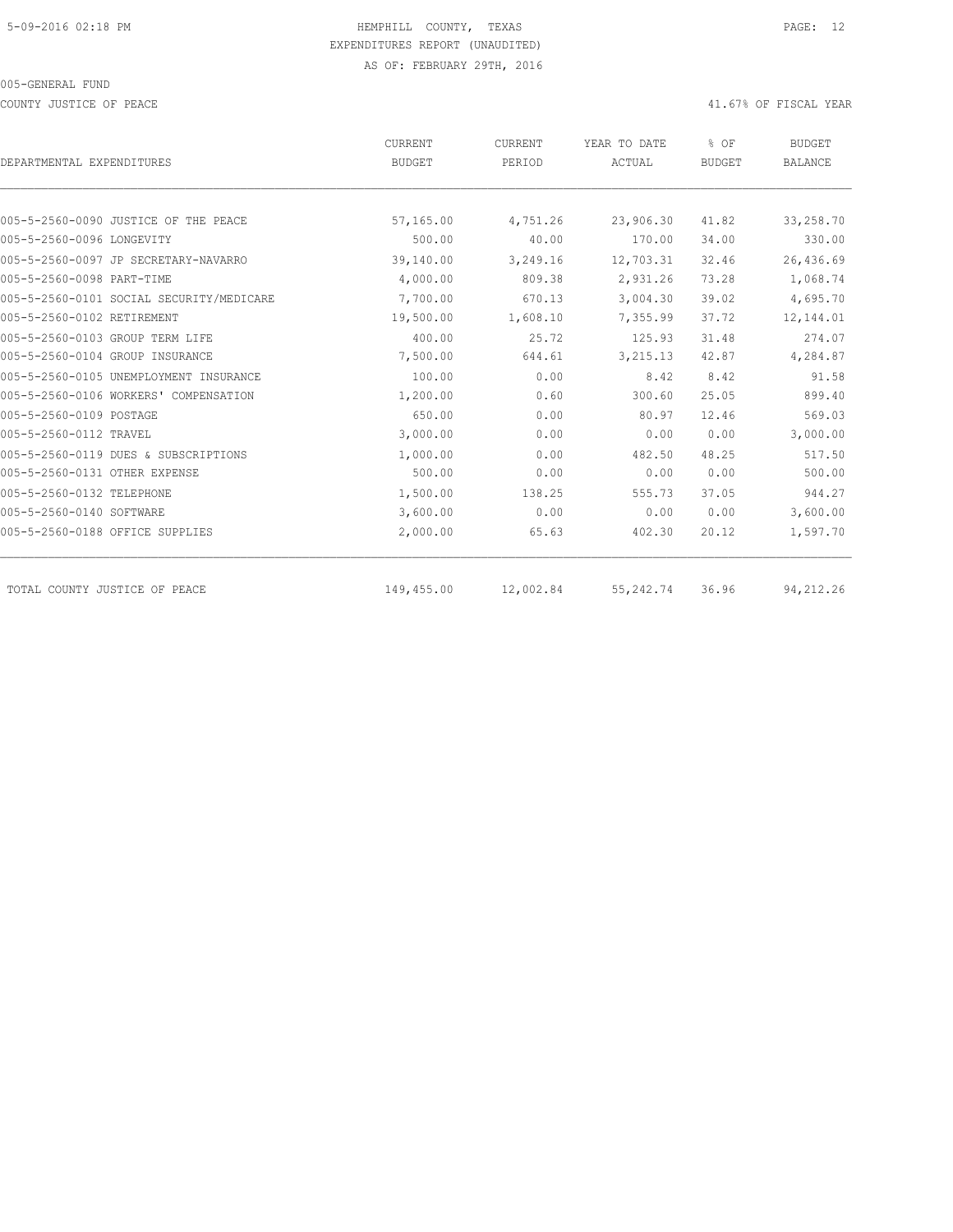COUNTY JUSTICE OF PEACE **Alternative COUNTY ACCOUNTY ACCOUNTY** JUSTICE OF FISCAL YEAR

| DEPARTMENTAL EXPENDITURES                | CURRENT<br><b>BUDGET</b> | CURRENT<br>PERIOD | YEAR TO DATE<br>ACTUAL | % OF<br>BUDGET | <b>BUDGET</b><br><b>BALANCE</b> |  |
|------------------------------------------|--------------------------|-------------------|------------------------|----------------|---------------------------------|--|
|                                          |                          |                   |                        |                |                                 |  |
| 005-5-2560-0090 JUSTICE OF THE PEACE     |                          |                   |                        |                |                                 |  |
| 005-5-2560-0096 LONGEVITY                | 57,165.00<br>500.00      | 4,751.26<br>40.00 | 23,906.30<br>170.00    | 41.82<br>34.00 | 33,258.70<br>330.00             |  |
|                                          |                          |                   |                        |                |                                 |  |
| 005-5-2560-0097 JP SECRETARY-NAVARRO     | 39,140.00                | 3,249.16          | 12,703.31              | 32.46          | 26,436.69                       |  |
| 005-5-2560-0098 PART-TIME                | 4,000.00                 | 809.38            | 2,931.26               | 73.28          | 1,068.74                        |  |
| 005-5-2560-0101 SOCIAL SECURITY/MEDICARE | 7,700.00                 | 670.13            | 3,004.30               | 39.02          | 4,695.70                        |  |
| 005-5-2560-0102 RETIREMENT               | 19,500.00                | 1,608.10          | 7,355.99               | 37.72          | 12,144.01                       |  |
| 005-5-2560-0103 GROUP TERM LIFE          | 400.00                   | 25.72             | 125.93                 | 31.48          | 274.07                          |  |
| 005-5-2560-0104 GROUP INSURANCE          | 7,500.00                 | 644.61            | 3,215.13               | 42.87          | 4,284.87                        |  |
| 005-5-2560-0105 UNEMPLOYMENT INSURANCE   | 100.00                   | 0.00              | 8.42                   | 8.42           | 91.58                           |  |
| 005-5-2560-0106 WORKERS' COMPENSATION    | 1,200.00                 | 0.60              | 300.60                 | 25.05          | 899.40                          |  |
| 005-5-2560-0109 POSTAGE                  | 650.00                   | 0.00              | 80.97                  | 12.46          | 569.03                          |  |
| 005-5-2560-0112 TRAVEL                   | 3,000.00                 | 0.00              | 0.00                   | 0.00           | 3,000.00                        |  |
| 005-5-2560-0119 DUES & SUBSCRIPTIONS     | 1,000.00                 | 0.00              | 482.50                 | 48.25          | 517.50                          |  |
| 005-5-2560-0131 OTHER EXPENSE            | 500.00                   | 0.00              | 0.00                   | 0.00           | 500.00                          |  |
| 005-5-2560-0132 TELEPHONE                | 1,500.00                 | 138.25            | 555.73                 | 37.05          | 944.27                          |  |
| 005-5-2560-0140 SOFTWARE                 | 3,600.00                 | 0.00              | 0.00                   | 0.00           | 3,600.00                        |  |
| 005-5-2560-0188 OFFICE SUPPLIES          | 2,000.00                 | 65.63             | 402.30                 | 20.12          | 1,597.70                        |  |
| TOTAL COUNTY JUSTICE OF PEACE            | 149,455.00               | 12,002.84         | 55,242.74              | 36.96          | 94,212.26                       |  |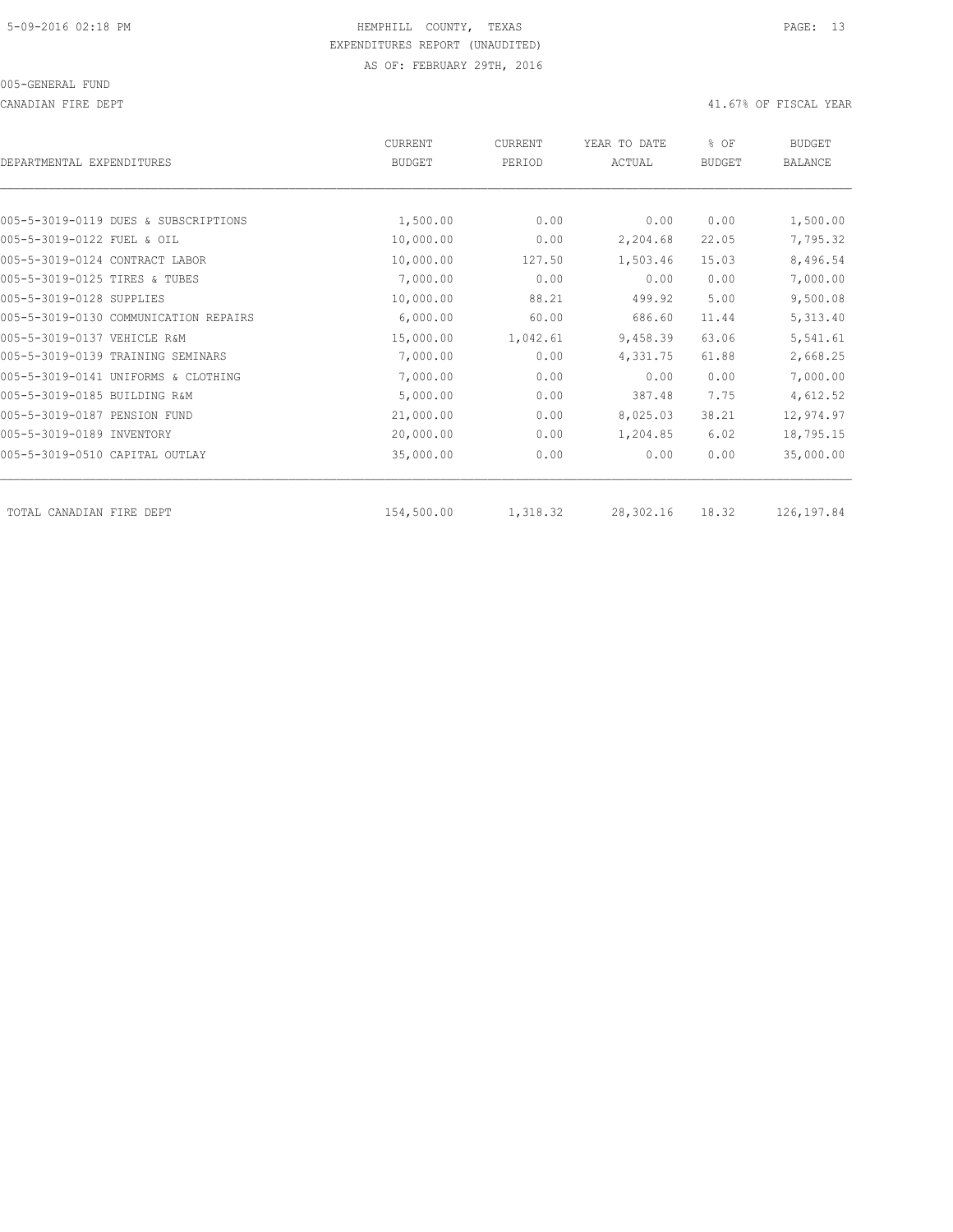CANADIAN FIRE DEPT 41.67% OF FISCAL YEAR

| DEPARTMENTAL EXPENDITURES             | <b>CURRENT</b><br><b>BUDGET</b> | CURRENT<br>PERIOD | YEAR TO DATE<br>ACTUAL | % OF<br><b>BUDGET</b> | <b>BUDGET</b><br><b>BALANCE</b> |
|---------------------------------------|---------------------------------|-------------------|------------------------|-----------------------|---------------------------------|
|                                       |                                 |                   |                        |                       |                                 |
| 005-5-3019-0119 DUES & SUBSCRIPTIONS  | 1,500.00                        | 0.00              | 0.00                   | 0.00                  | 1,500.00                        |
| 005-5-3019-0122 FUEL & OIL            | 10,000.00                       | 0.00              | 2,204.68               | 22.05                 | 7,795.32                        |
| 005-5-3019-0124 CONTRACT LABOR        | 10,000.00                       | 127.50            | 1,503.46               | 15.03                 | 8,496.54                        |
| 005-5-3019-0125 TIRES & TUBES         | 7,000.00                        | 0.00              | 0.00                   | 0.00                  | 7,000.00                        |
| 005-5-3019-0128 SUPPLIES              | 10,000.00                       | 88.21             | 499.92                 | 5.00                  | 9,500.08                        |
| 005-5-3019-0130 COMMUNICATION REPAIRS | 6,000.00                        | 60.00             | 686.60                 | 11.44                 | 5,313.40                        |
| 005-5-3019-0137 VEHICLE R&M           | 15,000.00                       | 1,042.61          | 9,458.39               | 63.06                 | 5,541.61                        |
| 005-5-3019-0139 TRAINING SEMINARS     | 7,000.00                        | 0.00              | 4,331.75               | 61.88                 | 2,668.25                        |
| 005-5-3019-0141 UNIFORMS & CLOTHING   | 7,000.00                        | 0.00              | 0.00                   | 0.00                  | 7,000.00                        |
| 005-5-3019-0185 BUILDING R&M          | 5,000.00                        | 0.00              | 387.48                 | 7.75                  | 4,612.52                        |
| 005-5-3019-0187 PENSION FUND          | 21,000.00                       | 0.00              | 8,025.03               | 38.21                 | 12,974.97                       |
| 005-5-3019-0189 INVENTORY             | 20,000.00                       | 0.00              | 1,204.85               | 6.02                  | 18,795.15                       |
| 005-5-3019-0510 CAPITAL OUTLAY        | 35,000.00                       | 0.00              | 0.00                   | 0.00                  | 35,000.00                       |
| TOTAL CANADIAN FIRE DEPT              | 154,500.00                      | 1,318.32          | 28,302.16              | 18.32                 | 126,197.84                      |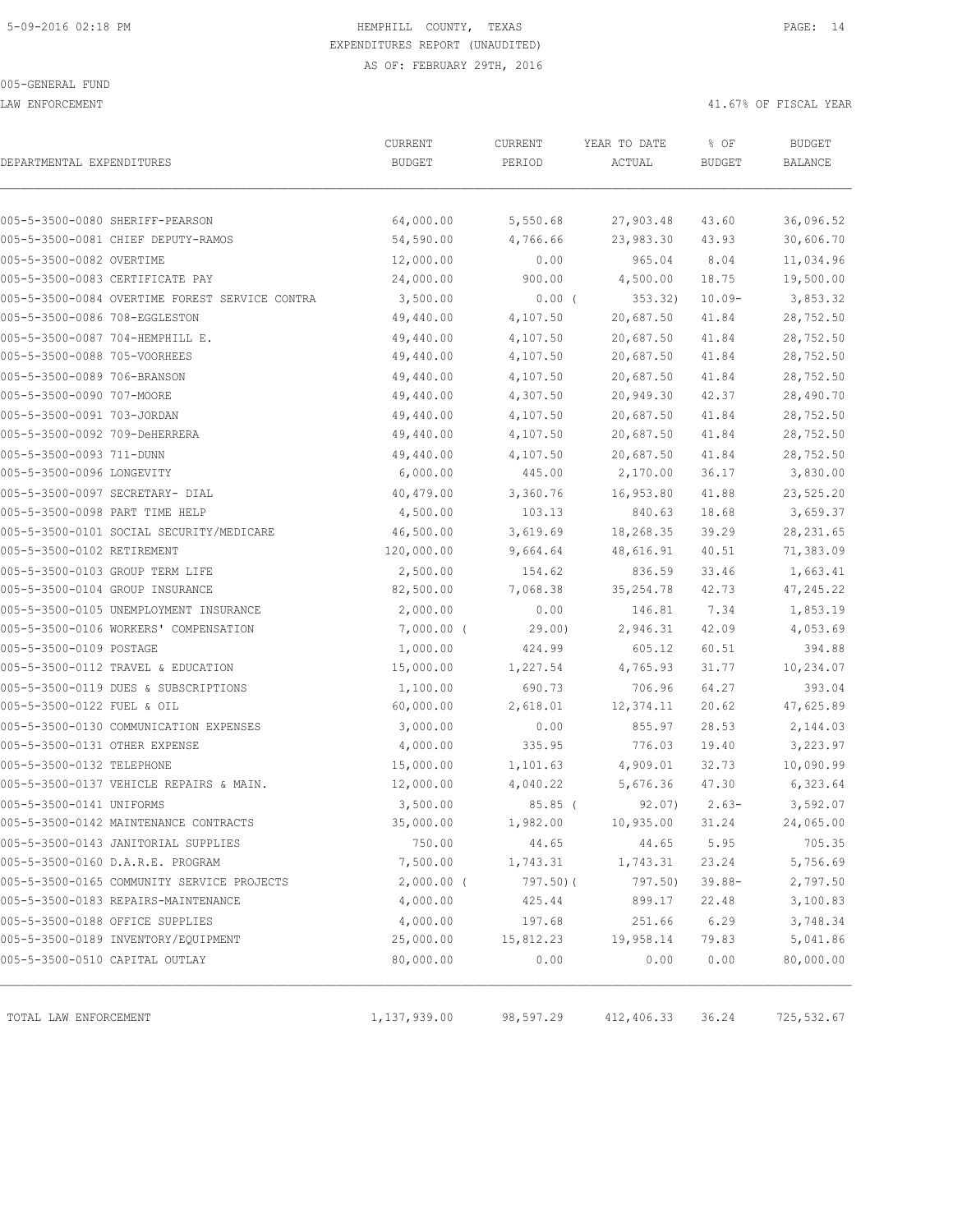LAW ENFORCEMENT 41.67% OF FISCAL YEAR

|                                |                                                | CURRENT       | CURRENT   | YEAR TO DATE | % OF          | <b>BUDGET</b> |
|--------------------------------|------------------------------------------------|---------------|-----------|--------------|---------------|---------------|
| DEPARTMENTAL EXPENDITURES      |                                                | <b>BUDGET</b> | PERIOD    | ACTUAL       | <b>BUDGET</b> | BALANCE       |
|                                | 005-5-3500-0080 SHERIFF-PEARSON                | 64,000.00     | 5,550.68  | 27,903.48    | 43.60         | 36,096.52     |
|                                | 005-5-3500-0081 CHIEF DEPUTY-RAMOS             | 54,590.00     | 4,766.66  | 23,983.30    | 43.93         | 30,606.70     |
| 005-5-3500-0082 OVERTIME       |                                                | 12,000.00     | 0.00      | 965.04       | 8.04          | 11,034.96     |
|                                | 005-5-3500-0083 CERTIFICATE PAY                | 24,000.00     | 900.00    | 4,500.00     | 18.75         | 19,500.00     |
|                                | 005-5-3500-0084 OVERTIME FOREST SERVICE CONTRA | 3,500.00      | $0.00$ (  | 353.32)      | $10.09 -$     | 3,853.32      |
| 005-5-3500-0086 708-EGGLESTON  |                                                | 49,440.00     | 4,107.50  | 20,687.50    | 41.84         | 28,752.50     |
|                                | 005-5-3500-0087 704-HEMPHILL E.                | 49,440.00     | 4,107.50  | 20,687.50    | 41.84         | 28,752.50     |
| 005-5-3500-0088 705-VOORHEES   |                                                | 49,440.00     | 4,107.50  | 20,687.50    | 41.84         | 28,752.50     |
| 005-5-3500-0089 706-BRANSON    |                                                | 49,440.00     | 4,107.50  | 20,687.50    | 41.84         | 28,752.50     |
| 005-5-3500-0090 707-MOORE      |                                                | 49,440.00     | 4,307.50  | 20,949.30    | 42.37         | 28,490.70     |
| 005-5-3500-0091 703-JORDAN     |                                                | 49,440.00     | 4,107.50  | 20,687.50    | 41.84         | 28,752.50     |
| 005-5-3500-0092 709-DeHERRERA  |                                                | 49,440.00     | 4,107.50  | 20,687.50    | 41.84         | 28,752.50     |
| 005-5-3500-0093 711-DUNN       |                                                | 49,440.00     | 4,107.50  | 20,687.50    | 41.84         | 28,752.50     |
| 005-5-3500-0096 LONGEVITY      |                                                | 6,000.00      | 445.00    | 2,170.00     | 36.17         | 3,830.00      |
|                                | 005-5-3500-0097 SECRETARY- DIAL                | 40,479.00     | 3,360.76  | 16,953.80    | 41.88         | 23,525.20     |
| 005-5-3500-0098 PART TIME HELP |                                                | 4,500.00      | 103.13    | 840.63       | 18.68         | 3,659.37      |
|                                | 005-5-3500-0101 SOCIAL SECURITY/MEDICARE       | 46,500.00     | 3,619.69  | 18,268.35    | 39.29         | 28, 231.65    |
| 005-5-3500-0102 RETIREMENT     |                                                | 120,000.00    | 9,664.64  | 48,616.91    | 40.51         | 71,383.09     |
|                                | 005-5-3500-0103 GROUP TERM LIFE                | 2,500.00      | 154.62    | 836.59       | 33.46         | 1,663.41      |
|                                | 005-5-3500-0104 GROUP INSURANCE                | 82,500.00     | 7,068.38  | 35, 254.78   | 42.73         | 47,245.22     |
|                                | 005-5-3500-0105 UNEMPLOYMENT INSURANCE         | 2,000.00      | 0.00      | 146.81       | 7.34          | 1,853.19      |
|                                | 005-5-3500-0106 WORKERS' COMPENSATION          | $7,000.00$ (  | 29.00     | 2,946.31     | 42.09         | 4,053.69      |
| 005-5-3500-0109 POSTAGE        |                                                | 1,000.00      | 424.99    | 605.12       | 60.51         | 394.88        |
|                                | 005-5-3500-0112 TRAVEL & EDUCATION             | 15,000.00     | 1,227.54  | 4,765.93     | 31.77         | 10,234.07     |
|                                | 005-5-3500-0119 DUES & SUBSCRIPTIONS           | 1,100.00      | 690.73    | 706.96       | 64.27         | 393.04        |
| 005-5-3500-0122 FUEL & OIL     |                                                | 60,000.00     | 2,618.01  | 12,374.11    | 20.62         | 47,625.89     |
|                                | 005-5-3500-0130 COMMUNICATION EXPENSES         | 3,000.00      | 0.00      | 855.97       | 28.53         | 2,144.03      |
| 005-5-3500-0131 OTHER EXPENSE  |                                                | 4,000.00      | 335.95    | 776.03       | 19.40         | 3,223.97      |
| 005-5-3500-0132 TELEPHONE      |                                                | 15,000.00     | 1,101.63  | 4,909.01     | 32.73         | 10,090.99     |
|                                | 005-5-3500-0137 VEHICLE REPAIRS & MAIN.        | 12,000.00     | 4,040.22  | 5,676.36     | 47.30         | 6,323.64      |
| 005-5-3500-0141 UNIFORMS       |                                                | 3,500.00      | $85.85$ ( | 92.07)       | $2.63-$       | 3,592.07      |
|                                | 005-5-3500-0142 MAINTENANCE CONTRACTS          | 35,000.00     | 1,982.00  | 10,935.00    | 31.24         | 24,065.00     |
|                                | 005-5-3500-0143 JANITORIAL SUPPLIES            | 750.00        | 44.65     | 44.65        | 5.95          | 705.35        |
|                                | 005-5-3500-0160 D.A.R.E. PROGRAM               | 7,500.00      | 1,743.31  | 1,743.31     | 23.24         | 5,756.69      |
|                                | 005-5-3500-0165 COMMUNITY SERVICE PROJECTS     | $2,000.00$ (  | 797.50)(  | 797.50)      | $39.88 -$     | 2,797.50      |
|                                | 005-5-3500-0183 REPAIRS-MAINTENANCE            | 4,000.00      | 425.44    | 899.17       | 22.48         | 3,100.83      |
|                                | 005-5-3500-0188 OFFICE SUPPLIES                | 4,000.00      | 197.68    | 251.66       | 6.29          | 3,748.34      |
|                                | 005-5-3500-0189 INVENTORY/EQUIPMENT            | 25,000.00     | 15,812.23 | 19,958.14    | 79.83         | 5,041.86      |
| 005-5-3500-0510 CAPITAL OUTLAY |                                                | 80,000.00     | 0.00      | 0.00         | 0.00          | 80,000.00     |
|                                |                                                |               |           |              |               |               |
| TOTAL LAW ENFORCEMENT          |                                                | 1,137,939.00  | 98,597.29 | 412,406.33   | 36.24         | 725,532.67    |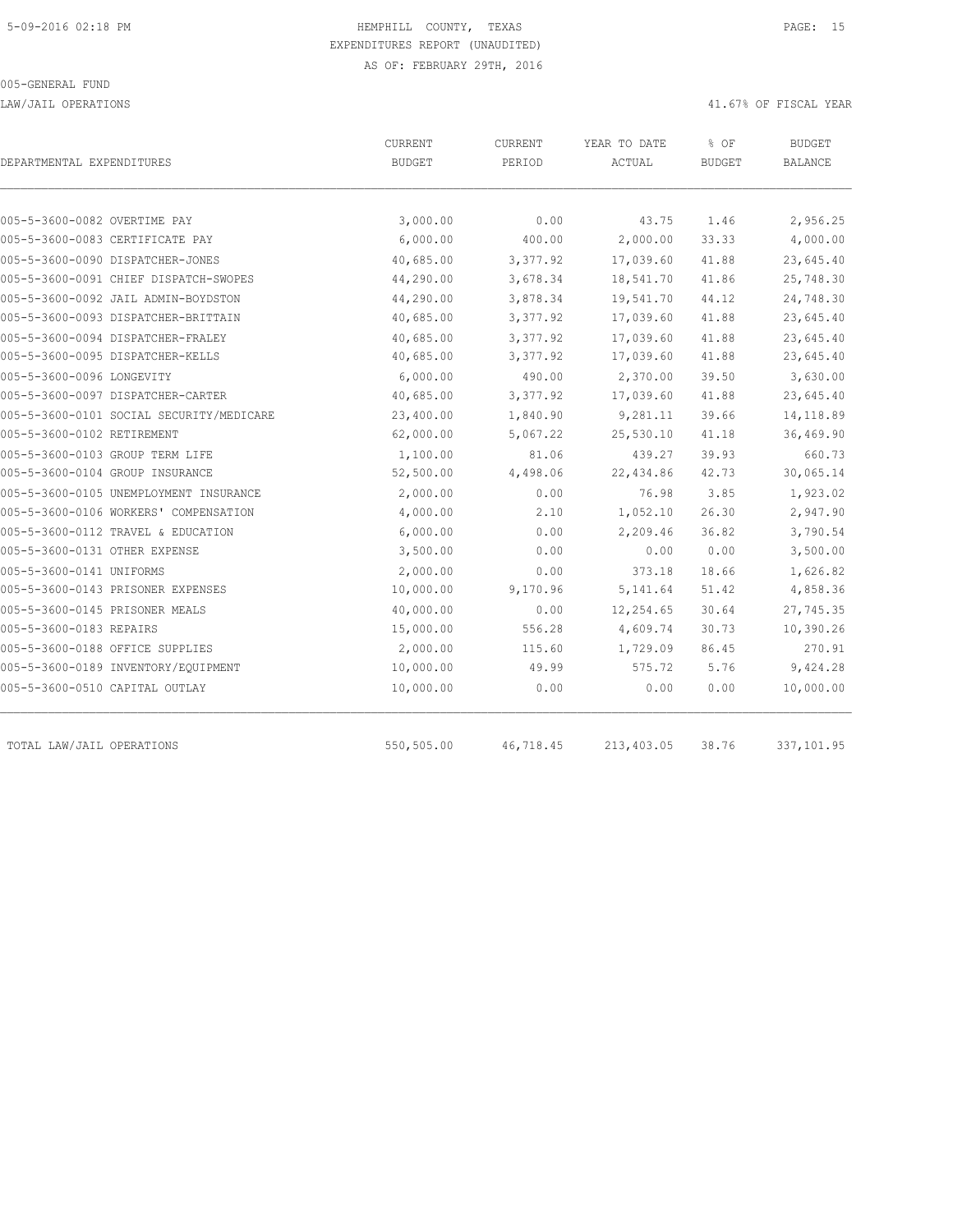LAW/JAIL OPERATIONS 41.67% OF FISCAL YEAR

| DEPARTMENTAL EXPENDITURES                | CURRENT<br><b>BUDGET</b> | CURRENT<br>PERIOD | YEAR TO DATE<br>ACTUAL | % OF<br><b>BUDGET</b> | <b>BUDGET</b><br><b>BALANCE</b> |
|------------------------------------------|--------------------------|-------------------|------------------------|-----------------------|---------------------------------|
| 005-5-3600-0082 OVERTIME PAY             | 3,000.00                 | 0.00              | 43.75                  | 1.46                  | 2,956.25                        |
| 005-5-3600-0083 CERTIFICATE PAY          | 6,000.00                 | 400.00            | 2,000.00               | 33.33                 | 4,000.00                        |
| 005-5-3600-0090 DISPATCHER-JONES         | 40,685.00                | 3,377.92          | 17,039.60              | 41.88                 | 23,645.40                       |
| 005-5-3600-0091 CHIEF DISPATCH-SWOPES    | 44,290.00                | 3,678.34          | 18,541.70              | 41.86                 | 25,748.30                       |
| 005-5-3600-0092 JAIL ADMIN-BOYDSTON      | 44,290.00                | 3,878.34          | 19,541.70              | 44.12                 | 24,748.30                       |
| 005-5-3600-0093 DISPATCHER-BRITTAIN      | 40,685.00                | 3,377.92          | 17,039.60              | 41.88                 | 23,645.40                       |
| 005-5-3600-0094 DISPATCHER-FRALEY        | 40,685.00                | 3,377.92          | 17,039.60              | 41.88                 | 23,645.40                       |
| 005-5-3600-0095 DISPATCHER-KELLS         | 40,685.00                | 3,377.92          | 17,039.60              | 41.88                 | 23,645.40                       |
| 005-5-3600-0096 LONGEVITY                | 6,000.00                 | 490.00            | 2,370.00               | 39.50                 | 3,630.00                        |
| 005-5-3600-0097 DISPATCHER-CARTER        | 40,685.00                | 3,377.92          | 17,039.60              | 41.88                 | 23,645.40                       |
| 005-5-3600-0101 SOCIAL SECURITY/MEDICARE | 23,400.00                | 1,840.90          | 9,281.11               | 39.66                 | 14,118.89                       |
| 005-5-3600-0102 RETIREMENT               | 62,000.00                | 5,067.22          | 25,530.10              | 41.18                 | 36,469.90                       |
| 005-5-3600-0103 GROUP TERM LIFE          | 1,100.00                 | 81.06             | 439.27                 | 39.93                 | 660.73                          |
| 005-5-3600-0104 GROUP INSURANCE          | 52,500.00                | 4,498.06          | 22,434.86              | 42.73                 | 30,065.14                       |
| 005-5-3600-0105 UNEMPLOYMENT INSURANCE   | 2,000.00                 | 0.00              | 76.98                  | 3.85                  | 1,923.02                        |
| 005-5-3600-0106 WORKERS' COMPENSATION    | 4,000.00                 | 2.10              | 1,052.10               | 26.30                 | 2,947.90                        |
| 005-5-3600-0112 TRAVEL & EDUCATION       | 6,000.00                 | 0.00              | 2,209.46               | 36.82                 | 3,790.54                        |
| 005-5-3600-0131 OTHER EXPENSE            | 3,500.00                 | 0.00              | 0.00                   | 0.00                  | 3,500.00                        |
| 005-5-3600-0141 UNIFORMS                 | 2,000.00                 | 0.00              | 373.18                 | 18.66                 | 1,626.82                        |
| 005-5-3600-0143 PRISONER EXPENSES        | 10,000.00                | 9,170.96          | 5, 141.64              | 51.42                 | 4,858.36                        |
| 005-5-3600-0145 PRISONER MEALS           | 40,000.00                | 0.00              | 12,254.65              | 30.64                 | 27,745.35                       |
| 005-5-3600-0183 REPAIRS                  | 15,000.00                | 556.28            | 4,609.74               | 30.73                 | 10,390.26                       |
| 005-5-3600-0188 OFFICE SUPPLIES          | 2,000.00                 | 115.60            | 1,729.09               | 86.45                 | 270.91                          |
| 005-5-3600-0189 INVENTORY/EQUIPMENT      | 10,000.00                | 49.99             | 575.72                 | 5.76                  | 9,424.28                        |
| 005-5-3600-0510 CAPITAL OUTLAY           | 10,000.00                | 0.00              | 0.00                   | 0.00                  | 10,000.00                       |
| TOTAL LAW/JAIL OPERATIONS                | 550,505.00               | 46,718.45         | 213,403.05             | 38.76                 | 337,101.95                      |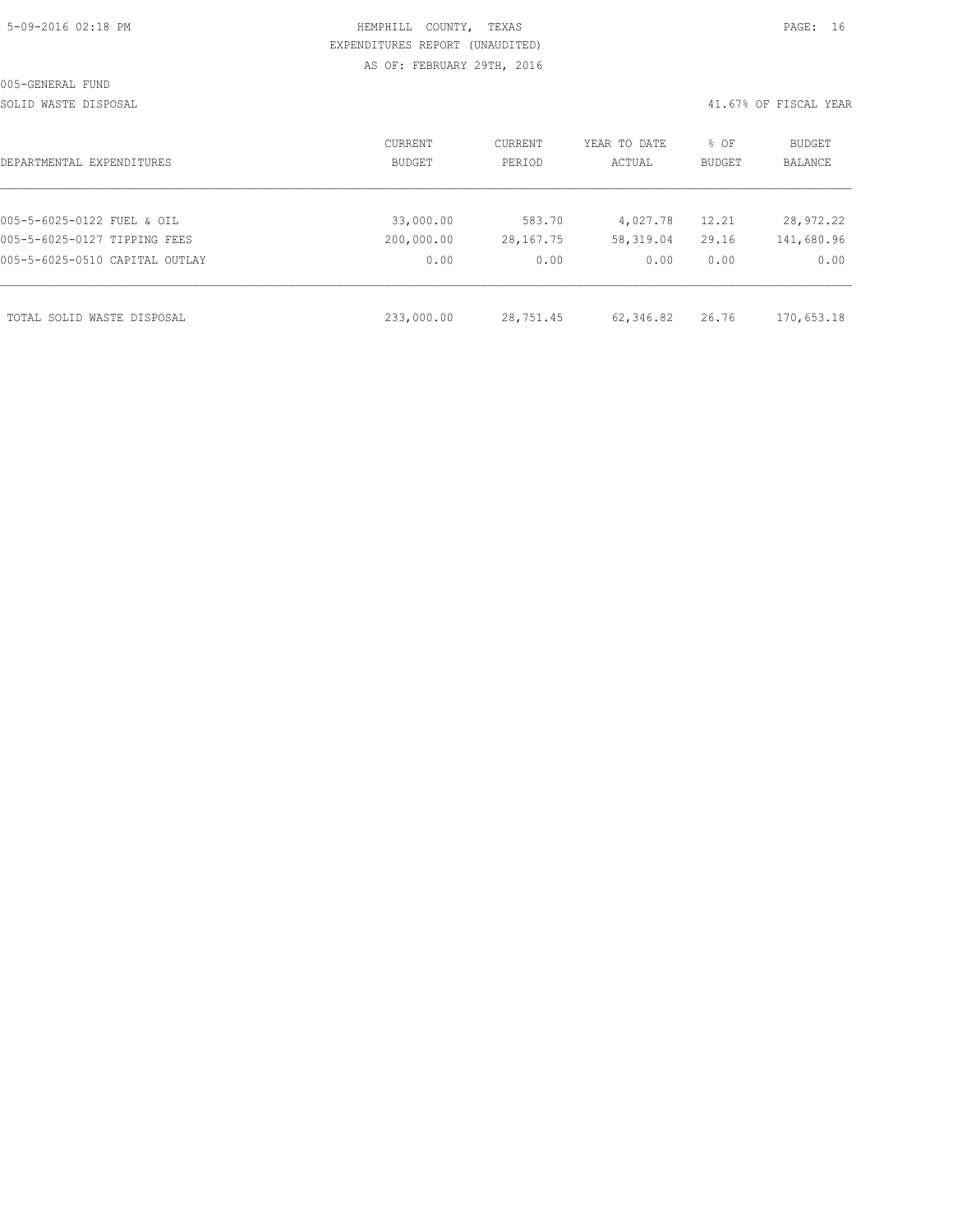| 5-09-2016 02:18 PM |  |  |
|--------------------|--|--|

## HEMPHILL COUNTY, TEXAS **Example 2016** PAGE: 16 EXPENDITURES REPORT (UNAUDITED) AS OF: FEBRUARY 29TH, 2016

SOLID WASTE DISPOSAL 41.67% OF FISCAL YEAR

| DEPARTMENTAL EXPENDITURES      | CURRENT<br><b>BUDGET</b> | CURRENT<br>PERIOD | YEAR TO DATE<br>ACTUAL | % OF<br>BUDGET | <b>BUDGET</b><br>BALANCE |
|--------------------------------|--------------------------|-------------------|------------------------|----------------|--------------------------|
| 005-5-6025-0122 FUEL & OIL     | 33,000.00                | 583.70            | 4,027.78               | 12.21          | 28,972.22                |
| 005-5-6025-0127 TIPPING FEES   | 200,000.00               | 28,167.75         | 58,319.04              | 29.16          | 141,680.96               |
| 005-5-6025-0510 CAPITAL OUTLAY | 0.00                     | 0.00              | 0.00                   | 0.00           | 0.00                     |
| TOTAL SOLID WASTE DISPOSAL     | 233,000.00               | 28,751.45         | 62,346.82              | 26.76          | 170,653.18               |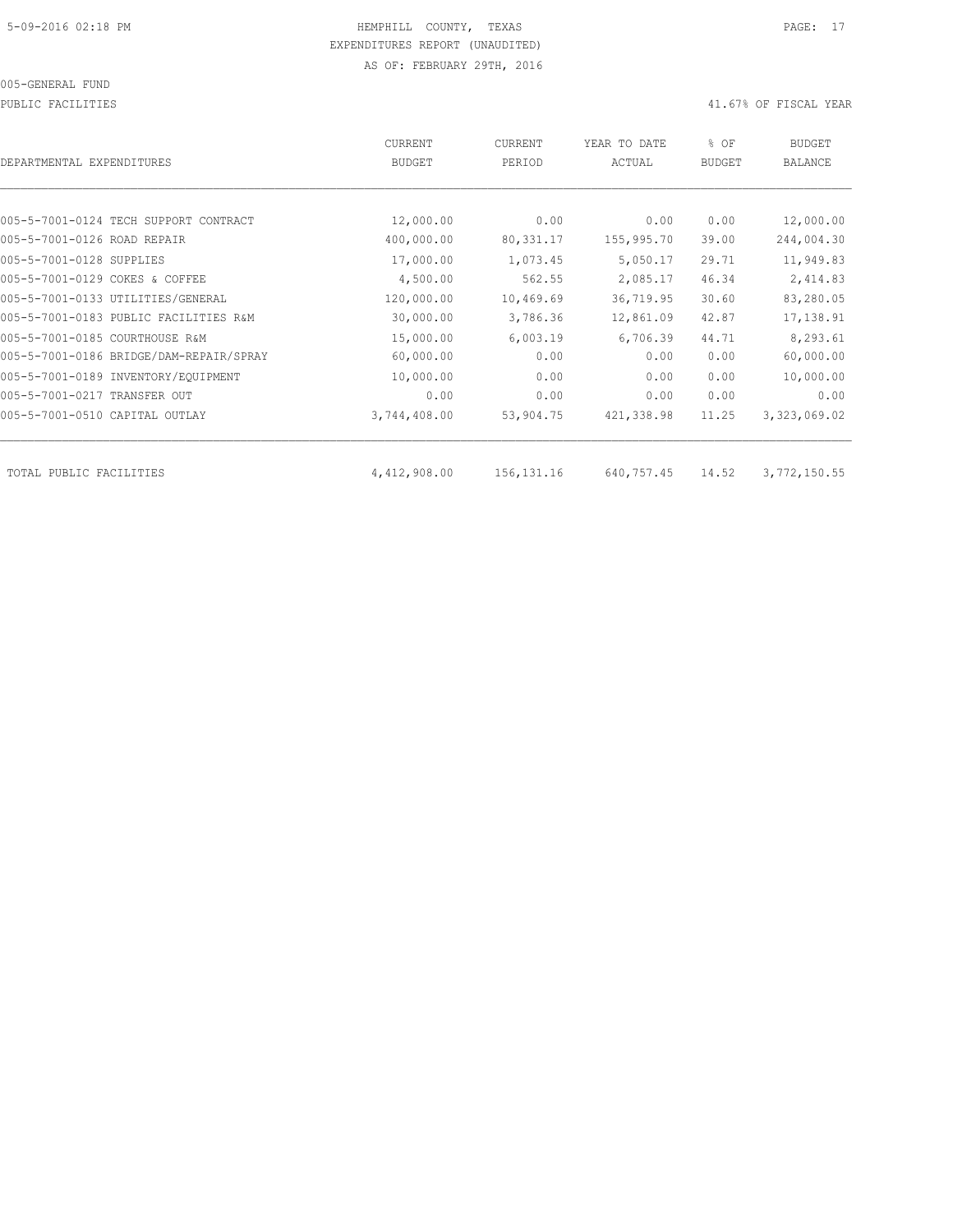PUBLIC FACILITIES 41.67% OF FISCAL YEAR

| DEPARTMENTAL EXPENDITURES               | CURRENT<br><b>BUDGET</b> | CURRENT<br>PERIOD | YEAR TO DATE<br>ACTUAL | % OF<br><b>BUDGET</b> | <b>BUDGET</b><br><b>BALANCE</b> |
|-----------------------------------------|--------------------------|-------------------|------------------------|-----------------------|---------------------------------|
|                                         |                          |                   |                        |                       |                                 |
| 005-5-7001-0124 TECH SUPPORT CONTRACT   | 12,000.00                | 0.00              | 0.00                   | 0.00                  | 12,000.00                       |
| 005-5-7001-0126 ROAD REPAIR             | 400,000.00               | 80, 331.17        | 155,995.70             | 39.00                 | 244,004.30                      |
| 005-5-7001-0128 SUPPLIES                | 17,000.00                | 1,073.45          | 5,050.17               | 29.71                 | 11,949.83                       |
| 005-5-7001-0129 COKES & COFFEE          | 4,500.00                 | 562.55            | 2,085.17               | 46.34                 | 2,414.83                        |
| 005-5-7001-0133 UTILITIES/GENERAL       | 120,000.00               | 10,469.69         | 36,719.95              | 30.60                 | 83,280.05                       |
| 005-5-7001-0183 PUBLIC FACILITIES R&M   | 30,000.00                | 3,786.36          | 12,861.09              | 42.87                 | 17,138.91                       |
| 005-5-7001-0185 COURTHOUSE R&M          | 15,000.00                | 6,003.19          | 6,706.39               | 44.71                 | 8,293.61                        |
| 005-5-7001-0186 BRIDGE/DAM-REPAIR/SPRAY | 60,000.00                | 0.00              | 0.00                   | 0.00                  | 60,000.00                       |
| 005-5-7001-0189 INVENTORY/EQUIPMENT     | 10,000.00                | 0.00              | 0.00                   | 0.00                  | 10,000.00                       |
| 005-5-7001-0217 TRANSFER OUT            | 0.00                     | 0.00              | 0.00                   | 0.00                  | 0.00                            |
| 005-5-7001-0510 CAPITAL OUTLAY          | 3,744,408.00             | 53,904.75         | 421,338.98             | 11.25                 | 3,323,069.02                    |
| TOTAL PUBLIC FACILITIES                 | 4,412,908.00             | 156, 131. 16      | 640,757.45             | 14.52                 | 3,772,150.55                    |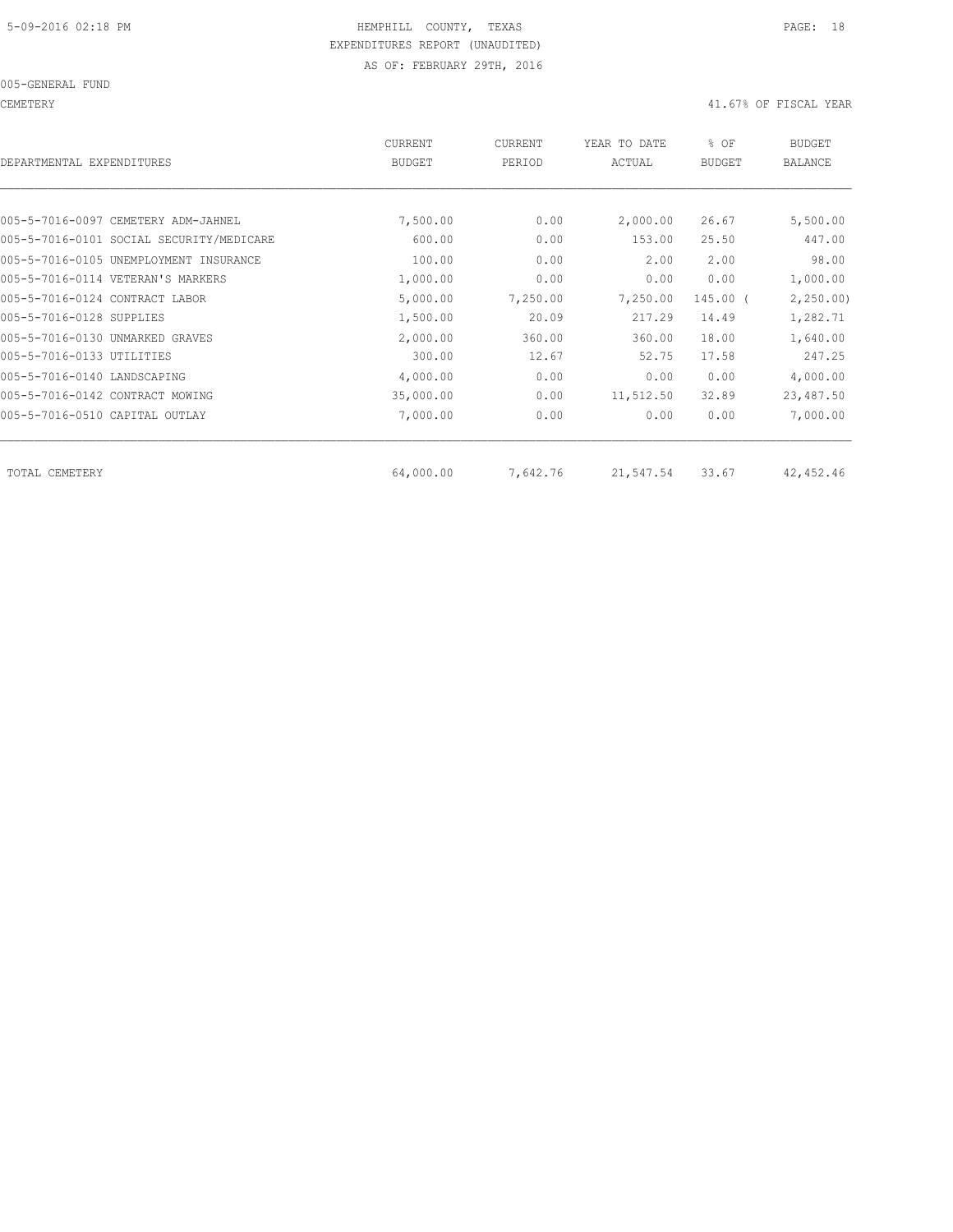CEMETERY 41.67% OF FISCAL YEAR

| CURRENT<br><b>BUDGET</b> | CURRENT<br>PERIOD | YEAR TO DATE<br>ACTUAL | % OF<br><b>BUDGET</b> | <b>BUDGET</b><br>BALANCE |
|--------------------------|-------------------|------------------------|-----------------------|--------------------------|
|                          |                   |                        |                       |                          |
| 7,500.00                 | 0.00              | 2,000.00               | 26.67                 | 5,500.00                 |
| 600.00                   | 0.00              | 153.00                 | 25.50                 | 447.00                   |
| 100.00                   | 0.00              | 2.00                   | 2.00                  | 98.00                    |
| 1,000.00                 | 0.00              | 0.00                   | 0.00                  | 1,000.00                 |
| 5,000.00                 | 7,250.00          | 7,250.00               | 145.00 (              | 2,250.00                 |
| 1,500.00                 | 20.09             | 217.29                 | 14.49                 | 1,282.71                 |
| 2,000.00                 | 360.00            | 360.00                 | 18.00                 | 1,640.00                 |
| 300.00                   | 12.67             | 52.75                  | 17.58                 | 247.25                   |
| 4,000.00                 | 0.00              | 0.00                   | 0.00                  | 4,000.00                 |
| 35,000.00                | 0.00              | 11,512.50              | 32.89                 | 23,487.50                |
| 7,000.00                 | 0.00              | 0.00                   | 0.00                  | 7,000.00                 |
|                          |                   |                        |                       | 42,452.46                |
|                          | 64,000.00         |                        | 7,642.76<br>21,547.54 | 33.67                    |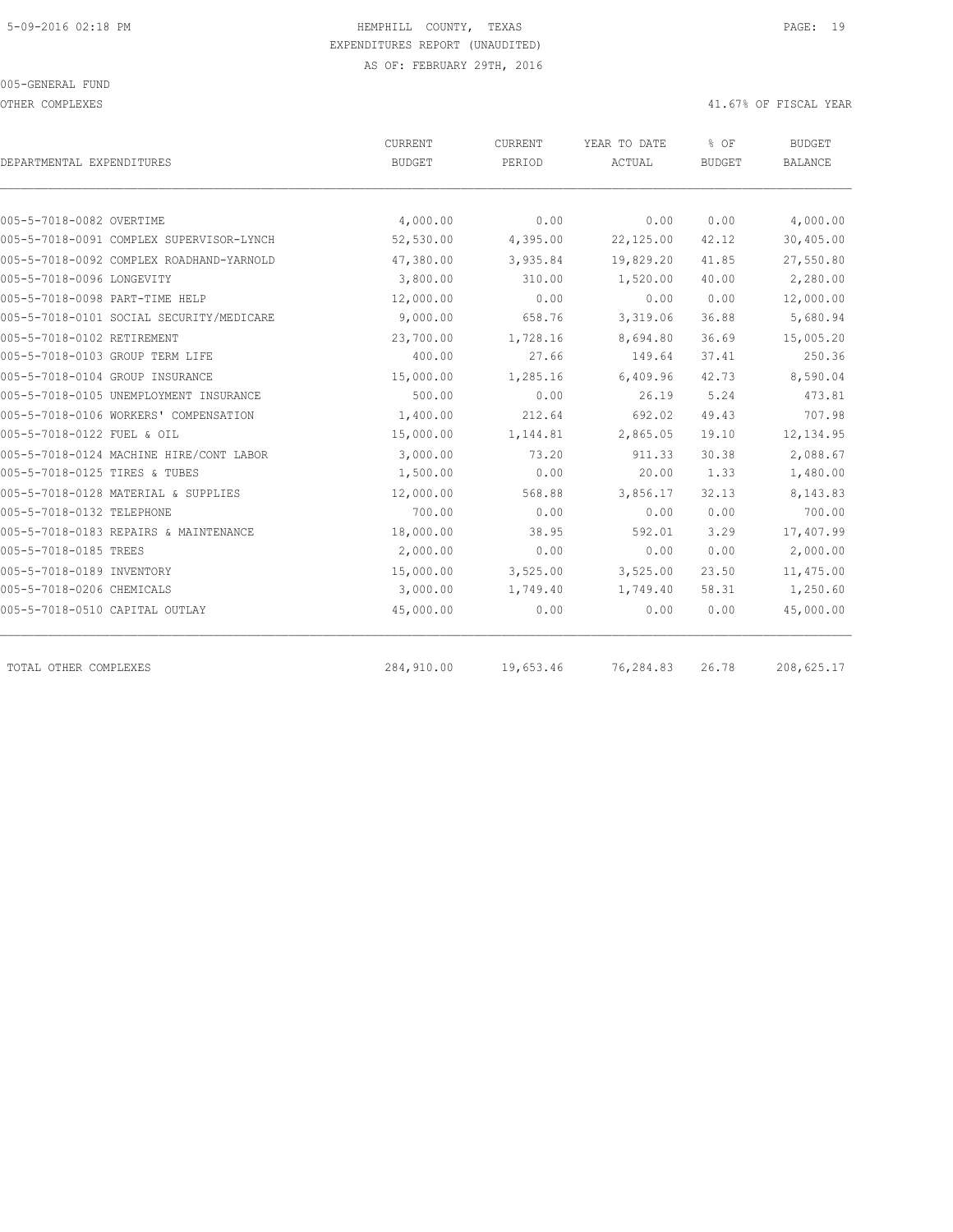OTHER COMPLEXES 41.67% OF FISCAL YEAR

|                                          | <b>CURRENT</b> | CURRENT   | YEAR TO DATE | % OF          | <b>BUDGET</b>  |
|------------------------------------------|----------------|-----------|--------------|---------------|----------------|
| DEPARTMENTAL EXPENDITURES                | <b>BUDGET</b>  | PERIOD    | ACTUAL       | <b>BUDGET</b> | <b>BALANCE</b> |
|                                          |                |           |              |               |                |
| 005-5-7018-0082 OVERTIME                 | 4,000.00       | 0.00      | 0.00         | 0.00          | 4,000.00       |
| 005-5-7018-0091 COMPLEX SUPERVISOR-LYNCH | 52,530.00      | 4,395.00  | 22,125.00    | 42.12         | 30,405.00      |
| 005-5-7018-0092 COMPLEX ROADHAND-YARNOLD | 47,380.00      | 3,935.84  | 19,829.20    | 41.85         | 27,550.80      |
| 005-5-7018-0096 LONGEVITY                | 3,800.00       | 310.00    | 1,520.00     | 40.00         | 2,280.00       |
| 005-5-7018-0098 PART-TIME HELP           | 12,000.00      | 0.00      | 0.00         | 0.00          | 12,000.00      |
| 005-5-7018-0101 SOCIAL SECURITY/MEDICARE | 9,000.00       | 658.76    | 3,319.06     | 36.88         | 5,680.94       |
| 005-5-7018-0102 RETIREMENT               | 23,700.00      | 1,728.16  | 8,694.80     | 36.69         | 15,005.20      |
| 005-5-7018-0103 GROUP TERM LIFE          | 400.00         | 27.66     | 149.64       | 37.41         | 250.36         |
| 005-5-7018-0104 GROUP INSURANCE          | 15,000.00      | 1,285.16  | 6,409.96     | 42.73         | 8,590.04       |
| 005-5-7018-0105 UNEMPLOYMENT INSURANCE   | 500.00         | 0.00      | 26.19        | 5.24          | 473.81         |
| 005-5-7018-0106 WORKERS' COMPENSATION    | 1,400.00       | 212.64    | 692.02       | 49.43         | 707.98         |
| 005-5-7018-0122 FUEL & OIL               | 15,000.00      | 1,144.81  | 2,865.05     | 19.10         | 12, 134.95     |
| 005-5-7018-0124 MACHINE HIRE/CONT LABOR  | 3,000.00       | 73.20     | 911.33       | 30.38         | 2,088.67       |
| 005-5-7018-0125 TIRES & TUBES            | 1,500.00       | 0.00      | 20.00        | 1.33          | 1,480.00       |
| 005-5-7018-0128 MATERIAL & SUPPLIES      | 12,000.00      | 568.88    | 3,856.17     | 32.13         | 8,143.83       |
| 005-5-7018-0132 TELEPHONE                | 700.00         | 0.00      | 0.00         | 0.00          | 700.00         |
| 005-5-7018-0183 REPAIRS & MAINTENANCE    | 18,000.00      | 38.95     | 592.01       | 3.29          | 17,407.99      |
| 005-5-7018-0185 TREES                    | 2,000.00       | 0.00      | 0.00         | 0.00          | 2,000.00       |
| 005-5-7018-0189 INVENTORY                | 15,000.00      | 3,525.00  | 3,525.00     | 23.50         | 11,475.00      |
| 005-5-7018-0206 CHEMICALS                | 3,000.00       | 1,749.40  | 1,749.40     | 58.31         | 1,250.60       |
| 005-5-7018-0510 CAPITAL OUTLAY           | 45,000.00      | 0.00      | 0.00         | 0.00          | 45,000.00      |
| TOTAL OTHER COMPLEXES                    | 284,910.00     | 19,653.46 | 76,284.83    | 26.78         | 208,625.17     |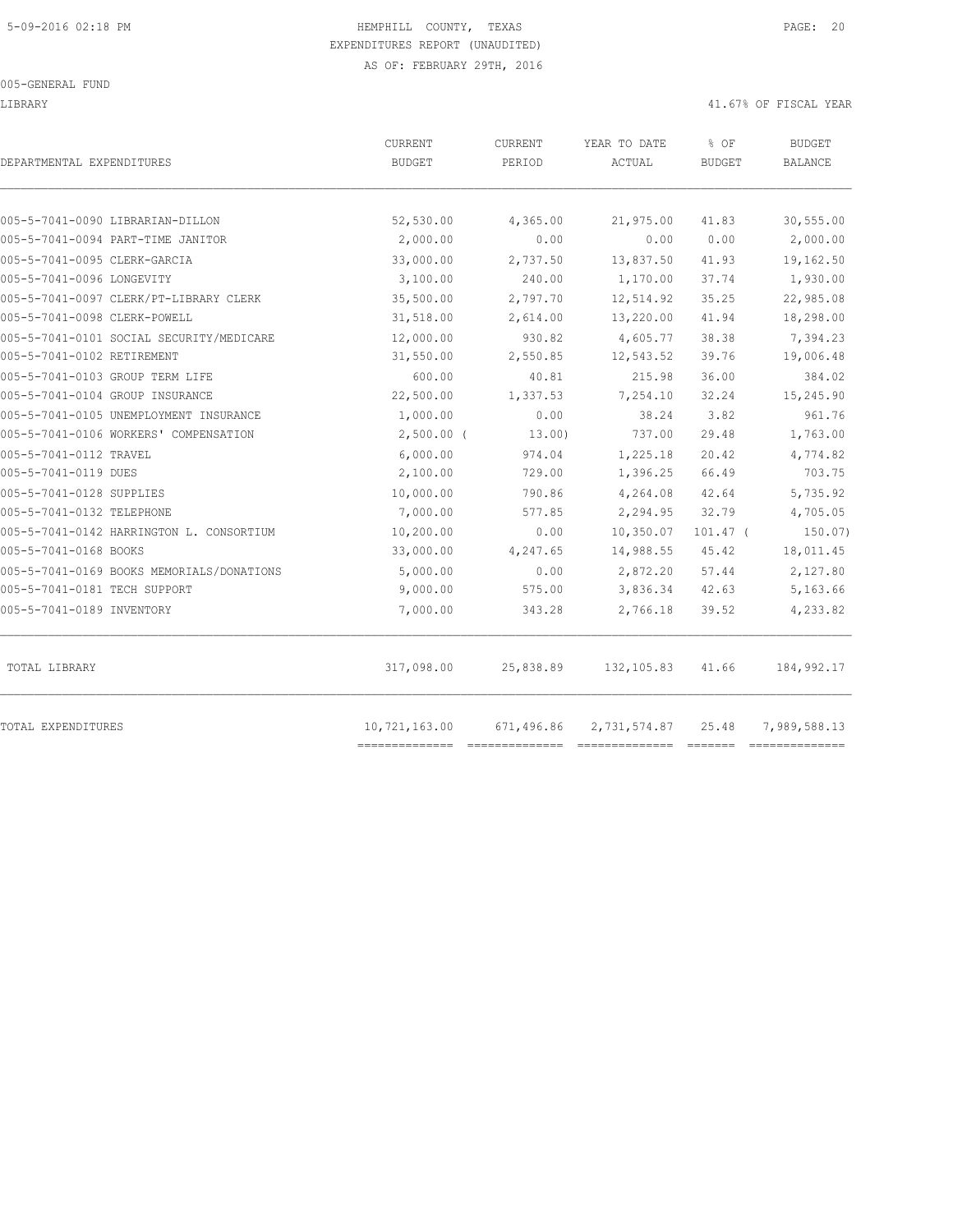LIBRARY 41.67% OF FISCAL YEAR

| DEPARTMENTAL EXPENDITURES                 | <b>CURRENT</b><br><b>BUDGET</b> | <b>CURRENT</b><br>PERIOD | YEAR TO DATE<br>ACTUAL | % OF<br><b>BUDGET</b> | <b>BUDGET</b><br><b>BALANCE</b> |
|-------------------------------------------|---------------------------------|--------------------------|------------------------|-----------------------|---------------------------------|
| 005-5-7041-0090 LIBRARIAN-DILLON          | 52,530.00                       | 4,365.00                 | 21,975.00              | 41.83                 | 30,555.00                       |
| 005-5-7041-0094 PART-TIME JANITOR         | 2,000.00                        | 0.00                     | 0.00                   | 0.00                  | 2,000.00                        |
| 005-5-7041-0095 CLERK-GARCIA              | 33,000.00                       | 2,737.50                 | 13,837.50              | 41.93                 | 19,162.50                       |
| 005-5-7041-0096 LONGEVITY                 | 3,100.00                        | 240.00                   | 1,170.00               | 37.74                 | 1,930.00                        |
| 005-5-7041-0097 CLERK/PT-LIBRARY CLERK    | 35,500.00                       | 2,797.70                 | 12,514.92              | 35.25                 | 22,985.08                       |
| 005-5-7041-0098 CLERK-POWELL              | 31,518.00                       | 2,614.00                 | 13,220.00              | 41.94                 | 18,298.00                       |
| 005-5-7041-0101 SOCIAL SECURITY/MEDICARE  | 12,000.00                       | 930.82                   | 4,605.77               | 38.38                 | 7,394.23                        |
| 005-5-7041-0102 RETIREMENT                | 31,550.00                       | 2,550.85                 | 12,543.52              | 39.76                 | 19,006.48                       |
| 005-5-7041-0103 GROUP TERM LIFE           | 600.00                          | 40.81                    | 215.98                 | 36.00                 | 384.02                          |
| 005-5-7041-0104 GROUP INSURANCE           | 22,500.00                       | 1,337.53                 | 7,254.10               | 32.24                 | 15,245.90                       |
| 005-5-7041-0105 UNEMPLOYMENT INSURANCE    | 1,000.00                        | 0.00                     | 38.24                  | 3.82                  | 961.76                          |
| 005-5-7041-0106 WORKERS' COMPENSATION     | $2,500.00$ (                    | 13.00)                   | 737.00                 | 29.48                 | 1,763.00                        |
| 005-5-7041-0112 TRAVEL                    | 6,000.00                        | 974.04                   | 1,225.18               | 20.42                 | 4,774.82                        |
| 005-5-7041-0119 DUES                      | 2,100.00                        | 729.00                   | 1,396.25               | 66.49                 | 703.75                          |
| 005-5-7041-0128 SUPPLIES                  | 10,000.00                       | 790.86                   | 4,264.08               | 42.64                 | 5,735.92                        |
| 005-5-7041-0132 TELEPHONE                 | 7,000.00                        | 577.85                   | 2,294.95               | 32.79                 | 4,705.05                        |
| 005-5-7041-0142 HARRINGTON L. CONSORTIUM  | 10,200.00                       | 0.00                     | 10, 350.07             | $101.47$ (            | 150.07)                         |
| 005-5-7041-0168 BOOKS                     | 33,000.00                       | 4,247.65                 | 14,988.55              | 45.42                 | 18,011.45                       |
| 005-5-7041-0169 BOOKS MEMORIALS/DONATIONS | 5,000.00                        | 0.00                     | 2,872.20               | 57.44                 | 2,127.80                        |
| 005-5-7041-0181 TECH SUPPORT              | 9,000.00                        | 575.00                   | 3,836.34               | 42.63                 | 5,163.66                        |
| 005-5-7041-0189 INVENTORY                 | 7,000.00                        | 343.28                   | 2,766.18               | 39.52                 | 4,233.82                        |
| TOTAL LIBRARY                             | 317,098.00                      | 25,838.89                | 132,105.83             | 41.66                 | 184,992.17                      |
| TOTAL EXPENDITURES                        | 10,721,163.00                   | 671,496.86               | 2,731,574.87 25.48     |                       | 7,989,588.13                    |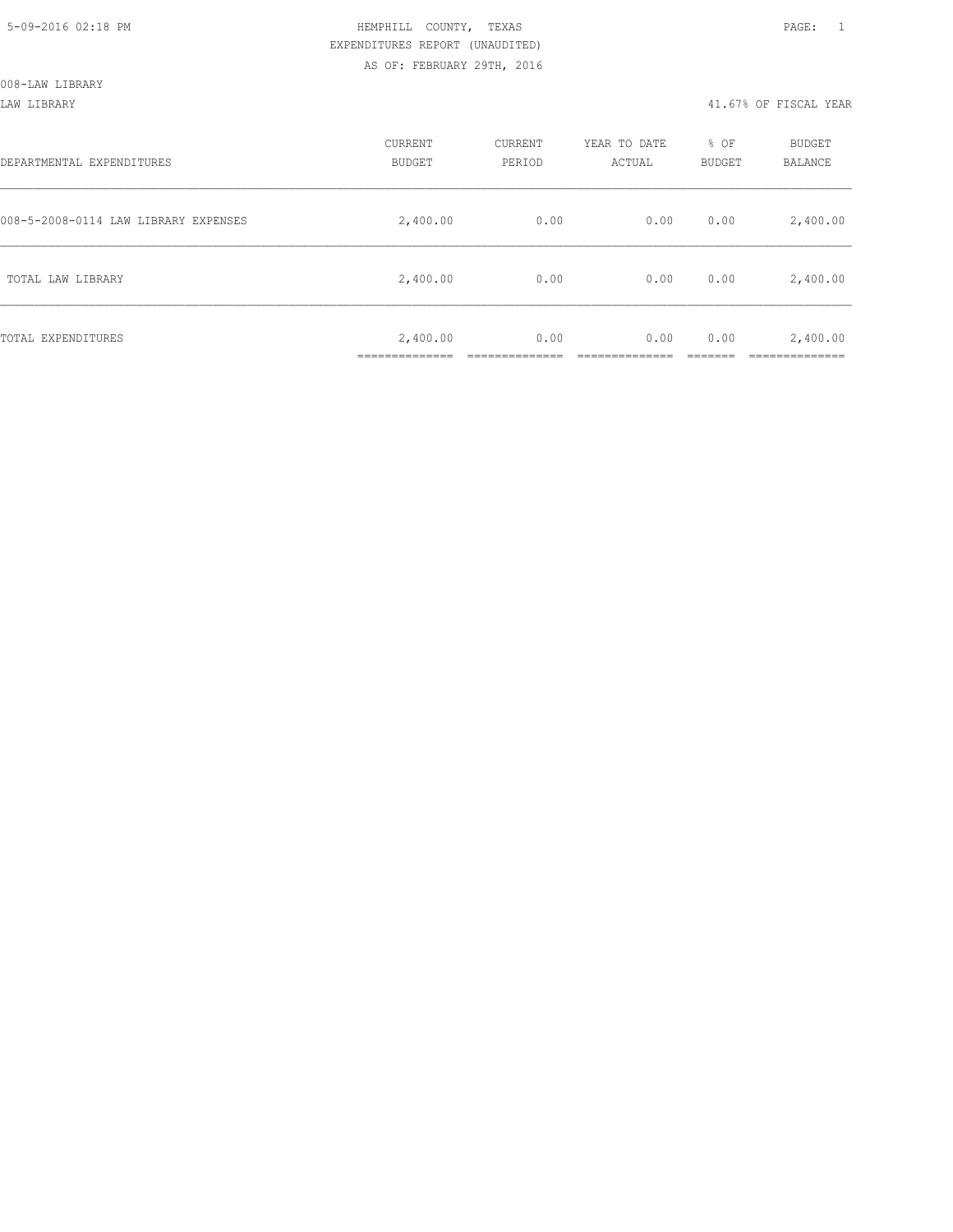### LAW LIBRARY 41.67% OF FISCAL YEAR

| DEPARTMENTAL EXPENDITURES            | CURRENT<br><b>BUDGET</b> | CURRENT<br>PERIOD | YEAR TO DATE<br>ACTUAL | % OF<br>BUDGET | BUDGET<br><b>BALANCE</b> |
|--------------------------------------|--------------------------|-------------------|------------------------|----------------|--------------------------|
| 008-5-2008-0114 LAW LIBRARY EXPENSES | 2,400.00                 | 0.00              | 0.00                   | 0.00           | 2,400.00                 |
| TOTAL LAW LIBRARY                    | 2,400.00                 | 0.00              | 0.00                   | 0.00           | 2,400.00                 |
| TOTAL EXPENDITURES                   | 2,400.00<br>____________ | 0.00              | 0.00                   | 0.00           | 2,400.00<br>__________   |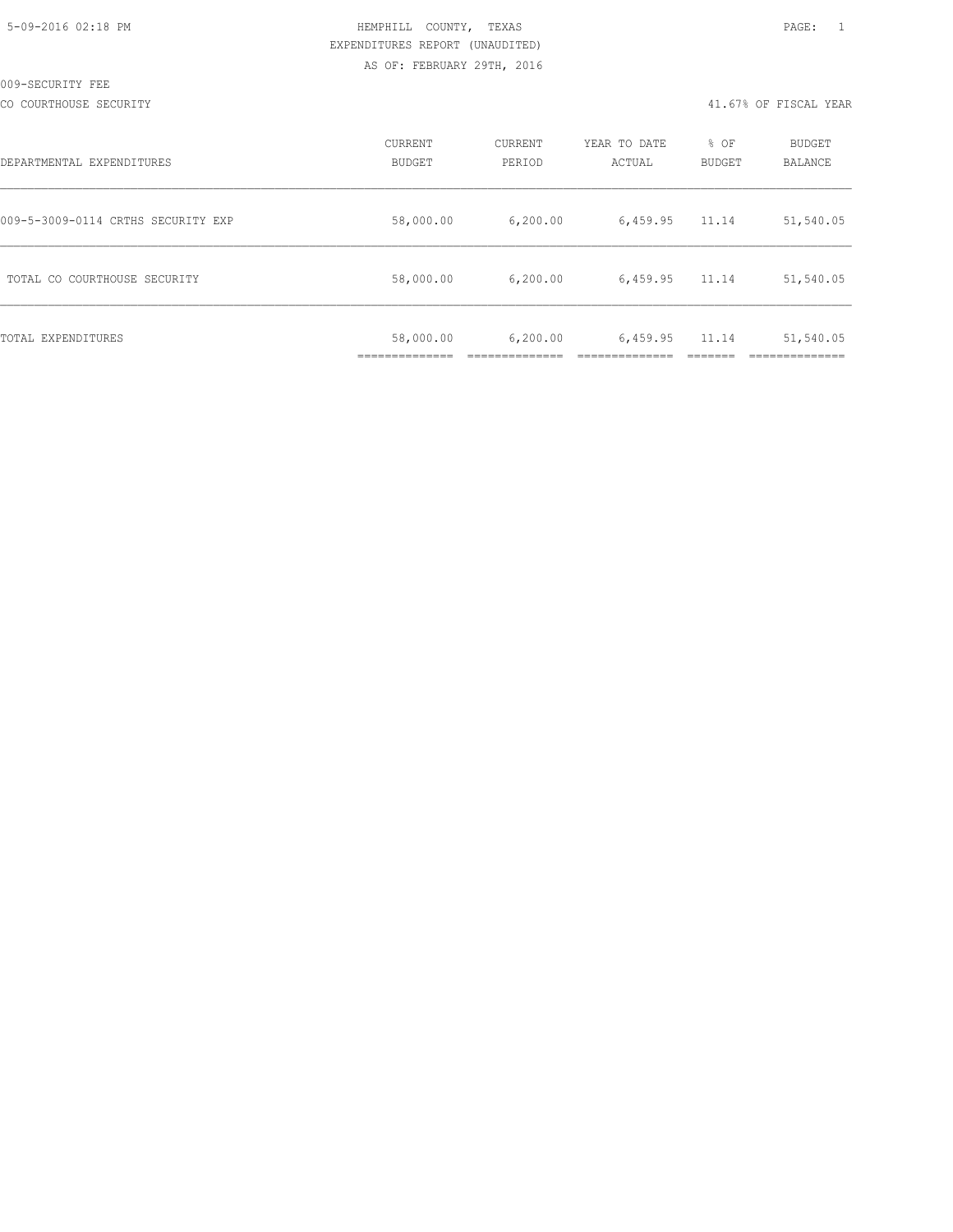CO COURTHOUSE SECURITY 41.67% OF FISCAL YEAR

| DEPARTMENTAL EXPENDITURES          | CURRENT<br><b>BUDGET</b> | CURRENT<br>PERIOD | YEAR TO DATE<br>ACTUAL | % OF<br><b>BUDGET</b> | <b>BUDGET</b><br>BALANCE |
|------------------------------------|--------------------------|-------------------|------------------------|-----------------------|--------------------------|
| 009-5-3009-0114 CRTHS SECURITY EXP | 58,000.00                | 6, 200.00         | 6,459.95               | 11.14                 | 51,540.05                |
| TOTAL CO COURTHOUSE SECURITY       | 58,000.00                | 6, 200.00         | 6,459.95               | 11.14                 | 51,540.05                |
| TOTAL EXPENDITURES                 | 58,000.00                | 6, 200.00         | 6,459.95               | 11.14                 | 51,540.05                |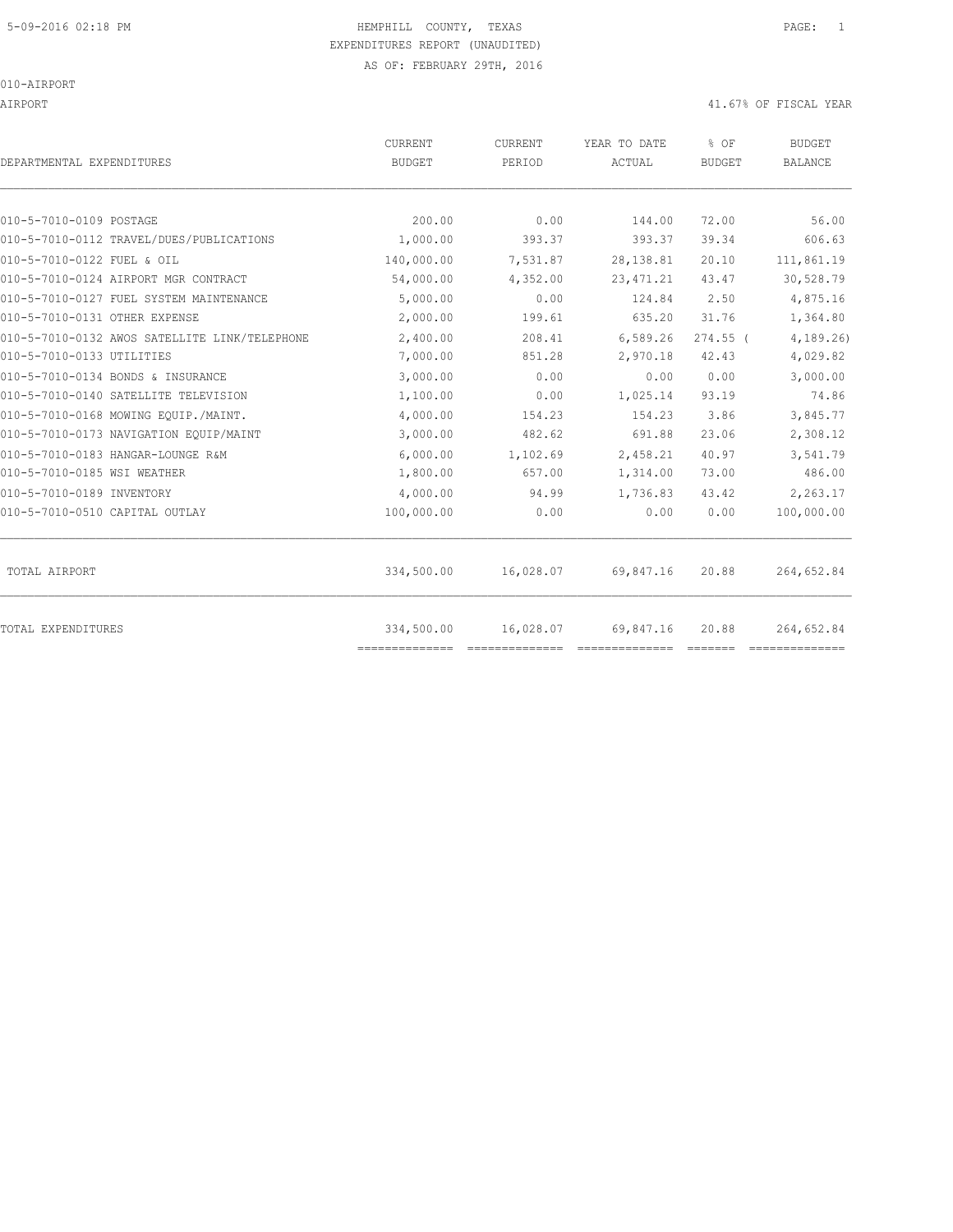AIRPORT 41.67% OF FISCAL YEAR

| DEPARTMENTAL EXPENDITURES                     | CURRENT<br><b>BUDGET</b>     | CURRENT<br>PERIOD | YEAR TO DATE<br>ACTUAL | % OF<br>BUDGET | <b>BUDGET</b><br><b>BALANCE</b> |
|-----------------------------------------------|------------------------------|-------------------|------------------------|----------------|---------------------------------|
| 010-5-7010-0109 POSTAGE                       | 200.00                       | 0.00              | 144.00                 | 72.00          | 56.00                           |
| 010-5-7010-0112 TRAVEL/DUES/PUBLICATIONS      | 1,000.00                     | 393.37            | 393.37                 | 39.34          | 606.63                          |
| 010-5-7010-0122 FUEL & OIL                    | 140,000.00                   | 7,531.87          | 28, 138.81             | 20.10          | 111,861.19                      |
| 010-5-7010-0124 AIRPORT MGR CONTRACT          | 54,000.00                    | 4,352.00          | 23, 471.21             | 43.47          | 30,528.79                       |
| 010-5-7010-0127 FUEL SYSTEM MAINTENANCE       | 5,000.00                     | 0.00              | 124.84                 | 2.50           | 4,875.16                        |
| 010-5-7010-0131 OTHER EXPENSE                 | 2,000.00                     | 199.61            | 635.20                 | 31.76          | 1,364.80                        |
| 010-5-7010-0132 AWOS SATELLITE LINK/TELEPHONE | 2,400.00                     | 208.41            | 6,589.26               | $274.55$ (     | 4, 189.26                       |
| 010-5-7010-0133 UTILITIES                     | 7,000.00                     | 851.28            | 2,970.18               | 42.43          | 4,029.82                        |
| 010-5-7010-0134 BONDS & INSURANCE             | 3,000.00                     | 0.00              | 0.00                   | 0.00           | 3,000.00                        |
| 010-5-7010-0140 SATELLITE TELEVISION          | 1,100.00                     | 0.00              | 1,025.14               | 93.19          | 74.86                           |
| 010-5-7010-0168 MOWING EOUIP./MAINT.          | 4,000.00                     | 154.23            | 154.23                 | 3.86           | 3,845.77                        |
| 010-5-7010-0173 NAVIGATION EQUIP/MAINT        | 3,000.00                     | 482.62            | 691.88                 | 23.06          | 2,308.12                        |
| 010-5-7010-0183 HANGAR-LOUNGE R&M             | 6,000.00                     | 1,102.69          | 2,458.21               | 40.97          | 3,541.79                        |
| 010-5-7010-0185 WSI WEATHER                   | 1,800.00                     | 657.00            | 1,314.00               | 73.00          | 486.00                          |
| 010-5-7010-0189 INVENTORY                     | 4,000.00                     | 94.99             | 1,736.83               | 43.42          | 2,263.17                        |
| 010-5-7010-0510 CAPITAL OUTLAY                | 100,000.00                   | 0.00              | 0.00                   | 0.00           | 100,000.00                      |
| TOTAL AIRPORT                                 | 334,500.00                   | 16,028.07         | 69,847.16              | 20.88          | 264,652.84                      |
| TOTAL EXPENDITURES                            | 334,500.00<br>============== | 16,028.07         | 69,847.16              | 20.88          | 264,652.84                      |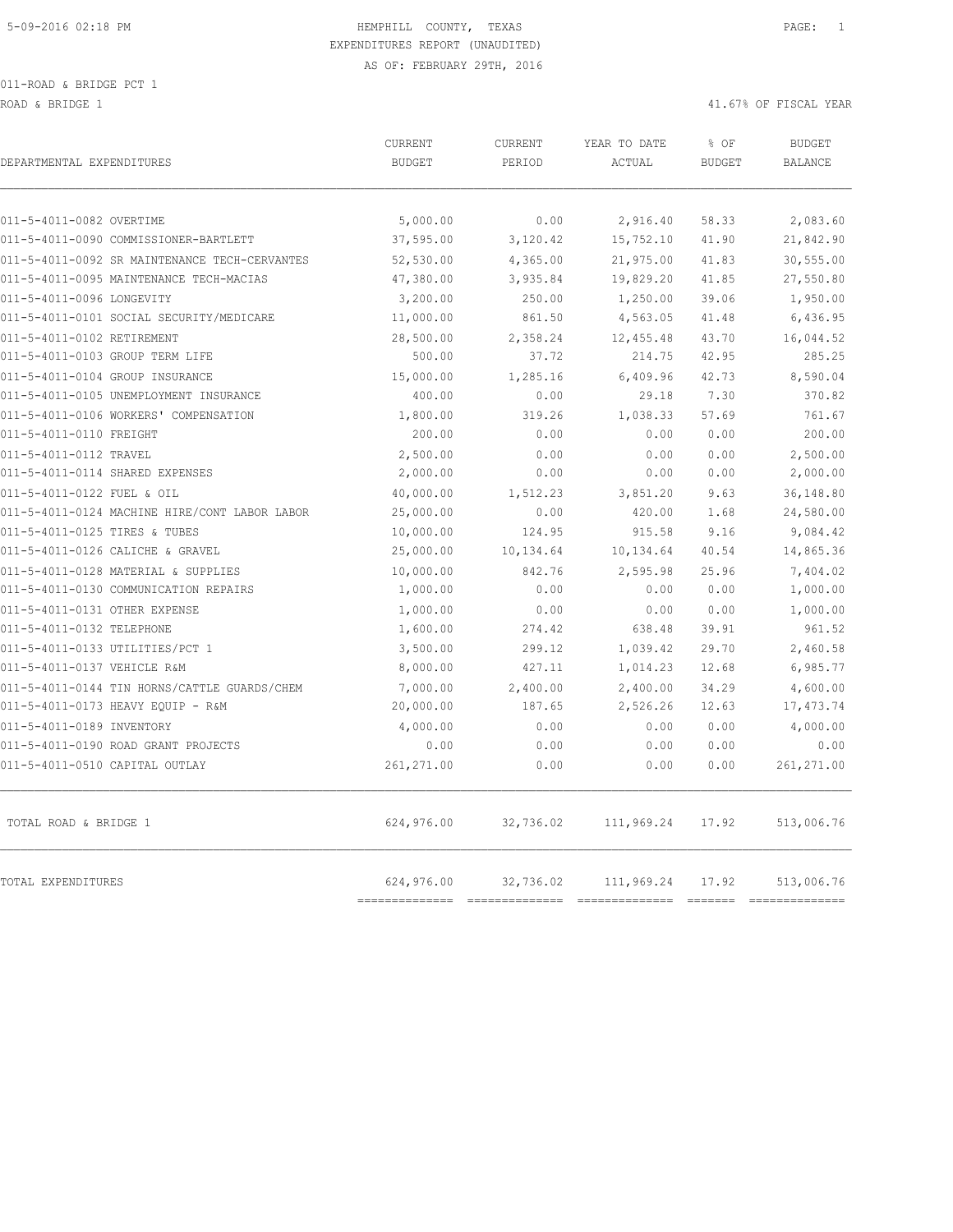ROAD & BRIDGE 1 41.67% OF FISCAL YEAR (1999) AND HERE IS A 41.67% OF FISCAL YEAR (1999) AND HERE IS A 41.67% OF FISCAL YEAR

| DEPARTMENTAL EXPENDITURES                                                                | CURRENT<br><b>BUDGET</b>  | CURRENT<br>PERIOD    | YEAR TO DATE<br>ACTUAL | % OF<br><b>BUDGET</b> | <b>BUDGET</b><br><b>BALANCE</b> |
|------------------------------------------------------------------------------------------|---------------------------|----------------------|------------------------|-----------------------|---------------------------------|
|                                                                                          |                           |                      |                        |                       |                                 |
| 011-5-4011-0082 OVERTIME                                                                 | 5,000.00                  | 0.00                 | 2,916.40               | 58.33                 | 2,083.60                        |
| 011-5-4011-0090 COMMISSIONER-BARTLETT                                                    | 37,595.00                 | 3,120.42             | 15,752.10              | 41.90                 | 21,842.90                       |
| 011-5-4011-0092 SR MAINTENANCE TECH-CERVANTES<br>011-5-4011-0095 MAINTENANCE TECH-MACIAS | 52,530.00<br>47,380.00    | 4,365.00<br>3,935.84 | 21,975.00<br>19,829.20 | 41.83<br>41.85        | 30,555.00<br>27,550.80          |
|                                                                                          |                           |                      |                        |                       |                                 |
| 011-5-4011-0096 LONGEVITY<br>011-5-4011-0101 SOCIAL SECURITY/MEDICARE                    | 3,200.00<br>11,000.00     | 250.00<br>861.50     | 1,250.00<br>4,563.05   | 39.06<br>41.48        | 1,950.00<br>6,436.95            |
|                                                                                          |                           |                      |                        |                       |                                 |
| 011-5-4011-0102 RETIREMENT<br>011-5-4011-0103 GROUP TERM LIFE                            | 28,500.00                 | 2,358.24<br>37.72    | 12,455.48<br>214.75    | 43.70<br>42.95        | 16,044.52<br>285.25             |
|                                                                                          | 500.00                    |                      |                        |                       |                                 |
| 011-5-4011-0104 GROUP INSURANCE<br>011-5-4011-0105 UNEMPLOYMENT INSURANCE                | 15,000.00<br>400.00       | 1,285.16<br>0.00     | 6,409.96<br>29.18      | 42.73<br>7.30         | 8,590.04<br>370.82              |
|                                                                                          |                           |                      |                        |                       |                                 |
| 011-5-4011-0106 WORKERS' COMPENSATION<br>011-5-4011-0110 FREIGHT                         | 1,800.00<br>200.00        | 319.26<br>0.00       | 1,038.33               | 57.69<br>0.00         | 761.67<br>200.00                |
|                                                                                          |                           |                      | 0.00                   |                       |                                 |
| 011-5-4011-0112 TRAVEL<br>011-5-4011-0114 SHARED EXPENSES                                | 2,500.00<br>2,000.00      | 0.00<br>0.00         | 0.00<br>0.00           | 0.00<br>0.00          | 2,500.00<br>2,000.00            |
|                                                                                          |                           |                      |                        | 9.63                  | 36,148.80                       |
| 011-5-4011-0122 FUEL & OIL<br>011-5-4011-0124 MACHINE HIRE/CONT LABOR LABOR              | 40,000.00<br>25,000.00    | 1,512.23<br>0.00     | 3,851.20<br>420.00     | 1.68                  | 24,580.00                       |
|                                                                                          |                           |                      |                        |                       |                                 |
| 011-5-4011-0125 TIRES & TUBES<br>011-5-4011-0126 CALICHE & GRAVEL                        | 10,000.00<br>25,000.00    | 124.95<br>10,134.64  | 915.58<br>10,134.64    | 9.16<br>40.54         | 9,084.42<br>14,865.36           |
|                                                                                          |                           |                      |                        |                       |                                 |
| 011-5-4011-0128 MATERIAL & SUPPLIES<br>011-5-4011-0130 COMMUNICATION REPAIRS             | 10,000.00<br>1,000.00     | 842.76<br>0.00       | 2,595.98<br>0.00       | 25.96<br>0.00         | 7,404.02<br>1,000.00            |
| 011-5-4011-0131 OTHER EXPENSE                                                            |                           |                      |                        |                       |                                 |
| 011-5-4011-0132 TELEPHONE                                                                | 1,000.00                  | 0.00<br>274.42       | 0.00<br>638.48         | 0.00<br>39.91         | 1,000.00<br>961.52              |
| 011-5-4011-0133 UTILITIES/PCT 1                                                          | 1,600.00<br>3,500.00      |                      | 1,039.42               | 29.70                 |                                 |
| 011-5-4011-0137 VEHICLE R&M                                                              | 8,000.00                  | 299.12<br>427.11     | 1,014.23               | 12.68                 | 2,460.58                        |
|                                                                                          |                           |                      |                        |                       | 6,985.77                        |
| 011-5-4011-0144 TIN HORNS/CATTLE GUARDS/CHEM                                             | 7,000.00                  | 2,400.00             | 2,400.00               | 34.29                 | 4,600.00                        |
| 011-5-4011-0173 HEAVY EQUIP - R&M                                                        | 20,000.00                 | 187.65               | 2,526.26               | 12.63                 | 17, 473.74                      |
| 011-5-4011-0189 INVENTORY<br>011-5-4011-0190 ROAD GRANT PROJECTS                         | 4,000.00<br>0.00          | 0.00<br>0.00         | 0.00<br>0.00           | 0.00<br>0.00          | 4,000.00<br>0.00                |
|                                                                                          |                           |                      |                        |                       |                                 |
| 011-5-4011-0510 CAPITAL OUTLAY                                                           | 261, 271.00               | 0.00                 | 0.00                   | 0.00                  | 261,271.00                      |
| TOTAL ROAD & BRIDGE 1                                                                    | 624,976.00                | 32,736.02            | 111,969.24             | 17.92                 | 513,006.76                      |
| TOTAL EXPENDITURES                                                                       | 624,976.00<br>----------- | 32,736.02            | 111,969.24             | 17.92                 | 513,006.76<br>$= 22222222222$   |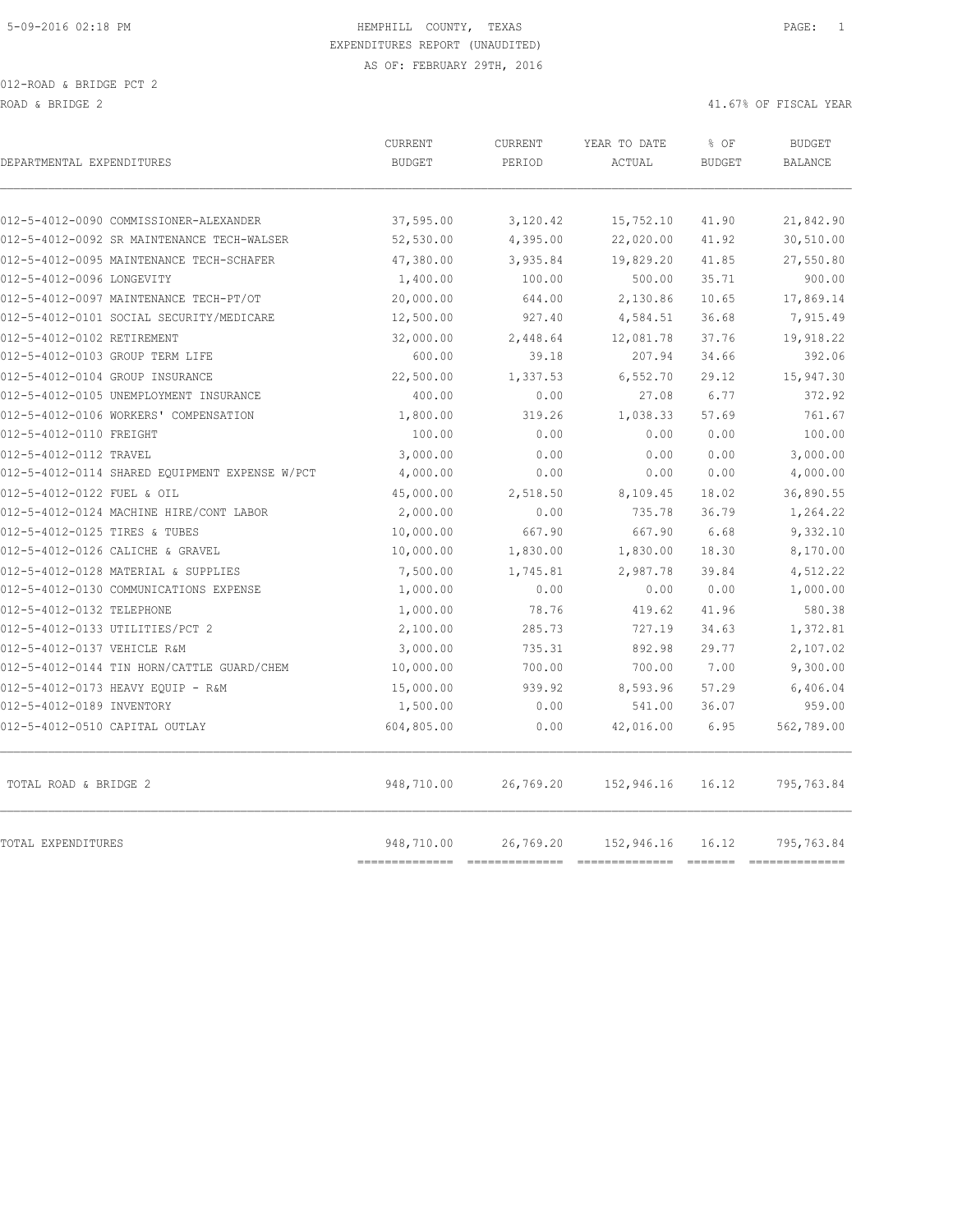| DEPARTMENTAL EXPENDITURES                      | <b>CURRENT</b><br><b>BUDGET</b> | <b>CURRENT</b><br>PERIOD | YEAR TO DATE<br>ACTUAL | % OF<br><b>BUDGET</b> | <b>BUDGET</b><br><b>BALANCE</b> |
|------------------------------------------------|---------------------------------|--------------------------|------------------------|-----------------------|---------------------------------|
|                                                |                                 |                          |                        |                       |                                 |
| 012-5-4012-0090 COMMISSIONER-ALEXANDER         | 37,595.00                       | 3,120.42                 | 15,752.10              | 41.90                 | 21,842.90                       |
| 012-5-4012-0092 SR MAINTENANCE TECH-WALSER     | 52,530.00                       | 4,395.00                 | 22,020.00              | 41.92                 | 30,510.00                       |
| 012-5-4012-0095 MAINTENANCE TECH-SCHAFER       | 47,380.00                       | 3,935.84                 | 19,829.20              | 41.85                 | 27,550.80                       |
| 012-5-4012-0096 LONGEVITY                      | 1,400.00                        | 100.00                   | 500.00                 | 35.71                 | 900.00                          |
| 012-5-4012-0097 MAINTENANCE TECH-PT/OT         | 20,000.00                       | 644.00                   | 2,130.86               | 10.65                 | 17,869.14                       |
| 012-5-4012-0101 SOCIAL SECURITY/MEDICARE       | 12,500.00                       | 927.40                   | 4,584.51               | 36.68                 | 7,915.49                        |
| 012-5-4012-0102 RETIREMENT                     | 32,000.00                       | 2,448.64                 | 12,081.78              | 37.76                 | 19,918.22                       |
| 012-5-4012-0103 GROUP TERM LIFE                | 600.00                          | 39.18                    | 207.94                 | 34.66                 | 392.06                          |
| 012-5-4012-0104 GROUP INSURANCE                | 22,500.00                       | 1,337.53                 | 6,552.70               | 29.12                 | 15,947.30                       |
| 012-5-4012-0105 UNEMPLOYMENT INSURANCE         | 400.00                          | 0.00                     | 27.08                  | 6.77                  | 372.92                          |
| 012-5-4012-0106 WORKERS' COMPENSATION          | 1,800.00                        | 319.26                   | 1,038.33               | 57.69                 | 761.67                          |
| 012-5-4012-0110 FREIGHT                        | 100.00                          | 0.00                     | 0.00                   | 0.00                  | 100.00                          |
| 012-5-4012-0112 TRAVEL                         | 3,000.00                        | 0.00                     | 0.00                   | 0.00                  | 3,000.00                        |
| 012-5-4012-0114 SHARED EQUIPMENT EXPENSE W/PCT | 4,000.00                        | 0.00                     | 0.00                   | 0.00                  | 4,000.00                        |
| 012-5-4012-0122 FUEL & OIL                     | 45,000.00                       | 2,518.50                 | 8,109.45               | 18.02                 | 36,890.55                       |
| 012-5-4012-0124 MACHINE HIRE/CONT LABOR        | 2,000.00                        | 0.00                     | 735.78                 | 36.79                 | 1,264.22                        |
| 012-5-4012-0125 TIRES & TUBES                  | 10,000.00                       | 667.90                   | 667.90                 | 6.68                  | 9,332.10                        |
| 012-5-4012-0126 CALICHE & GRAVEL               | 10,000.00                       | 1,830.00                 | 1,830.00               | 18.30                 | 8,170.00                        |
| 012-5-4012-0128 MATERIAL & SUPPLIES            | 7,500.00                        | 1,745.81                 | 2,987.78               | 39.84                 | 4,512.22                        |
| 012-5-4012-0130 COMMUNICATIONS EXPENSE         | 1,000.00                        | 0.00                     | 0.00                   | 0.00                  | 1,000.00                        |
| 012-5-4012-0132 TELEPHONE                      | 1,000.00                        | 78.76                    | 419.62                 | 41.96                 | 580.38                          |
| 012-5-4012-0133 UTILITIES/PCT 2                | 2,100.00                        | 285.73                   | 727.19                 | 34.63                 | 1,372.81                        |
| 012-5-4012-0137 VEHICLE R&M                    | 3,000.00                        | 735.31                   | 892.98                 | 29.77                 | 2,107.02                        |
| 012-5-4012-0144 TIN HORN/CATTLE GUARD/CHEM     | 10,000.00                       | 700.00                   | 700.00                 | 7.00                  | 9,300.00                        |
| 012-5-4012-0173 HEAVY EQUIP - R&M              | 15,000.00                       | 939.92                   | 8,593.96               | 57.29                 | 6,406.04                        |
| 012-5-4012-0189 INVENTORY                      | 1,500.00                        | 0.00                     | 541.00                 | 36.07                 | 959.00                          |
| 012-5-4012-0510 CAPITAL OUTLAY                 | 604,805.00                      | 0.00                     | 42,016.00              | 6.95                  | 562,789.00                      |
| TOTAL ROAD & BRIDGE 2                          | 948,710.00                      | 26,769.20                | 152,946.16             | 16.12                 | 795,763.84                      |
| TOTAL EXPENDITURES                             | 948,710.00<br>===========       | 26,769.20                | 152,946.16             | 16.12                 | 795,763.84<br>-----------       |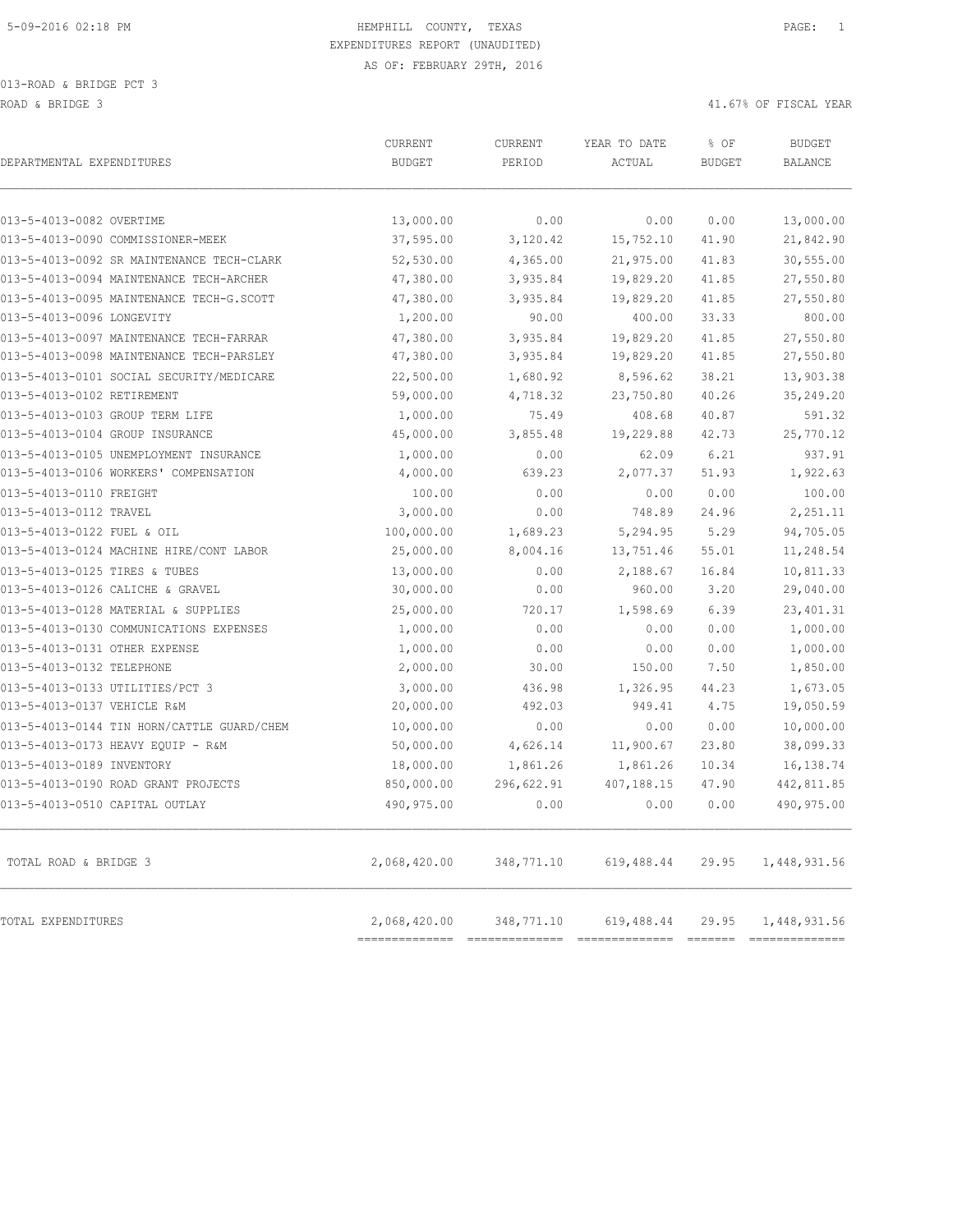| DEPARTMENTAL EXPENDITURES                  | CURRENT<br><b>BUDGET</b> | CURRENT<br>PERIOD | YEAR TO DATE<br>ACTUAL | % OF<br><b>BUDGET</b> | <b>BUDGET</b><br><b>BALANCE</b> |
|--------------------------------------------|--------------------------|-------------------|------------------------|-----------------------|---------------------------------|
| 013-5-4013-0082 OVERTIME                   | 13,000.00                | 0.00              | 0.00                   | 0.00                  | 13,000.00                       |
| 013-5-4013-0090 COMMISSIONER-MEEK          | 37,595.00                | 3,120.42          | 15,752.10              | 41.90                 | 21,842.90                       |
| 013-5-4013-0092 SR MAINTENANCE TECH-CLARK  | 52,530.00                | 4,365.00          | 21,975.00              | 41.83                 | 30,555.00                       |
| 013-5-4013-0094 MAINTENANCE TECH-ARCHER    | 47,380.00                | 3,935.84          | 19,829.20              | 41.85                 | 27,550.80                       |
| 013-5-4013-0095 MAINTENANCE TECH-G.SCOTT   | 47,380.00                | 3,935.84          | 19,829.20              | 41.85                 | 27,550.80                       |
| 013-5-4013-0096 LONGEVITY                  | 1,200.00                 | 90.00             | 400.00                 | 33.33                 | 800.00                          |
| 013-5-4013-0097 MAINTENANCE TECH-FARRAR    | 47,380.00                | 3,935.84          | 19,829.20              | 41.85                 | 27,550.80                       |
| 013-5-4013-0098 MAINTENANCE TECH-PARSLEY   | 47,380.00                | 3,935.84          | 19,829.20              | 41.85                 | 27,550.80                       |
| 013-5-4013-0101 SOCIAL SECURITY/MEDICARE   | 22,500.00                | 1,680.92          | 8,596.62               | 38.21                 | 13,903.38                       |
| 013-5-4013-0102 RETIREMENT                 | 59,000.00                | 4,718.32          | 23,750.80              | 40.26                 | 35,249.20                       |
| 013-5-4013-0103 GROUP TERM LIFE            | 1,000.00                 | 75.49             | 408.68                 | 40.87                 | 591.32                          |
| 013-5-4013-0104 GROUP INSURANCE            | 45,000.00                | 3,855.48          | 19,229.88              | 42.73                 | 25,770.12                       |
| 013-5-4013-0105 UNEMPLOYMENT INSURANCE     | 1,000.00                 | 0.00              | 62.09                  | 6.21                  | 937.91                          |
| 013-5-4013-0106 WORKERS' COMPENSATION      | 4,000.00                 | 639.23            | 2,077.37               | 51.93                 | 1,922.63                        |
| 013-5-4013-0110 FREIGHT                    | 100.00                   | 0.00              | 0.00                   | 0.00                  | 100.00                          |
| 013-5-4013-0112 TRAVEL                     | 3,000.00                 | 0.00              | 748.89                 | 24.96                 | 2,251.11                        |
| 013-5-4013-0122 FUEL & OIL                 | 100,000.00               | 1,689.23          | 5,294.95               | 5.29                  | 94,705.05                       |
| 013-5-4013-0124 MACHINE HIRE/CONT LABOR    | 25,000.00                | 8,004.16          | 13,751.46              | 55.01                 | 11,248.54                       |
| 013-5-4013-0125 TIRES & TUBES              | 13,000.00                | 0.00              | 2,188.67               | 16.84                 | 10,811.33                       |
| 013-5-4013-0126 CALICHE & GRAVEL           | 30,000.00                | 0.00              | 960.00                 | 3.20                  | 29,040.00                       |
| 013-5-4013-0128 MATERIAL & SUPPLIES        | 25,000.00                | 720.17            | 1,598.69               | 6.39                  | 23, 401.31                      |
| 013-5-4013-0130 COMMUNICATIONS EXPENSES    | 1,000.00                 | 0.00              | 0.00                   | 0.00                  | 1,000.00                        |
| 013-5-4013-0131 OTHER EXPENSE              | 1,000.00                 | 0.00              | 0.00                   | 0.00                  | 1,000.00                        |
| 013-5-4013-0132 TELEPHONE                  | 2,000.00                 | 30.00             | 150.00                 | 7.50                  | 1,850.00                        |
| 013-5-4013-0133 UTILITIES/PCT 3            | 3,000.00                 | 436.98            | 1,326.95               | 44.23                 | 1,673.05                        |
| 013-5-4013-0137 VEHICLE R&M                | 20,000.00                | 492.03            | 949.41                 | 4.75                  | 19,050.59                       |
| 013-5-4013-0144 TIN HORN/CATTLE GUARD/CHEM | 10,000.00                | 0.00              | 0.00                   | 0.00                  | 10,000.00                       |
| 013-5-4013-0173 HEAVY EQUIP - R&M          | 50,000.00                | 4,626.14          | 11,900.67              | 23.80                 | 38,099.33                       |
| 013-5-4013-0189 INVENTORY                  | 18,000.00                | 1,861.26          | 1,861.26               | 10.34                 | 16,138.74                       |
| 013-5-4013-0190 ROAD GRANT PROJECTS        | 850,000.00               | 296,622.91        | 407,188.15             | 47.90                 | 442,811.85                      |
| 013-5-4013-0510 CAPITAL OUTLAY             | 490,975.00               | 0.00              | 0.00                   | 0.00                  | 490,975.00                      |
| TOTAL ROAD & BRIDGE 3                      | 2,068,420.00             | 348,771.10        | 619,488.44             | 29.95                 | 1,448,931.56                    |
| TOTAL EXPENDITURES                         | 2,068,420.00             |                   | 348,771.10 619,488.44  |                       | 29.95 1,448,931.56              |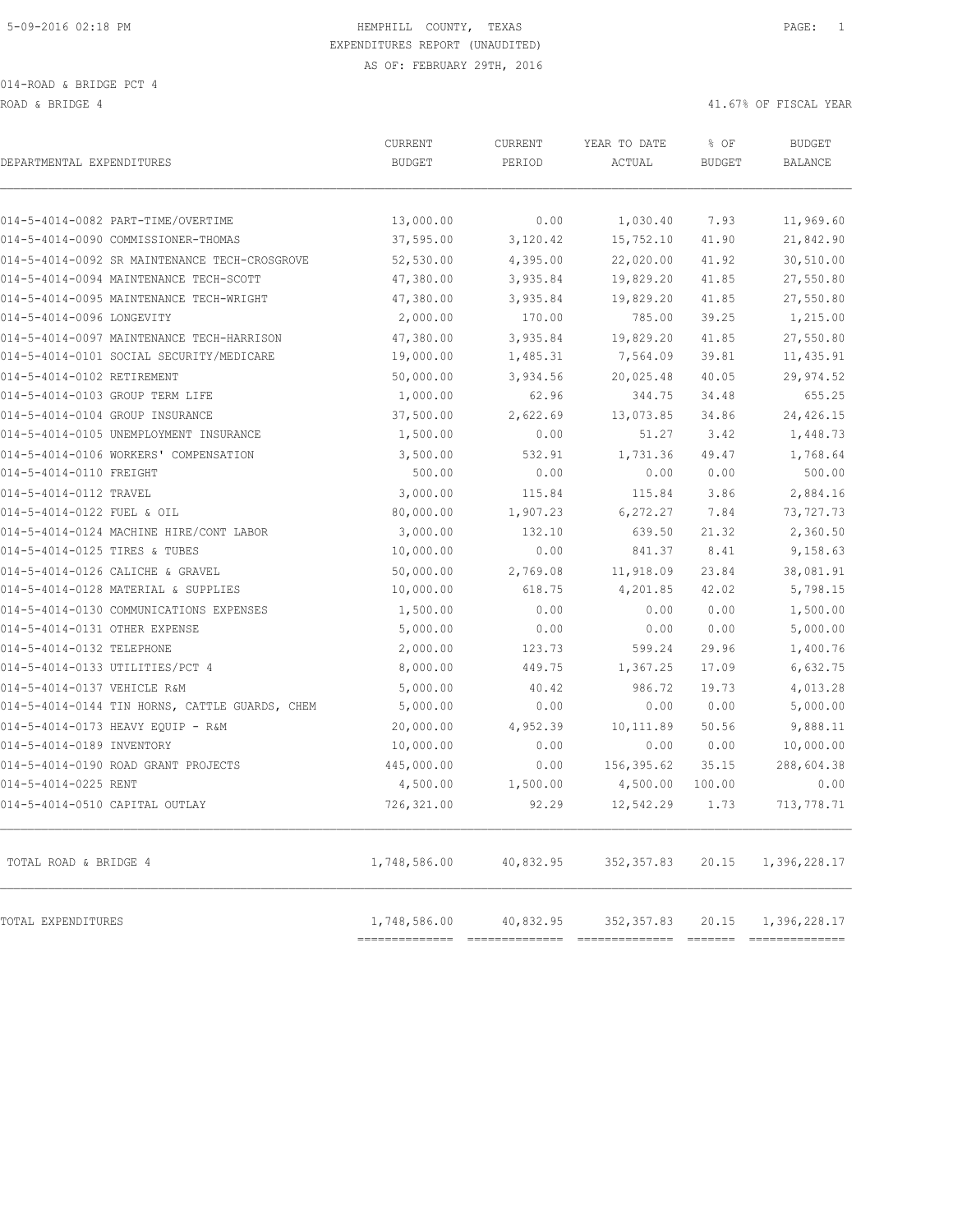ROAD & BRIDGE 4 41.67% OF FISCAL YEAR (1999) AND ROAD & ALL ASSESSED AND RESPOND TO A 41.67% OF FISCAL YEAR

| DEPARTMENTAL EXPENDITURES                      | <b>CURRENT</b><br><b>BUDGET</b> | <b>CURRENT</b><br>PERIOD    | YEAR TO DATE<br>ACTUAL        | % OF<br><b>BUDGET</b> | <b>BUDGET</b><br><b>BALANCE</b> |
|------------------------------------------------|---------------------------------|-----------------------------|-------------------------------|-----------------------|---------------------------------|
| 014-5-4014-0082 PART-TIME/OVERTIME             | 13,000.00                       | 0.00                        | 1,030.40                      | 7.93                  | 11,969.60                       |
| 014-5-4014-0090 COMMISSIONER-THOMAS            | 37,595.00                       | 3,120.42                    | 15,752.10                     | 41.90                 | 21,842.90                       |
| 014-5-4014-0092 SR MAINTENANCE TECH-CROSGROVE  | 52,530.00                       | 4,395.00                    | 22,020.00                     | 41.92                 | 30,510.00                       |
| 014-5-4014-0094 MAINTENANCE TECH-SCOTT         | 47,380.00                       | 3,935.84                    | 19,829.20                     | 41.85                 | 27,550.80                       |
| 014-5-4014-0095 MAINTENANCE TECH-WRIGHT        | 47,380.00                       | 3,935.84                    | 19,829.20                     | 41.85                 | 27,550.80                       |
| 014-5-4014-0096 LONGEVITY                      | 2,000.00                        | 170.00                      | 785.00                        | 39.25                 | 1,215.00                        |
| 014-5-4014-0097 MAINTENANCE TECH-HARRISON      | 47,380.00                       | 3,935.84                    | 19,829.20                     | 41.85                 | 27,550.80                       |
| 014-5-4014-0101 SOCIAL SECURITY/MEDICARE       | 19,000.00                       | 1,485.31                    | 7,564.09                      | 39.81                 | 11,435.91                       |
| 014-5-4014-0102 RETIREMENT                     | 50,000.00                       | 3,934.56                    | 20,025.48                     | 40.05                 | 29,974.52                       |
| 014-5-4014-0103 GROUP TERM LIFE                | 1,000.00                        | 62.96                       | 344.75                        | 34.48                 | 655.25                          |
| 014-5-4014-0104 GROUP INSURANCE                | 37,500.00                       | 2,622.69                    | 13,073.85                     | 34.86                 | 24,426.15                       |
| 014-5-4014-0105 UNEMPLOYMENT INSURANCE         | 1,500.00                        | 0.00                        | 51.27                         | 3.42                  | 1,448.73                        |
| 014-5-4014-0106 WORKERS' COMPENSATION          | 3,500.00                        | 532.91                      | 1,731.36                      | 49.47                 | 1,768.64                        |
| 014-5-4014-0110 FREIGHT                        | 500.00                          | 0.00                        | 0.00                          | 0.00                  | 500.00                          |
| 014-5-4014-0112 TRAVEL                         | 3,000.00                        | 115.84                      | 115.84                        | 3.86                  | 2,884.16                        |
| 014-5-4014-0122 FUEL & OIL                     | 80,000.00                       | 1,907.23                    | 6, 272.27                     | 7.84                  | 73,727.73                       |
| 014-5-4014-0124 MACHINE HIRE/CONT LABOR        | 3,000.00                        | 132.10                      | 639.50                        | 21.32                 | 2,360.50                        |
| 014-5-4014-0125 TIRES & TUBES                  | 10,000.00                       | 0.00                        | 841.37                        | 8.41                  | 9,158.63                        |
| 014-5-4014-0126 CALICHE & GRAVEL               | 50,000.00                       | 2,769.08                    | 11,918.09                     | 23.84                 | 38,081.91                       |
| 014-5-4014-0128 MATERIAL & SUPPLIES            | 10,000.00                       | 618.75                      | 4,201.85                      | 42.02                 | 5,798.15                        |
| 014-5-4014-0130 COMMUNICATIONS EXPENSES        | 1,500.00                        | 0.00                        | 0.00                          | 0.00                  | 1,500.00                        |
| 014-5-4014-0131 OTHER EXPENSE                  | 5,000.00                        | 0.00                        | 0.00                          | 0.00                  | 5,000.00                        |
| 014-5-4014-0132 TELEPHONE                      | 2,000.00                        | 123.73                      | 599.24                        | 29.96                 | 1,400.76                        |
| 014-5-4014-0133 UTILITIES/PCT 4                | 8,000.00                        | 449.75                      | 1,367.25                      | 17.09                 | 6,632.75                        |
| 014-5-4014-0137 VEHICLE R&M                    | 5,000.00                        | 40.42                       | 986.72                        | 19.73                 | 4,013.28                        |
| 014-5-4014-0144 TIN HORNS, CATTLE GUARDS, CHEM | 5,000.00                        | 0.00                        | 0.00                          | 0.00                  | 5,000.00                        |
| 014-5-4014-0173 HEAVY EQUIP - R&M              | 20,000.00                       | 4,952.39                    | 10, 111.89                    | 50.56                 | 9,888.11                        |
| 014-5-4014-0189 INVENTORY                      | 10,000.00                       | 0.00                        | 0.00                          | 0.00                  | 10,000.00                       |
| 014-5-4014-0190 ROAD GRANT PROJECTS            | 445,000.00                      | 0.00                        | 156,395.62                    | 35.15                 | 288,604.38                      |
| 014-5-4014-0225 RENT                           | 4,500.00                        | 1,500.00                    | 4,500.00                      | 100.00                | 0.00                            |
| 014-5-4014-0510 CAPITAL OUTLAY                 | 726,321.00                      | 92.29                       | 12,542.29                     | 1.73                  | 713,778.71                      |
| TOTAL ROAD & BRIDGE 4                          | 1,748,586.00                    | 40,832.95                   | 352, 357.83                   | 20.15                 | 1,396,228.17                    |
| TOTAL EXPENDITURES                             | 1,748,586.00<br>--------------- | 40,832.95<br>============== | 352, 357.83<br>============== | 20.15                 | 1,396,228.17<br>--------------- |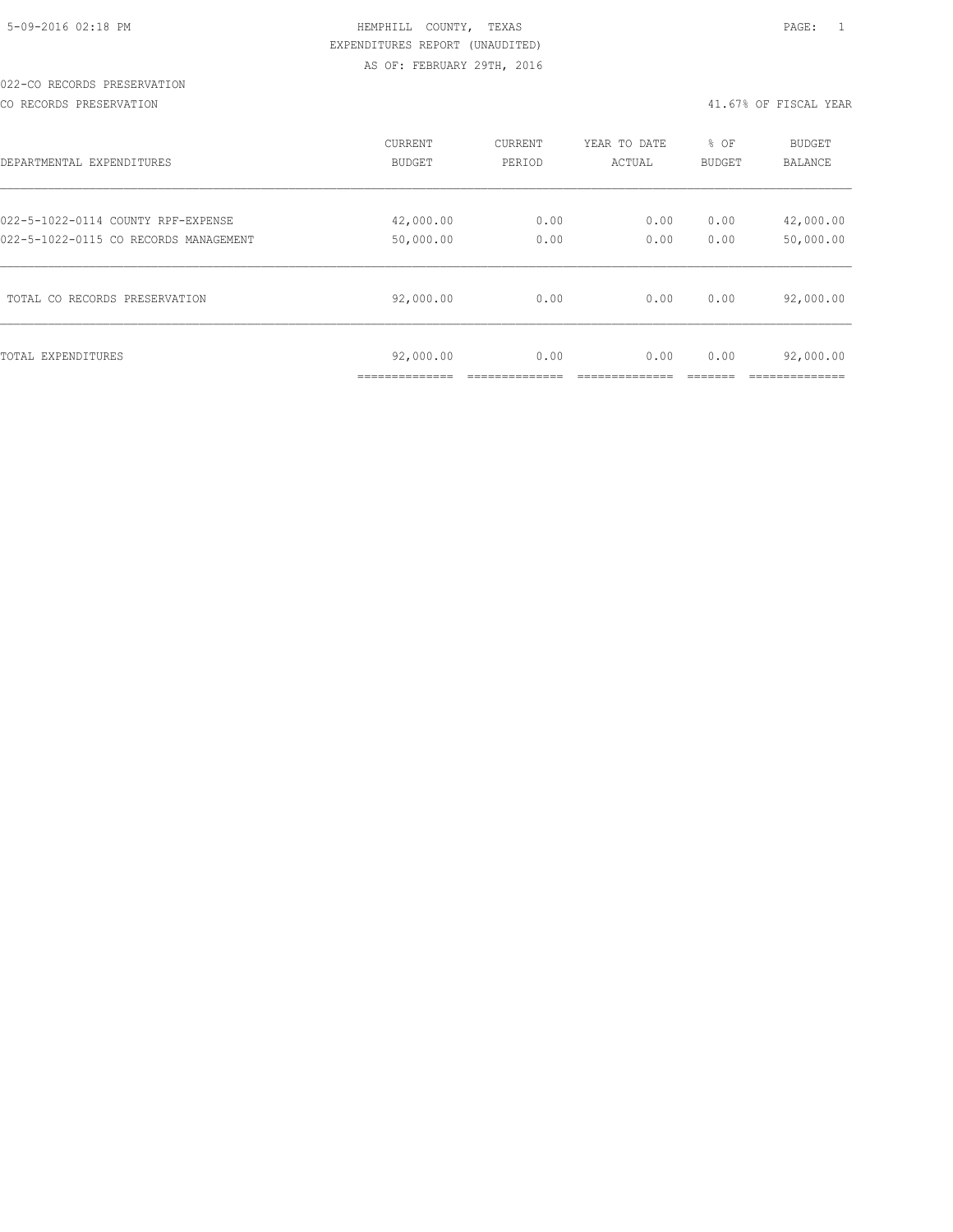## 022-CO RECORDS PRESERVATION

CO RECORDS PRESERVATION 41.67% OF FISCAL YEAR

| DEPARTMENTAL EXPENDITURES             | CURRENT                   | CURRENT | YEAR TO DATE | % OF          | <b>BUDGET</b>          |
|---------------------------------------|---------------------------|---------|--------------|---------------|------------------------|
|                                       | <b>BUDGET</b>             | PERIOD  | ACTUAL       | <b>BUDGET</b> | <b>BALANCE</b>         |
| 022-5-1022-0114 COUNTY RPF-EXPENSE    | 42,000.00                 | 0.00    | 0.00         | 0.00          | 42,000.00              |
| 022-5-1022-0115 CO RECORDS MANAGEMENT | 50,000.00                 | 0.00    | 0.00         | 0.00          | 50,000.00              |
| TOTAL CO RECORDS PRESERVATION         | 92,000.00                 | 0.00    | 0.00         | 0.00          | 92,000.00              |
| TOTAL EXPENDITURES                    | 92,000.00<br>____________ | 0.00    | 0.00         | 0.00          | 92,000.00<br>_________ |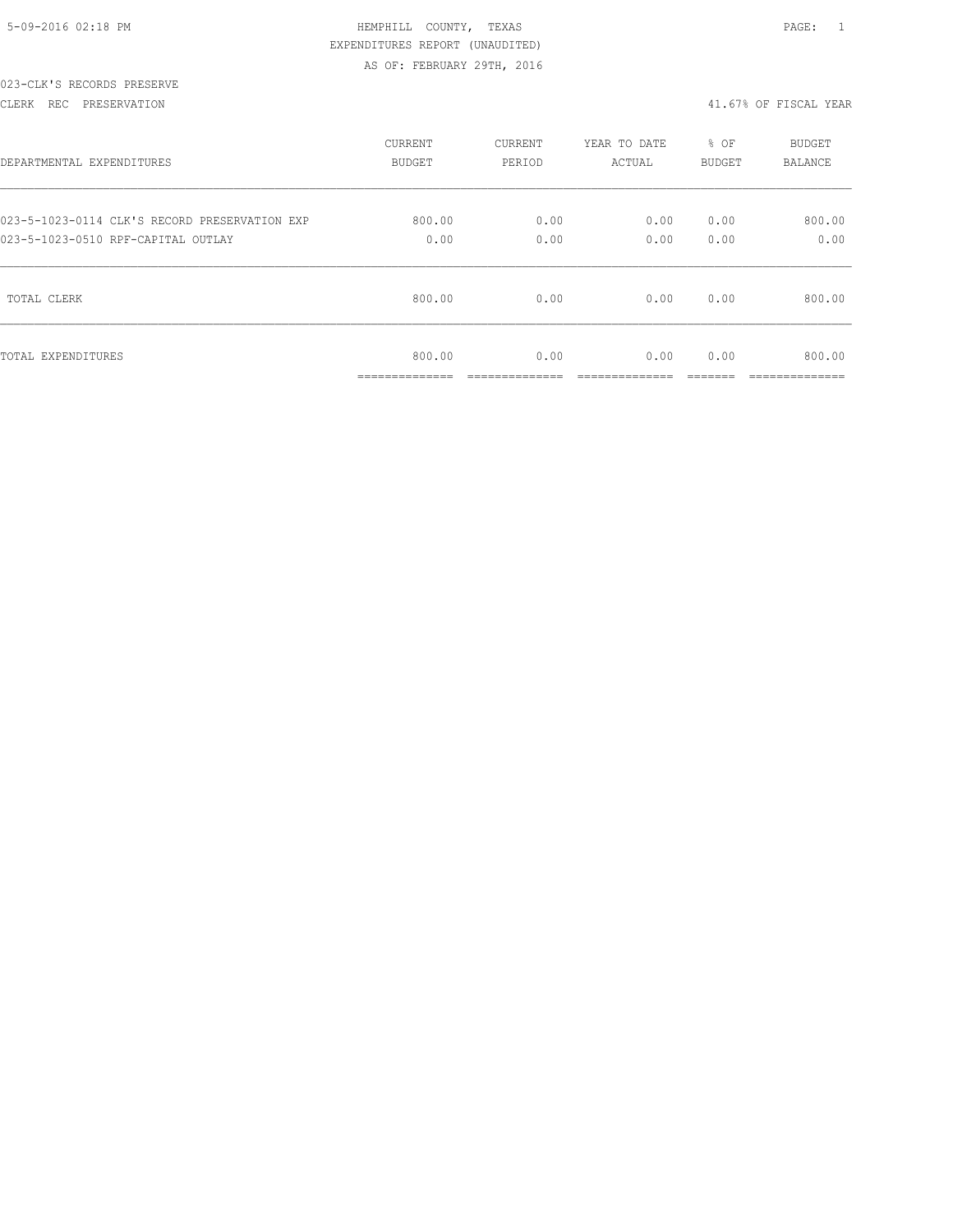|  | 5-09-2016 02:18 PM |  |
|--|--------------------|--|

## 023-CLK'S RECORDS PRESERVE

### CLERK REC PRESERVATION 41.67% OF FISCAL YEAR

| DEPARTMENTAL EXPENDITURES                     | <b>CURRENT</b>                             | CURRENT               | YEAR TO DATE         | % OF          | <b>BUDGET</b>                            |
|-----------------------------------------------|--------------------------------------------|-----------------------|----------------------|---------------|------------------------------------------|
|                                               | <b>BUDGET</b>                              | PERIOD                | ACTUAL               | <b>BUDGET</b> | <b>BALANCE</b>                           |
| 023-5-1023-0114 CLK'S RECORD PRESERVATION EXP | 800.00                                     | 0.00                  | 0.00                 | 0.00          | 800.00                                   |
| 023-5-1023-0510 RPF-CAPITAL OUTLAY            | 0.00                                       | 0.00                  | 0.00                 | 0.00          | 0.00                                     |
| TOTAL CLERK                                   | 800.00                                     | 0.00                  | 0.00                 | 0.00          | 800.00                                   |
| TOTAL EXPENDITURES                            | 800.00<br>______________<br>______________ | 0.00<br>------------- | 0.00<br>____________ | 0.00          | 800.00<br>____________<br>______________ |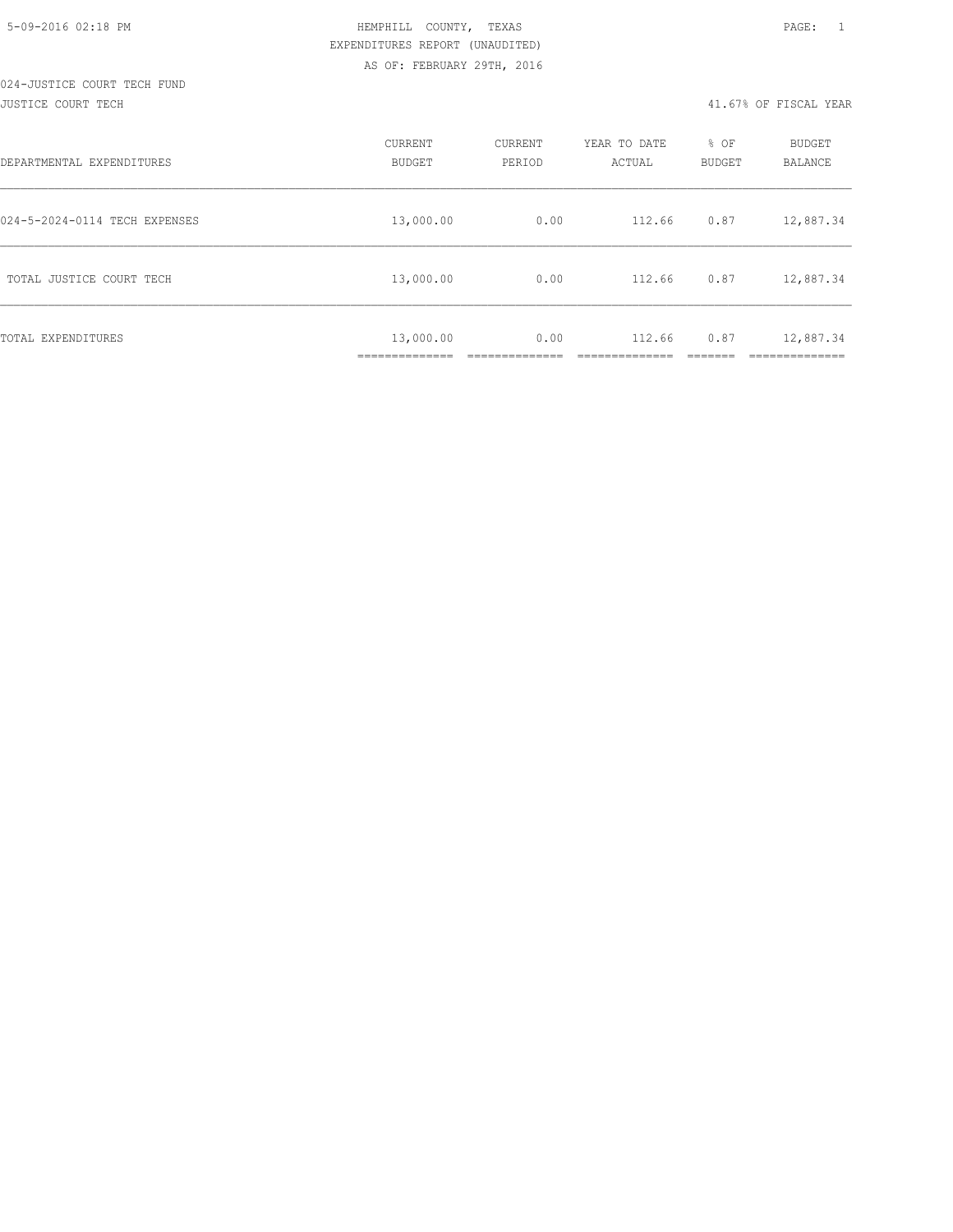| DEPARTMENTAL EXPENDITURES     | CURRENT<br><b>BUDGET</b>                       | CURRENT<br>PERIOD | YEAR TO DATE<br>ACTUAL | % OF<br><b>BUDGET</b> | <b>BUDGET</b><br><b>BALANCE</b> |
|-------------------------------|------------------------------------------------|-------------------|------------------------|-----------------------|---------------------------------|
| 024-5-2024-0114 TECH EXPENSES | 13,000.00                                      | 0.00              | 112.66                 | 0.87                  | 12,887.34                       |
| TOTAL JUSTICE COURT TECH      | 13,000.00                                      | 0.00              | 112.66                 | 0.87                  | 12,887.34                       |
| TOTAL EXPENDITURES            | 13,000.00<br>---------------<br>______________ | 0.00              | 112.66                 | 0.87                  | 12,887.34<br>__________         |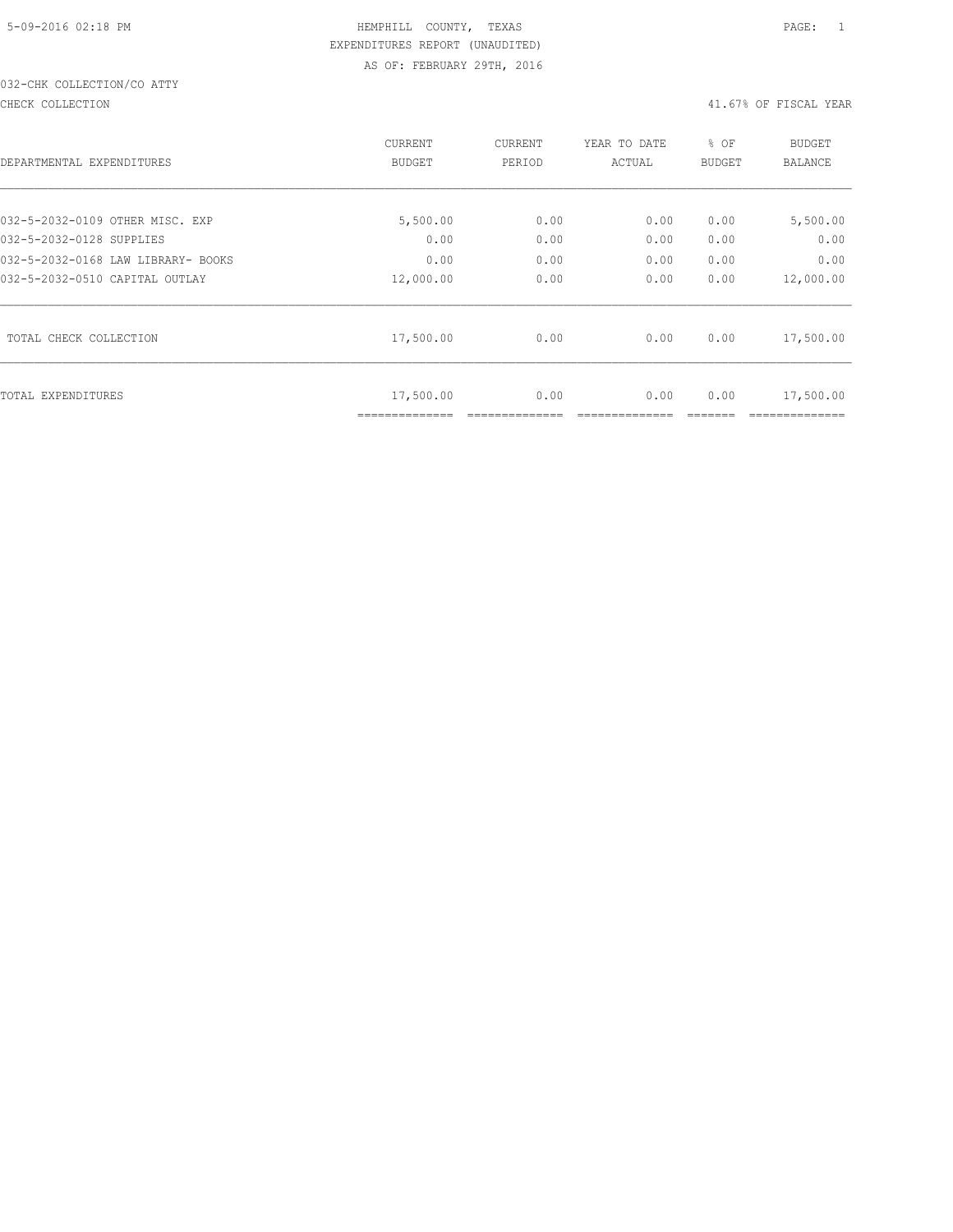# 032-CHK COLLECTION/CO ATTY

#### CHECK COLLECTION 41.67% OF FISCAL YEAR

|                                    | <b>CURRENT</b>              | <b>CURRENT</b> | YEAR TO DATE | % OF          | <b>BUDGET</b> |
|------------------------------------|-----------------------------|----------------|--------------|---------------|---------------|
| DEPARTMENTAL EXPENDITURES          | BUDGET                      | PERIOD         | ACTUAL       | <b>BUDGET</b> | BALANCE       |
|                                    |                             |                |              |               |               |
| 032-5-2032-0109 OTHER MISC. EXP    | 5,500.00                    | 0.00           | 0.00         | 0.00          | 5,500.00      |
| 032-5-2032-0128 SUPPLIES           | 0.00                        | 0.00           | 0.00         | 0.00          | 0.00          |
| 032-5-2032-0168 LAW LIBRARY- BOOKS | 0.00                        | 0.00           | 0.00         | 0.00          | 0.00          |
| 032-5-2032-0510 CAPITAL OUTLAY     | 12,000.00                   | 0.00           | 0.00         | 0.00          | 12,000.00     |
| TOTAL CHECK COLLECTION             | 17,500.00                   | 0.00           | 0.00         | 0.00          | 17,500.00     |
| TOTAL EXPENDITURES                 | 17,500.00<br>============== | 0.00           | 0.00         | 0.00          | 17,500.00     |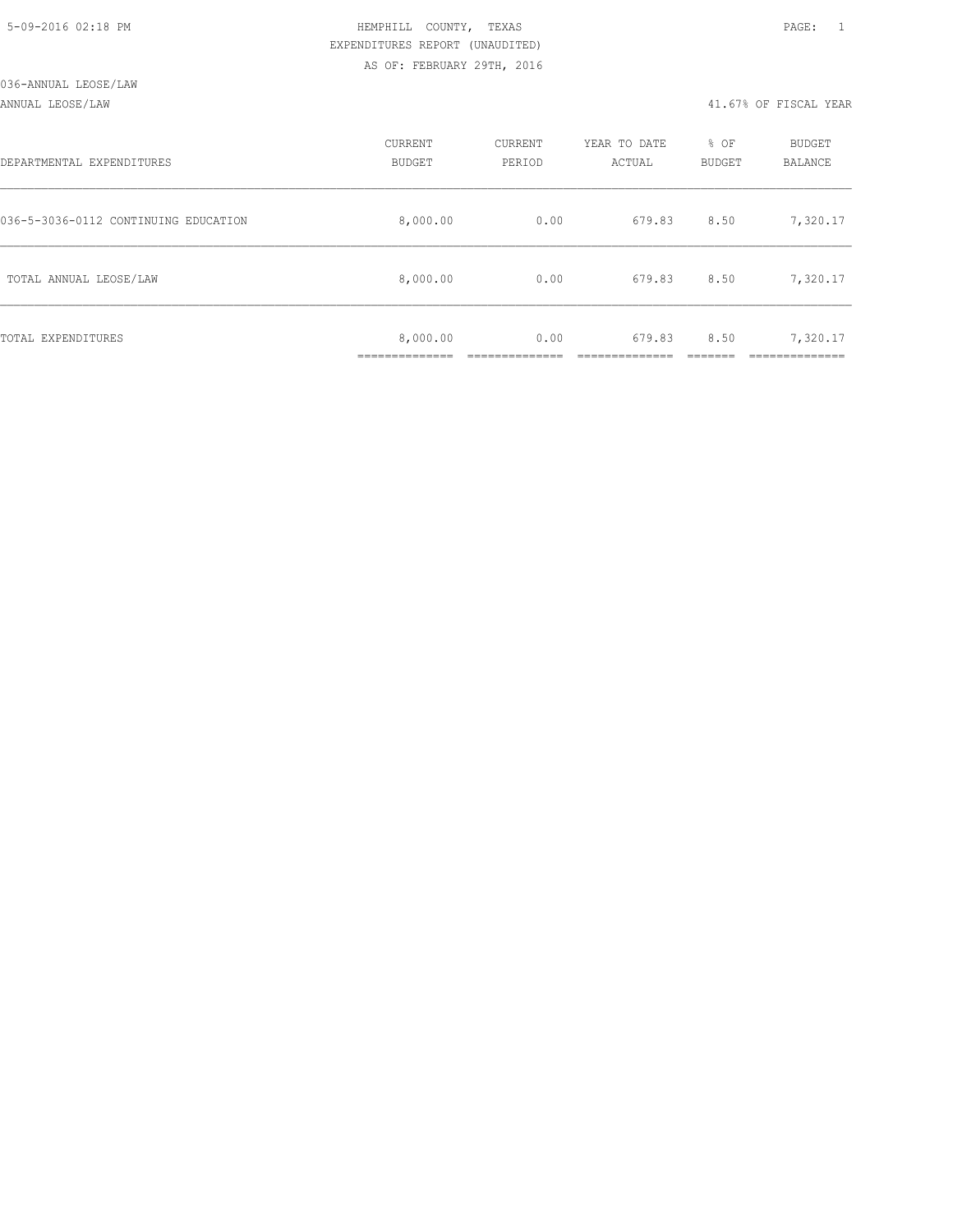### ANNUAL LEOSE/LAW 41.67% OF FISCAL YEAR

| DEPARTMENTAL EXPENDITURES            | CURRENT<br><b>BUDGET</b> | CURRENT<br>PERIOD | YEAR TO DATE<br>ACTUAL | % OF<br>BUDGET | BUDGET<br>BALANCE      |
|--------------------------------------|--------------------------|-------------------|------------------------|----------------|------------------------|
| 036-5-3036-0112 CONTINUING EDUCATION | 8,000.00                 | 0.00              | 679.83                 | 8.50           | 7,320.17               |
| TOTAL ANNUAL LEOSE/LAW               | 8,000.00                 | 0.00              | 679.83                 | 8.50           | 7,320.17               |
| TOTAL EXPENDITURES                   | 8,000.00<br>____________ | 0.00              | 679.83                 | 8.50           | 7,320.17<br>__________ |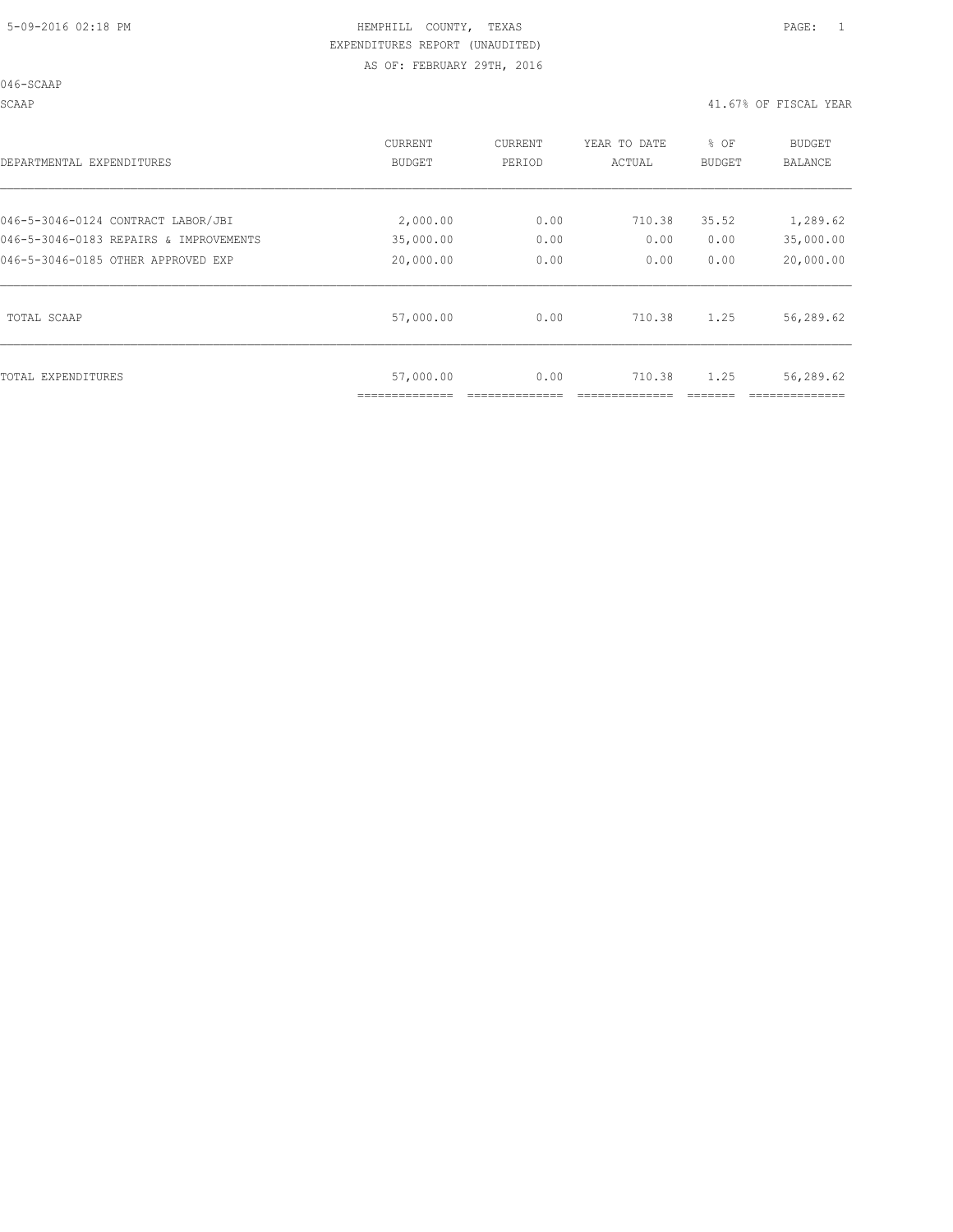046-SCAAP

SCAAP 41.67% OF FISCAL YEAR

| DEPARTMENTAL EXPENDITURES              | <b>CURRENT</b><br>BUDGET | CURRENT<br>PERIOD | YEAR TO DATE<br>ACTUAL | % OF<br>BUDGET | <b>BUDGET</b><br>BALANCE |
|----------------------------------------|--------------------------|-------------------|------------------------|----------------|--------------------------|
| 046-5-3046-0124 CONTRACT LABOR/JBI     | 2,000.00                 | 0.00              | 710.38                 | 35.52          | 1,289.62                 |
| 046-5-3046-0183 REPAIRS & IMPROVEMENTS | 35,000.00                | 0.00              | 0.00                   | 0.00           | 35,000.00                |
| 046-5-3046-0185 OTHER APPROVED EXP     | 20,000.00                | 0.00              | 0.00                   | 0.00           | 20,000.00                |
| TOTAL SCAAP                            | 57,000.00                | 0.00              | 710.38                 | 1.25           | 56,289.62                |
| TOTAL EXPENDITURES                     | 57,000.00                | 0.00              | 710.38                 | 1.25           | 56,289.62                |